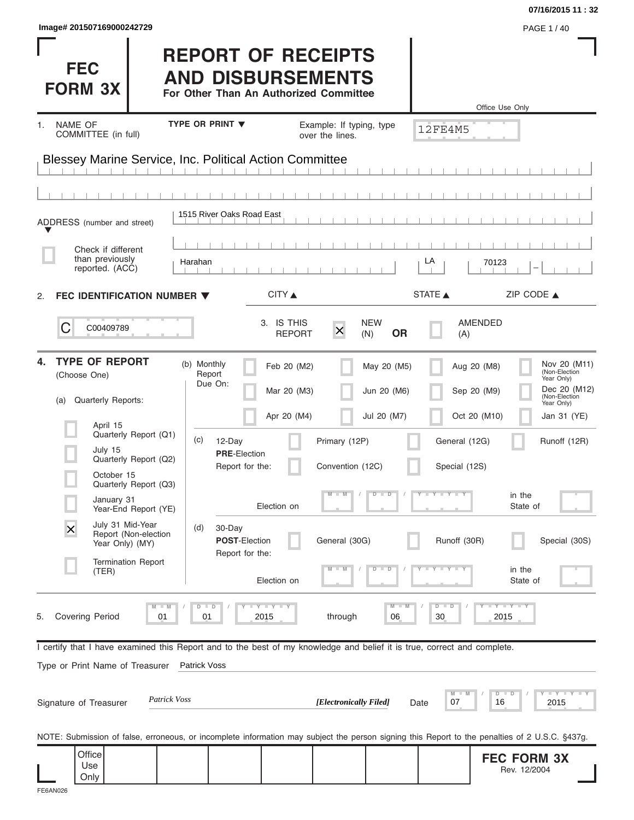|                                                                                                                                                            |                                                                                                 |                             |                                             |                              |                                                | 07/16/2015 11:32                                                                           |
|------------------------------------------------------------------------------------------------------------------------------------------------------------|-------------------------------------------------------------------------------------------------|-----------------------------|---------------------------------------------|------------------------------|------------------------------------------------|--------------------------------------------------------------------------------------------|
| Image# 201507169000242729<br><b>FEC</b><br><b>FORM 3X</b>                                                                                                  | <b>REPORT OF RECEIPTS</b><br><b>AND DISBURSEMENTS</b><br>For Other Than An Authorized Committee |                             |                                             |                              |                                                | PAGE 1 / 40                                                                                |
| NAME OF<br>1.<br>COMMITTEE (in full)                                                                                                                       | TYPE OR PRINT V                                                                                 |                             | Example: If typing, type<br>over the lines. |                              | <b>12FE4M5</b>                                 | Office Use Only                                                                            |
| Blessey Marine Service, Inc. Political Action Committee                                                                                                    |                                                                                                 |                             |                                             |                              |                                                |                                                                                            |
| ADDRESS (number and street)                                                                                                                                | 1515 River Oaks Road East                                                                       |                             |                                             |                              |                                                |                                                                                            |
| Check if different<br>than previously<br>reported. (ACC)                                                                                                   | Harahan                                                                                         |                             |                                             |                              | LA                                             | 70123                                                                                      |
| FEC IDENTIFICATION NUMBER ▼<br>2.                                                                                                                          |                                                                                                 | CITY ▲                      |                                             |                              | STATE A                                        | ZIP CODE $\triangle$                                                                       |
| C<br>C00409789                                                                                                                                             |                                                                                                 | 3. IS THIS<br><b>REPORT</b> | $\overline{\mathsf{x}}$<br>(N)              | <b>NEW</b><br><b>OR</b>      | AMENDED<br>(A)                                 |                                                                                            |
| <b>TYPE OF REPORT</b><br>4.<br>(Choose One)<br>Quarterly Reports:<br>(a)                                                                                   | (b) Monthly<br>Report<br>Due On:                                                                | Feb 20 (M2)<br>Mar 20 (M3)  |                                             | May 20 (M5)<br>Jun 20 (M6)   | Aug 20 (M8)<br>Sep 20 (M9)                     | Nov 20 (M11)<br>(Non-Election<br>Year Only)<br>Dec 20 (M12)<br>(Non-Election<br>Year Only) |
| April 15<br>Quarterly Report (Q1)<br>July 15<br>Quarterly Report (Q2)<br>October 15                                                                        | (c)<br>12-Day<br><b>PRE-Election</b><br>Report for the:                                         | Apr 20 (M4)                 | Primary (12P)<br>Convention (12C)           | Jul 20 (M7)                  | Oct 20 (M10)<br>General (12G)<br>Special (12S) | Jan 31 (YE)<br>Runoff (12R)                                                                |
| Quarterly Report (Q3)<br>January 31<br>Year-End Report (YE)                                                                                                |                                                                                                 | Election on                 | $M$ $M$                                     | $\overline{D}$<br>$\Box$     | $Y + Y + Y + Y$                                | in the<br>State of                                                                         |
| July 31 Mid-Year<br>$\overline{\mathsf{x}}$<br>Report (Non-election<br>Year Only) (MY)                                                                     | (d)<br>30-Day<br>POST-Election<br>Report for the:                                               |                             | General (30G)                               |                              | Runoff (30R)                                   | Special (30S)                                                                              |
| <b>Termination Report</b><br>(TER)                                                                                                                         |                                                                                                 | Election on                 |                                             | $\overline{\mathbf{D}}$<br>D |                                                | in the<br>State of                                                                         |
| $M - M$<br><b>Covering Period</b><br>01<br>5.                                                                                                              | $\Box$<br>$\overline{D}$<br>01                                                                  | <b>LYLYLY</b><br>2015       | through                                     | $M - M$<br>06                | $D$ $D$<br>30                                  | $-Y - Y - Y$<br>2015                                                                       |
| I certify that I have examined this Report and to the best of my knowledge and belief it is true, correct and complete.<br>Type or Print Name of Treasurer | Patrick Voss                                                                                    |                             |                                             |                              |                                                |                                                                                            |
| <b>Patrick Voss</b><br>Signature of Treasurer                                                                                                              |                                                                                                 |                             | [Electronically Filed]                      |                              | M<br>07<br>Date                                | $\bot$ $\gamma$ $\bot$ $\gamma$ $\bot$ $\gamma$<br>$D$ $D$<br>16<br>2015                   |
| NOTE: Submission of false, erroneous, or incomplete information may subject the person signing this Report to the penalties of 2 U.S.C. §437g.             |                                                                                                 |                             |                                             |                              |                                                |                                                                                            |
| Office<br>Use<br>Only                                                                                                                                      |                                                                                                 |                             |                                             |                              |                                                | <b>FEC FORM 3X</b><br>Rev. 12/2004                                                         |

| mage# 20150716900024272 |  |  |
|-------------------------|--|--|
|-------------------------|--|--|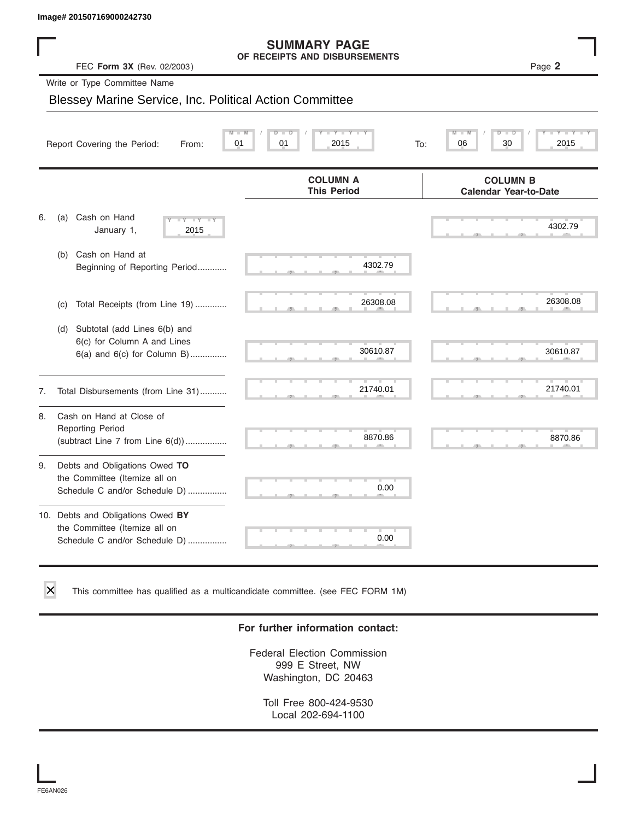#### **SUMMARY PAGE OF RECEIPTS AND DISBURSEMENTS**

|    | Image# 201507169000242730                                                                             |                                                      |                                                  |
|----|-------------------------------------------------------------------------------------------------------|------------------------------------------------------|--------------------------------------------------|
|    | FEC Form 3X (Rev. 02/2003)                                                                            | <b>SUMMARY PAGE</b><br>OF RECEIPTS AND DISBURSEMENTS | Page 2                                           |
|    | Write or Type Committee Name                                                                          |                                                      |                                                  |
|    | <b>Blessey Marine Service, Inc. Political Action Committee</b>                                        |                                                      |                                                  |
|    |                                                                                                       |                                                      |                                                  |
|    | Report Covering the Period:<br>From:                                                                  | $Y - Y - I$<br>01<br>01<br>2015<br>To:               | $\overline{\mathbb{M}}$<br>D<br>06<br>30<br>2015 |
|    |                                                                                                       | <b>COLUMN A</b><br><b>This Period</b>                | <b>COLUMN B</b><br><b>Calendar Year-to-Date</b>  |
| 6. | Cash on Hand<br>(a)<br>$-Y - Y - Y$<br>January 1,<br>2015                                             |                                                      | 4302.79                                          |
|    | Cash on Hand at<br>(b)<br>Beginning of Reporting Period                                               | 4302.79                                              |                                                  |
|    | Total Receipts (from Line 19)<br>(c)                                                                  | 26308.08                                             | 26308.08                                         |
|    | Subtotal (add Lines 6(b) and<br>(d)<br>6(c) for Column A and Lines<br>$6(a)$ and $6(c)$ for Column B) | 30610.87                                             | 30610.87                                         |
| 7. | Total Disbursements (from Line 31)                                                                    | 21740.01                                             | 21740.01                                         |
| 8. | Cash on Hand at Close of<br><b>Reporting Period</b><br>(subtract Line $7$ from Line $6(d)$ )          | 8870.86                                              | 8870.86                                          |
| 9. | Debts and Obligations Owed TO<br>the Committee (Itemize all on<br>Schedule C and/or Schedule D)       | 0.00                                                 |                                                  |
|    | 10. Debts and Obligations Owed BY<br>the Committee (Itemize all on<br>Schedule C and/or Schedule D)   | т<br>0.00                                            |                                                  |

This committee has qualified as a multicandidate committee. (see FEC FORM 1M)

#### **For further information contact:**

Federal Election Commission 999 E Street, NW Washington, DC 20463

Toll Free 800-424-9530 Local 202-694-1100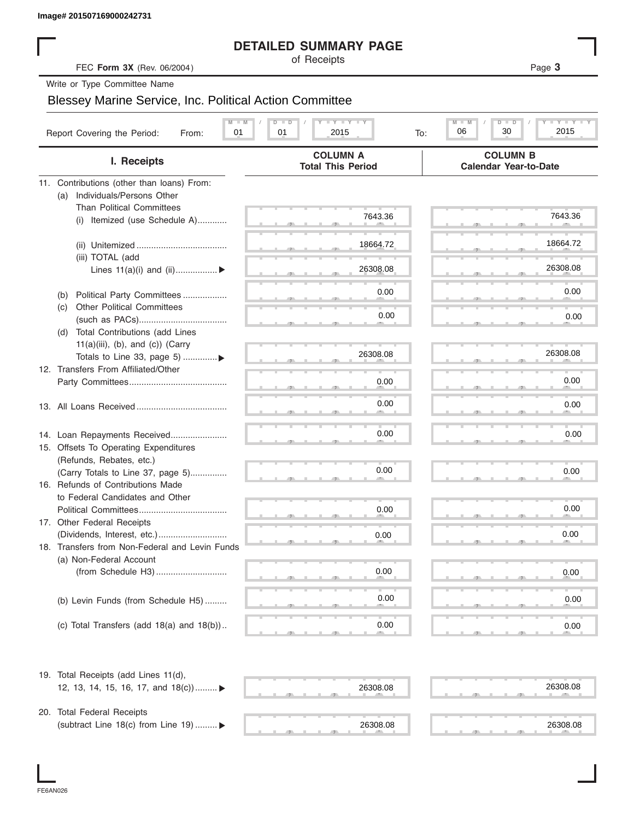#### **DETAILED SUMMARY PAGE**

|                                                                       | <b>DETAILED SUMMARY PAGE</b>                                                                       |                                                 |
|-----------------------------------------------------------------------|----------------------------------------------------------------------------------------------------|-------------------------------------------------|
| FEC Form 3X (Rev. 06/2004)                                            | of Receipts                                                                                        | Page 3                                          |
| Write or Type Committee Name                                          |                                                                                                    |                                                 |
| <b>Blessey Marine Service, Inc. Political Action Committee</b>        |                                                                                                    |                                                 |
|                                                                       |                                                                                                    |                                                 |
| Report Covering the Period:<br>01<br>From:                            | $\mathbf{I}$ $\mathbf{Y}$ $\mathbf{I}$ $\mathbf{Y}$ $\mathbf{I}$ $\mathbf{Y}$<br>01<br>2015<br>To: | Y TY<br>M<br>$D$ $\Box$<br>30<br>2015<br>06     |
| I. Receipts                                                           | <b>COLUMN A</b><br><b>Total This Period</b>                                                        | <b>COLUMN B</b><br><b>Calendar Year-to-Date</b> |
| 11. Contributions (other than loans) From:                            |                                                                                                    |                                                 |
| Individuals/Persons Other<br>(a)                                      |                                                                                                    |                                                 |
| <b>Than Political Committees</b>                                      | 7643.36                                                                                            | 7643.36                                         |
| (i) Itemized (use Schedule A)                                         |                                                                                                    |                                                 |
|                                                                       |                                                                                                    | 18664.72                                        |
|                                                                       | 18664.72                                                                                           |                                                 |
| (iii) TOTAL (add<br>Lines $11(a)(i)$ and $(ii)$                       | 26308.08                                                                                           | 26308.08                                        |
|                                                                       |                                                                                                    |                                                 |
| Political Party Committees<br>(b)                                     | 0.00                                                                                               | 0.00                                            |
| <b>Other Political Committees</b><br>(C)                              |                                                                                                    |                                                 |
|                                                                       | 0.00                                                                                               | 0.00                                            |
| Total Contributions (add Lines<br>(d)                                 |                                                                                                    |                                                 |
| $11(a)(iii)$ , (b), and (c)) (Carry                                   |                                                                                                    |                                                 |
| Totals to Line 33, page 5) ▶                                          | 26308.08                                                                                           | 26308.08                                        |
| 12. Transfers From Affiliated/Other                                   |                                                                                                    |                                                 |
|                                                                       | 0.00                                                                                               | 0.00                                            |
|                                                                       | 0.00                                                                                               | 0.00                                            |
|                                                                       |                                                                                                    |                                                 |
|                                                                       | 0.00                                                                                               | 0.00                                            |
| 14. Loan Repayments Received<br>15. Offsets To Operating Expenditures |                                                                                                    |                                                 |
| (Refunds, Rebates, etc.)                                              |                                                                                                    |                                                 |
| (Carry Totals to Line 37, page 5)                                     | 0.00                                                                                               | 0.00                                            |
| 16. Refunds of Contributions Made                                     |                                                                                                    |                                                 |
| to Federal Candidates and Other                                       |                                                                                                    |                                                 |
| Political Committees                                                  | 0.00                                                                                               | 0.00                                            |
| 17. Other Federal Receipts                                            |                                                                                                    |                                                 |
|                                                                       | 0.00                                                                                               | 0.00                                            |
| 18. Transfers from Non-Federal and Levin Funds                        |                                                                                                    |                                                 |
| (a) Non-Federal Account                                               |                                                                                                    |                                                 |
|                                                                       | 0.00                                                                                               | 0.00                                            |
|                                                                       | 0.00                                                                                               |                                                 |
| (b) Levin Funds (from Schedule H5)                                    |                                                                                                    | 0.00                                            |
| (c) Total Transfers (add $18(a)$ and $18(b)$ )                        | 0.00                                                                                               | 0.00                                            |
|                                                                       |                                                                                                    |                                                 |
| 19. Total Receipts (add Lines 11(d),                                  |                                                                                                    |                                                 |
| 12, 13, 14, 15, 16, 17, and 18(c)) ▶                                  | 26308.08                                                                                           | 26308.08                                        |
|                                                                       |                                                                                                    |                                                 |
| 20. Total Federal Receipts                                            |                                                                                                    |                                                 |
| (subtract Line 18(c) from Line 19)  ▶                                 | 26308.08                                                                                           | 26308.08                                        |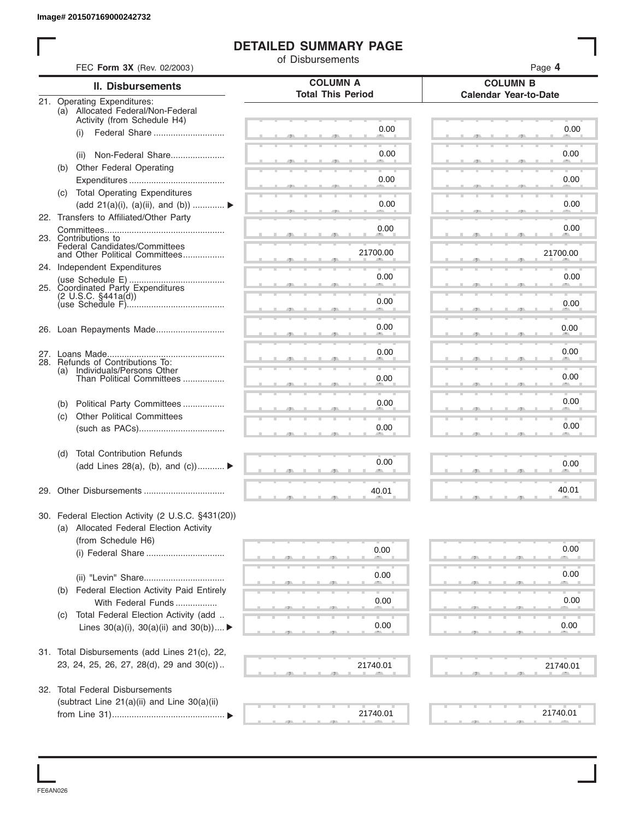#### **DETAILED SUMMARY PAGE**

|     |                                                                  | of Disbursements                            |                                                 |
|-----|------------------------------------------------------------------|---------------------------------------------|-------------------------------------------------|
|     | FEC Form 3X (Rev. 02/2003)                                       |                                             | Page 4                                          |
|     | <b>II. Disbursements</b>                                         | <b>COLUMN A</b><br><b>Total This Period</b> | <b>COLUMN B</b><br><b>Calendar Year-to-Date</b> |
|     | 21. Operating Expenditures:<br>(a) Allocated Federal/Non-Federal |                                             |                                                 |
|     | Activity (from Schedule H4)                                      |                                             |                                                 |
|     | Federal Share<br>(i)                                             | 0.00                                        | 0.00                                            |
|     | Non-Federal Share                                                | 0.00                                        | 0.00                                            |
|     | (ii)<br>(b) Other Federal Operating                              |                                             |                                                 |
|     |                                                                  | 0.00                                        | 0.00                                            |
|     | (c) Total Operating Expenditures                                 |                                             |                                                 |
|     | (add 21(a)(i), (a)(ii), and (b))                                 | 0.00                                        | 0.00                                            |
|     | 22. Transfers to Affiliated/Other Party                          |                                             |                                                 |
|     |                                                                  | 0.00                                        | 0.00                                            |
|     | 23. Contributions to                                             |                                             |                                                 |
|     | Federal Candidates/Committees<br>and Other Political Committees  | 21700.00                                    | 21700.00                                        |
|     | 24. Independent Expenditures                                     |                                             |                                                 |
|     |                                                                  | 0.00                                        | 0.00                                            |
|     | 25. Coordinated Party Expenditures                               |                                             |                                                 |
|     |                                                                  | 0.00                                        | 0.00                                            |
|     |                                                                  |                                             |                                                 |
|     |                                                                  | 0.00                                        | 0.00                                            |
|     |                                                                  |                                             |                                                 |
|     |                                                                  | 0.00                                        | 0.00                                            |
| (a) | 28. Refunds of Contributions To:<br>Individuals/Persons Other    |                                             |                                                 |
|     | Than Political Committees                                        | 0.00                                        | 0.00                                            |
|     |                                                                  |                                             |                                                 |
| (b) | Political Party Committees                                       | 0.00                                        | 0.00                                            |
| (c) | <b>Other Political Committees</b>                                |                                             | 0.00                                            |
|     |                                                                  | 0.00                                        |                                                 |
| (d) | <b>Total Contribution Refunds</b>                                |                                             |                                                 |
|     | (add Lines 28(a), (b), and $(c)$ )                               | 0.00                                        | 0.00                                            |
|     |                                                                  |                                             |                                                 |
|     |                                                                  | 40.01                                       | 40.01                                           |
|     | 30. Federal Election Activity (2 U.S.C. §431(20))                |                                             |                                                 |
|     | (a) Allocated Federal Election Activity                          |                                             |                                                 |
|     | (from Schedule H6)                                               |                                             |                                                 |
|     |                                                                  | 0.00                                        | 0.00                                            |
|     |                                                                  |                                             |                                                 |
|     |                                                                  | 0.00                                        | 0.00                                            |
| (b) | Federal Election Activity Paid Entirely                          |                                             |                                                 |
|     | With Federal Funds                                               | 0.00                                        | 0.00                                            |
| (C) | Total Federal Election Activity (add                             |                                             |                                                 |
|     | Lines $30(a)(i)$ , $30(a)(ii)$ and $30(b))$                      | 0.00                                        | 0.00                                            |
|     |                                                                  |                                             |                                                 |
|     | 31. Total Disbursements (add Lines 21(c), 22,                    |                                             |                                                 |
|     | 23, 24, 25, 26, 27, 28(d), 29 and 30(c))                         | 21740.01                                    | 21740.01                                        |
|     |                                                                  |                                             |                                                 |
|     | 32. Total Federal Disbursements                                  |                                             |                                                 |
|     | (subtract Line 21(a)(ii) and Line 30(a)(ii)                      | 21740.01                                    | 21740.01                                        |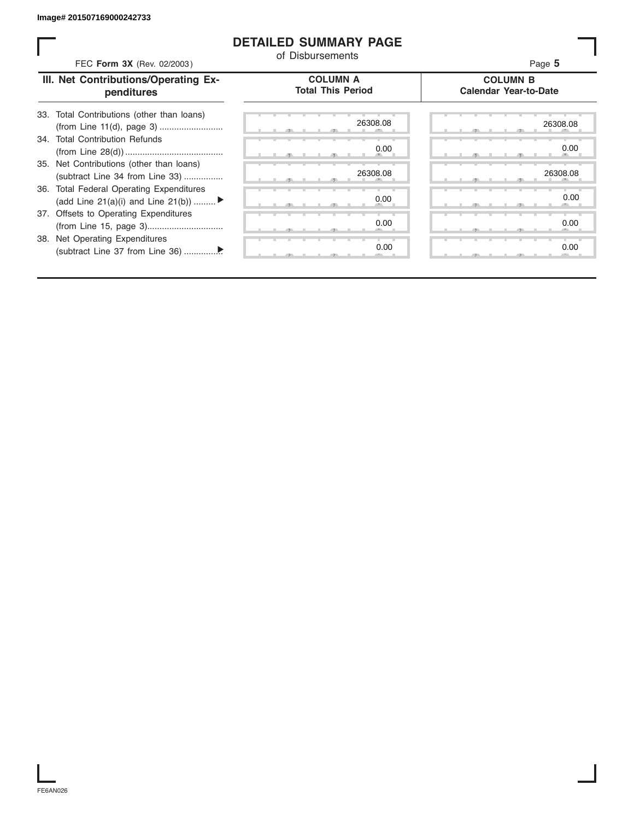#### **DETAILED SUMMARY PAGE**

| FEC Form 3X (Rev. 02/2003)                                                     | <b>DETAILED SUMMARY PAGE</b><br>of Disbursements | Page 5                                          |
|--------------------------------------------------------------------------------|--------------------------------------------------|-------------------------------------------------|
| III. Net Contributions/Operating Ex-<br>penditures                             | <b>COLUMN A</b><br><b>Total This Period</b>      | <b>COLUMN B</b><br><b>Calendar Year-to-Date</b> |
| 33. Total Contributions (other than loans)                                     | 26308.08                                         | 26308.08                                        |
| 34. Total Contribution Refunds                                                 | 0.00                                             | 0.00                                            |
| 35. Net Contributions (other than loans)<br>(subtract Line 34 from Line 33)    | 26308.08                                         | 26308.08                                        |
| 36. Total Federal Operating Expenditures<br>(add Line 21(a)(i) and Line 21(b)) | 0.00                                             | 0.00                                            |
| 37. Offsets to Operating Expenditures                                          | 0.00                                             | 0.00                                            |
| 38. Net Operating Expenditures                                                 | 0.00                                             | 0.00                                            |

FE6AN026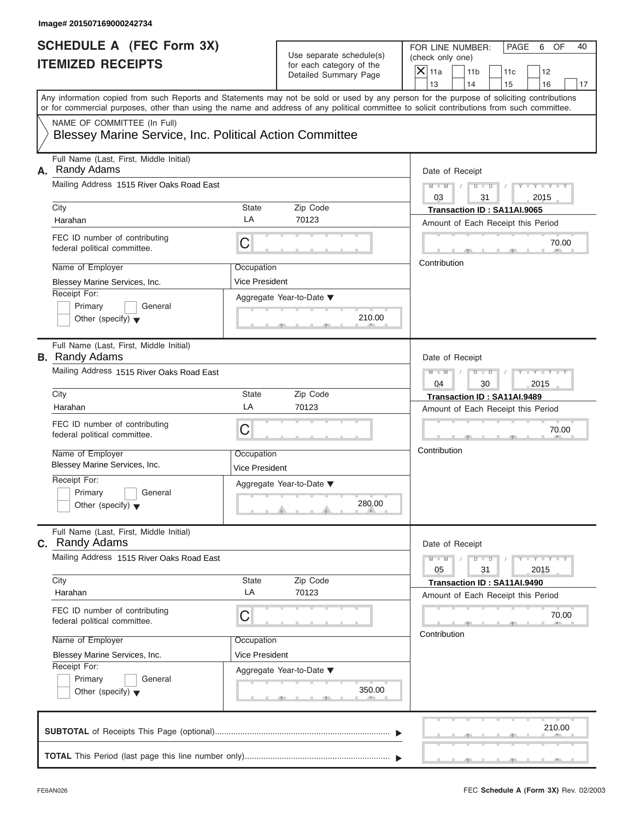| Any information copied from such Reports and Statements may not be sold or used by any person for the purpose of soliciting contributions<br>or for commercial purposes, other than using the name and address of any political committee to solicit contributions from such committee.<br>NAME OF COMMITTEE (In Full)<br><b>Blessey Marine Service, Inc. Political Action Committee</b><br>Full Name (Last, First, Middle Initial)<br>Randy Adams<br>Date of Receipt<br>Mailing Address 1515 River Oaks Road East<br>$M - M$ /<br>$D - D$<br>Y = Y = Y = Y<br>03<br>31<br>2015<br>Zip Code<br>City<br>State<br>Transaction ID: SA11AI.9065<br>LA<br>70123<br>Harahan<br>Amount of Each Receipt this Period<br>FEC ID number of contributing<br>С<br>70.00<br>federal political committee.<br><b>ALC</b><br>Contribution<br>Name of Employer<br>Occupation<br>Vice President<br>Blessey Marine Services, Inc.<br>Receipt For:<br>Aggregate Year-to-Date ▼<br>Primary<br>General<br>210.00<br>Other (specify) $\blacktriangledown$<br><b>Contract Contract</b><br>$\mathcal{F}$ and $\mathcal{F}$<br>Full Name (Last, First, Middle Initial)<br><b>B.</b> Randy Adams<br>Date of Receipt<br>Mailing Address 1515 River Oaks Road East<br>$M - M$<br>$D$ $D$<br>$T - Y = T - Y = T$<br>04<br>30<br>2015<br>Zip Code<br>City<br>State<br>Transaction ID: SA11AI.9489<br>LA<br>70123<br>Harahan<br>Amount of Each Receipt this Period<br>FEC ID number of contributing<br>С<br>70.00<br>federal political committee.<br><b>All Contracts</b><br>Contribution<br>Name of Employer<br>Occupation<br>Blessey Marine Services, Inc.<br><b>Vice President</b><br>Receipt For:<br>Aggregate Year-to-Date ▼<br>Primary<br>General<br>280.00<br>Other (specify) $\blacktriangledown$<br>$\mathbf{r}$ and $\mathbf{r}$<br>Full Name (Last, First, Middle Initial)<br><b>C.</b> Randy Adams<br>Date of Receipt<br>Mailing Address 1515 River Oaks Road East<br>$M - M$<br>$D$ $D$<br>$Y - Y - Y - Y - Y$<br>05<br>31<br>2015<br>Zip Code<br>City<br>State<br>Transaction ID: SA11AI.9490<br>LA<br>70123<br>Harahan<br>Amount of Each Receipt this Period<br>FEC ID number of contributing<br>С<br>70.00<br>federal political committee.<br>Contribution<br>Name of Employer<br>Occupation<br>Vice President<br>Blessey Marine Services, Inc.<br>Receipt For:<br>Aggregate Year-to-Date ▼<br>Primary<br>General<br>350.00<br>Other (specify) $\blacktriangledown$<br>$-7$<br>210.00 |    | SCHEDULE A (FEC Form 3X)<br><b>ITEMIZED RECEIPTS</b> | Use separate schedule(s)<br>for each category of the<br>Detailed Summary Page | FOR LINE NUMBER:<br>PAGE<br>OF<br>40<br>6<br>(check only one)<br>$\overline{X}$ 11a<br>11 <sub>b</sub><br>12<br>11c<br>13<br>14<br>16 |
|----------------------------------------------------------------------------------------------------------------------------------------------------------------------------------------------------------------------------------------------------------------------------------------------------------------------------------------------------------------------------------------------------------------------------------------------------------------------------------------------------------------------------------------------------------------------------------------------------------------------------------------------------------------------------------------------------------------------------------------------------------------------------------------------------------------------------------------------------------------------------------------------------------------------------------------------------------------------------------------------------------------------------------------------------------------------------------------------------------------------------------------------------------------------------------------------------------------------------------------------------------------------------------------------------------------------------------------------------------------------------------------------------------------------------------------------------------------------------------------------------------------------------------------------------------------------------------------------------------------------------------------------------------------------------------------------------------------------------------------------------------------------------------------------------------------------------------------------------------------------------------------------------------------------------------------------------------------------------------------------------------------------------------------------------------------------------------------------------------------------------------------------------------------------------------------------------------------------------------------------------------------------------------------------------------------------------------------------------------------------------------------------------------------------------------------------------------------------|----|------------------------------------------------------|-------------------------------------------------------------------------------|---------------------------------------------------------------------------------------------------------------------------------------|
|                                                                                                                                                                                                                                                                                                                                                                                                                                                                                                                                                                                                                                                                                                                                                                                                                                                                                                                                                                                                                                                                                                                                                                                                                                                                                                                                                                                                                                                                                                                                                                                                                                                                                                                                                                                                                                                                                                                                                                                                                                                                                                                                                                                                                                                                                                                                                                                                                                                                      |    |                                                      |                                                                               | 15<br>17                                                                                                                              |
|                                                                                                                                                                                                                                                                                                                                                                                                                                                                                                                                                                                                                                                                                                                                                                                                                                                                                                                                                                                                                                                                                                                                                                                                                                                                                                                                                                                                                                                                                                                                                                                                                                                                                                                                                                                                                                                                                                                                                                                                                                                                                                                                                                                                                                                                                                                                                                                                                                                                      |    |                                                      |                                                                               |                                                                                                                                       |
|                                                                                                                                                                                                                                                                                                                                                                                                                                                                                                                                                                                                                                                                                                                                                                                                                                                                                                                                                                                                                                                                                                                                                                                                                                                                                                                                                                                                                                                                                                                                                                                                                                                                                                                                                                                                                                                                                                                                                                                                                                                                                                                                                                                                                                                                                                                                                                                                                                                                      | А. |                                                      |                                                                               |                                                                                                                                       |
|                                                                                                                                                                                                                                                                                                                                                                                                                                                                                                                                                                                                                                                                                                                                                                                                                                                                                                                                                                                                                                                                                                                                                                                                                                                                                                                                                                                                                                                                                                                                                                                                                                                                                                                                                                                                                                                                                                                                                                                                                                                                                                                                                                                                                                                                                                                                                                                                                                                                      |    |                                                      |                                                                               |                                                                                                                                       |
|                                                                                                                                                                                                                                                                                                                                                                                                                                                                                                                                                                                                                                                                                                                                                                                                                                                                                                                                                                                                                                                                                                                                                                                                                                                                                                                                                                                                                                                                                                                                                                                                                                                                                                                                                                                                                                                                                                                                                                                                                                                                                                                                                                                                                                                                                                                                                                                                                                                                      |    |                                                      |                                                                               |                                                                                                                                       |
|                                                                                                                                                                                                                                                                                                                                                                                                                                                                                                                                                                                                                                                                                                                                                                                                                                                                                                                                                                                                                                                                                                                                                                                                                                                                                                                                                                                                                                                                                                                                                                                                                                                                                                                                                                                                                                                                                                                                                                                                                                                                                                                                                                                                                                                                                                                                                                                                                                                                      |    |                                                      |                                                                               |                                                                                                                                       |
|                                                                                                                                                                                                                                                                                                                                                                                                                                                                                                                                                                                                                                                                                                                                                                                                                                                                                                                                                                                                                                                                                                                                                                                                                                                                                                                                                                                                                                                                                                                                                                                                                                                                                                                                                                                                                                                                                                                                                                                                                                                                                                                                                                                                                                                                                                                                                                                                                                                                      |    |                                                      |                                                                               |                                                                                                                                       |
|                                                                                                                                                                                                                                                                                                                                                                                                                                                                                                                                                                                                                                                                                                                                                                                                                                                                                                                                                                                                                                                                                                                                                                                                                                                                                                                                                                                                                                                                                                                                                                                                                                                                                                                                                                                                                                                                                                                                                                                                                                                                                                                                                                                                                                                                                                                                                                                                                                                                      |    |                                                      |                                                                               |                                                                                                                                       |
|                                                                                                                                                                                                                                                                                                                                                                                                                                                                                                                                                                                                                                                                                                                                                                                                                                                                                                                                                                                                                                                                                                                                                                                                                                                                                                                                                                                                                                                                                                                                                                                                                                                                                                                                                                                                                                                                                                                                                                                                                                                                                                                                                                                                                                                                                                                                                                                                                                                                      |    |                                                      |                                                                               |                                                                                                                                       |
|                                                                                                                                                                                                                                                                                                                                                                                                                                                                                                                                                                                                                                                                                                                                                                                                                                                                                                                                                                                                                                                                                                                                                                                                                                                                                                                                                                                                                                                                                                                                                                                                                                                                                                                                                                                                                                                                                                                                                                                                                                                                                                                                                                                                                                                                                                                                                                                                                                                                      |    |                                                      |                                                                               |                                                                                                                                       |
|                                                                                                                                                                                                                                                                                                                                                                                                                                                                                                                                                                                                                                                                                                                                                                                                                                                                                                                                                                                                                                                                                                                                                                                                                                                                                                                                                                                                                                                                                                                                                                                                                                                                                                                                                                                                                                                                                                                                                                                                                                                                                                                                                                                                                                                                                                                                                                                                                                                                      |    |                                                      |                                                                               |                                                                                                                                       |
|                                                                                                                                                                                                                                                                                                                                                                                                                                                                                                                                                                                                                                                                                                                                                                                                                                                                                                                                                                                                                                                                                                                                                                                                                                                                                                                                                                                                                                                                                                                                                                                                                                                                                                                                                                                                                                                                                                                                                                                                                                                                                                                                                                                                                                                                                                                                                                                                                                                                      |    |                                                      |                                                                               |                                                                                                                                       |
|                                                                                                                                                                                                                                                                                                                                                                                                                                                                                                                                                                                                                                                                                                                                                                                                                                                                                                                                                                                                                                                                                                                                                                                                                                                                                                                                                                                                                                                                                                                                                                                                                                                                                                                                                                                                                                                                                                                                                                                                                                                                                                                                                                                                                                                                                                                                                                                                                                                                      |    |                                                      |                                                                               |                                                                                                                                       |
|                                                                                                                                                                                                                                                                                                                                                                                                                                                                                                                                                                                                                                                                                                                                                                                                                                                                                                                                                                                                                                                                                                                                                                                                                                                                                                                                                                                                                                                                                                                                                                                                                                                                                                                                                                                                                                                                                                                                                                                                                                                                                                                                                                                                                                                                                                                                                                                                                                                                      |    |                                                      |                                                                               |                                                                                                                                       |
|                                                                                                                                                                                                                                                                                                                                                                                                                                                                                                                                                                                                                                                                                                                                                                                                                                                                                                                                                                                                                                                                                                                                                                                                                                                                                                                                                                                                                                                                                                                                                                                                                                                                                                                                                                                                                                                                                                                                                                                                                                                                                                                                                                                                                                                                                                                                                                                                                                                                      |    |                                                      |                                                                               |                                                                                                                                       |
|                                                                                                                                                                                                                                                                                                                                                                                                                                                                                                                                                                                                                                                                                                                                                                                                                                                                                                                                                                                                                                                                                                                                                                                                                                                                                                                                                                                                                                                                                                                                                                                                                                                                                                                                                                                                                                                                                                                                                                                                                                                                                                                                                                                                                                                                                                                                                                                                                                                                      |    |                                                      |                                                                               |                                                                                                                                       |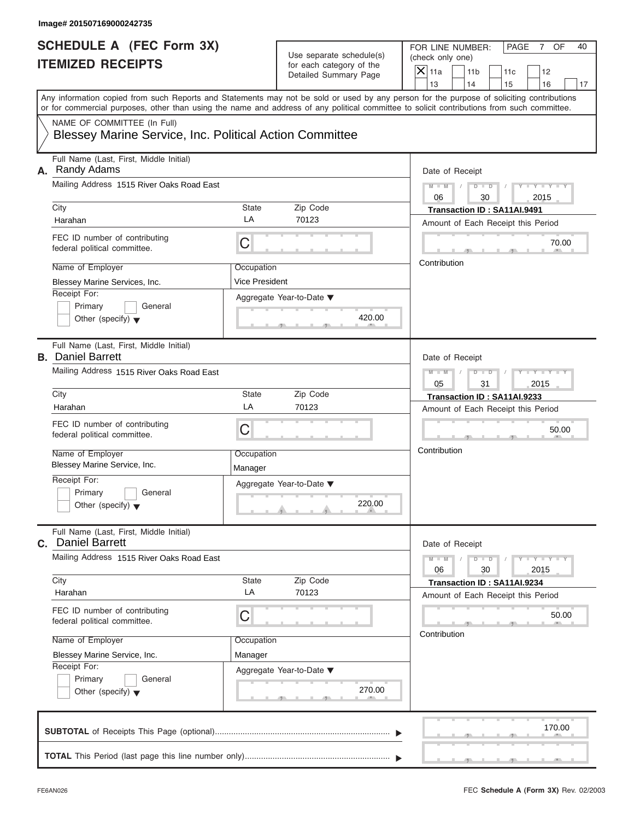| SCHEDULE A (FEC Form 3X)<br><b>ITEMIZED RECEIPTS</b>                                                                                                                                                                                                                                                                                                                                     |                                                  | Use separate schedule(s)<br>for each category of the<br>Detailed Summary Page | FOR LINE NUMBER:<br>PAGE<br>OF<br>40<br>7<br>(check only one)<br>$\mathsf{X}$ 11a<br>11 <sub>b</sub><br>12<br>11c<br>13<br>14<br>16                                                      |
|------------------------------------------------------------------------------------------------------------------------------------------------------------------------------------------------------------------------------------------------------------------------------------------------------------------------------------------------------------------------------------------|--------------------------------------------------|-------------------------------------------------------------------------------|------------------------------------------------------------------------------------------------------------------------------------------------------------------------------------------|
| Any information copied from such Reports and Statements may not be sold or used by any person for the purpose of soliciting contributions<br>or for commercial purposes, other than using the name and address of any political committee to solicit contributions from such committee.<br>NAME OF COMMITTEE (In Full)<br><b>Blessey Marine Service, Inc. Political Action Committee</b> |                                                  |                                                                               | 15<br>17                                                                                                                                                                                 |
|                                                                                                                                                                                                                                                                                                                                                                                          |                                                  |                                                                               |                                                                                                                                                                                          |
| Full Name (Last, First, Middle Initial)<br>Randy Adams<br>А.<br>Mailing Address 1515 River Oaks Road East<br>City<br>Harahan<br>FEC ID number of contributing<br>federal political committee.<br>Name of Employer<br>Blessey Marine Services, Inc.<br>Receipt For:<br>Primary<br>General                                                                                                 | State<br>LA<br>С<br>Occupation<br>Vice President | Zip Code<br>70123<br>Aggregate Year-to-Date ▼                                 | Date of Receipt<br>$M - M$ /<br>$D - D$<br>Y = Y = Y = Y<br>06<br>30<br>2015<br>Transaction ID: SA11AI.9491<br>Amount of Each Receipt this Period<br>70.00<br><b>ALC</b><br>Contribution |
| Other (specify) $\blacktriangledown$<br>Full Name (Last, First, Middle Initial)<br><b>B.</b> Daniel Barrett<br>Mailing Address 1515 River Oaks Road East                                                                                                                                                                                                                                 |                                                  | 420.00<br>$\mathcal{F}$ and $\mathcal{F}$ and $\mathcal{F}$                   | Date of Receipt<br>$M - M$<br>$D$ $D$<br>$T - Y = -Y - T$                                                                                                                                |
| City<br>Harahan<br>FEC ID number of contributing<br>federal political committee.<br>Name of Employer<br>Blessey Marine Service, Inc.<br>Receipt For:<br>Primary<br>General<br>Other (specify) $\blacktriangledown$                                                                                                                                                                       | State<br>LA<br>С<br>Occupation<br>Manager        | Zip Code<br>70123<br>Aggregate Year-to-Date ▼<br>220.00<br><b>All Angeles</b> | 05<br>31<br>2015<br>Transaction ID: SA11AI.9233<br>Amount of Each Receipt this Period<br>50.00<br><b>CONTRACTOR</b><br>Contribution                                                      |
| Full Name (Last, First, Middle Initial)<br>C. Daniel Barrett<br>Mailing Address 1515 River Oaks Road East<br>City<br>Harahan<br>FEC ID number of contributing<br>federal political committee.<br>Name of Employer<br>Blessey Marine Service, Inc.<br>Receipt For:<br>Primary<br>General<br>Other (specify) $\blacktriangledown$                                                          | State<br>LA<br>С<br>Occupation<br>Manager        | Zip Code<br>70123<br>Aggregate Year-to-Date ▼<br>270.00<br>$-7$               | Date of Receipt<br>$M - M$<br>$D$ $D$<br>Y = Y = Y = Y<br>06<br>30<br>2015<br>Transaction ID: SA11AI.9234<br>Amount of Each Receipt this Period<br>50.00<br>Contribution                 |
|                                                                                                                                                                                                                                                                                                                                                                                          |                                                  |                                                                               | 170.00                                                                                                                                                                                   |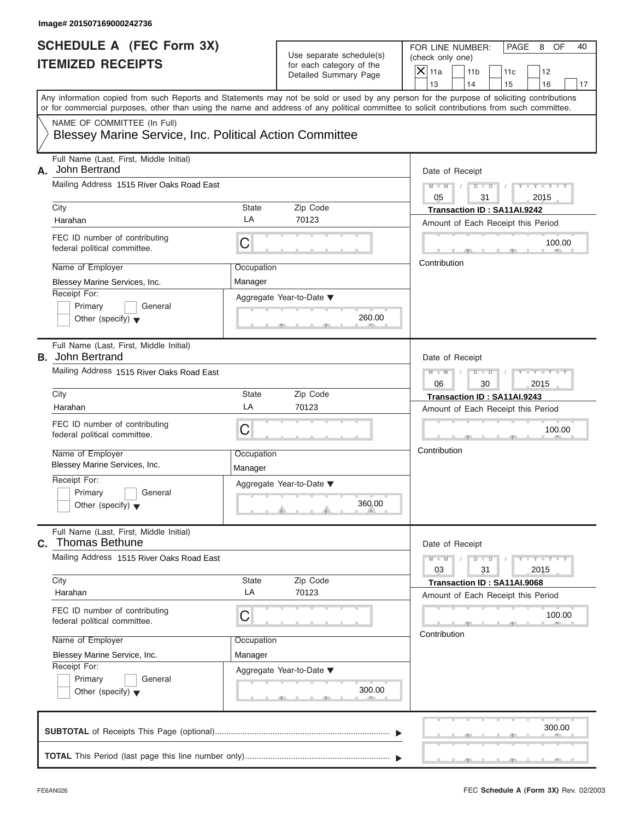| <b>ITEMIZED RECEIPTS</b>                                                                                                                                                                                                                                                                                                               | Use separate schedule(s)<br>for each category of the<br>Detailed Summary Page                                                 | FOR LINE NUMBER:<br>PAGE<br>OF<br>40<br>8<br>(check only one)<br>$\mathsf{X}$ 11a<br>11 <sub>b</sub><br>12<br>11c<br>13<br>14<br>15<br>16<br>17                                                                                                                                         |
|----------------------------------------------------------------------------------------------------------------------------------------------------------------------------------------------------------------------------------------------------------------------------------------------------------------------------------------|-------------------------------------------------------------------------------------------------------------------------------|-----------------------------------------------------------------------------------------------------------------------------------------------------------------------------------------------------------------------------------------------------------------------------------------|
| NAME OF COMMITTEE (In Full)<br><b>Blessey Marine Service, Inc. Political Action Committee</b>                                                                                                                                                                                                                                          |                                                                                                                               | Any information copied from such Reports and Statements may not be sold or used by any person for the purpose of soliciting contributions<br>or for commercial purposes, other than using the name and address of any political committee to solicit contributions from such committee. |
| Full Name (Last, First, Middle Initial)<br>A. John Bertrand<br>Mailing Address 1515 River Oaks Road East<br>City<br>Harahan<br>FEC ID number of contributing<br>federal political committee.<br>Name of Employer<br>Blessey Marine Services, Inc.<br>Receipt For:<br>Primary<br>General<br>Other (specify) $\blacktriangledown$        | Zip Code<br>State<br>LA<br>70123<br>С<br>Occupation<br>Manager<br>Aggregate Year-to-Date ▼<br>$\mathcal{F}$ and $\mathcal{F}$ | Date of Receipt<br>$M - M$ /<br>$D - D$<br>$  \gamma$ $ \gamma$ $ \gamma$<br>05<br>31<br>2015<br>Transaction ID: SA11AI.9242<br>Amount of Each Receipt this Period<br>100.00<br><b>COMPANY</b><br>Contribution<br>260.00<br><b>Contract Contract</b>                                    |
| Full Name (Last, First, Middle Initial)<br><b>B.</b> John Bertrand<br>Mailing Address 1515 River Oaks Road East<br>City<br>Harahan<br>FEC ID number of contributing<br>federal political committee.<br>Name of Employer<br>Blessey Marine Services, Inc.<br>Receipt For:<br>Primary<br>General<br>Other (specify) $\blacktriangledown$ | Zip Code<br>State<br>LA<br>70123<br>С<br>Occupation<br>Manager<br>Aggregate Year-to-Date ▼<br><b>All Angeles</b>              | Date of Receipt<br>$M - M$<br>$D$ $D$<br>$T - Y = T - Y = T$<br>06<br>30<br>2015<br>Transaction ID: SA11AI.9243<br>Amount of Each Receipt this Period<br>100.00<br><b>CONTRACTOR</b><br>Contribution<br>360.00                                                                          |
| Full Name (Last, First, Middle Initial)<br><b>Thomas Bethune</b><br>C.<br>Mailing Address 1515 River Oaks Road East<br>City<br>Harahan<br>FEC ID number of contributing<br>federal political committee.<br>Name of Employer<br>Blessey Marine Service, Inc.<br>Receipt For:                                                            | Zip Code<br>State<br>LA<br>70123<br>С<br>Occupation<br>Manager<br>Aggregate Year-to-Date ▼                                    | Date of Receipt<br>$M - M$<br>$D$ $D$<br>Y = Y = Y = Y<br>03<br>31<br>2015<br>Transaction ID: SA11AI.9068<br>Amount of Each Receipt this Period<br>100.00<br>Contribution                                                                                                               |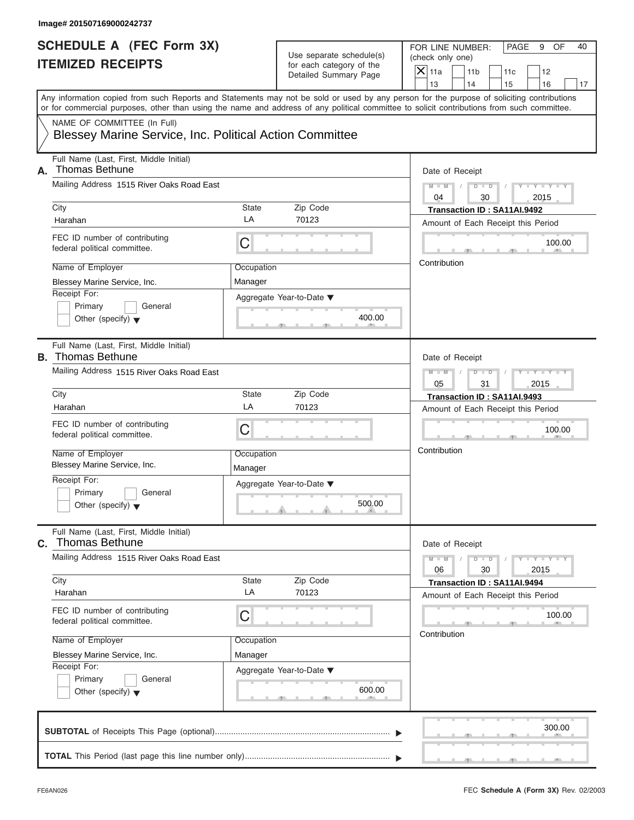FOR LINE NUMBER: PAGE 9 OF<br>(check only one)

| SCHEDULE A (FEC Form 3X)<br><b>ITEMIZED RECEIPTS</b>                                                       |                       | Use separate schedule(s)<br>for each category of the<br>Detailed Summary Page | FOR LINE NUMBER:<br>PAGE<br>9<br>OF<br>40<br>(check only one)<br>$X$ 11a<br>11 <sub>b</sub><br>12<br>11c<br>13<br>14                                                                                                                                                                                      |
|------------------------------------------------------------------------------------------------------------|-----------------------|-------------------------------------------------------------------------------|-----------------------------------------------------------------------------------------------------------------------------------------------------------------------------------------------------------------------------------------------------------------------------------------------------------|
| NAME OF COMMITTEE (In Full)                                                                                |                       |                                                                               | 15<br>16<br>17<br>Any information copied from such Reports and Statements may not be sold or used by any person for the purpose of soliciting contributions<br>or for commercial purposes, other than using the name and address of any political committee to solicit contributions from such committee. |
| <b>Blessey Marine Service, Inc. Political Action Committee</b>                                             |                       |                                                                               |                                                                                                                                                                                                                                                                                                           |
| Full Name (Last, First, Middle Initial)<br><b>Thomas Bethune</b><br>А.                                     |                       |                                                                               | Date of Receipt                                                                                                                                                                                                                                                                                           |
| Mailing Address 1515 River Oaks Road East<br>City                                                          | State                 | Zip Code                                                                      | $Y = Y - I$<br>$M - M$<br>$D$ $D$<br>04<br>30<br>2015                                                                                                                                                                                                                                                     |
| Harahan                                                                                                    | LA                    | 70123                                                                         | Transaction ID: SA11AI.9492<br>Amount of Each Receipt this Period                                                                                                                                                                                                                                         |
| FEC ID number of contributing<br>federal political committee.                                              | C                     |                                                                               | 100.00                                                                                                                                                                                                                                                                                                    |
| Name of Employer                                                                                           | Occupation            |                                                                               | Contribution                                                                                                                                                                                                                                                                                              |
| Blessey Marine Service, Inc.<br>Receipt For:<br>Primary<br>General<br>Other (specify) $\blacktriangledown$ | Manager               | Aggregate Year-to-Date ▼<br>400.00                                            |                                                                                                                                                                                                                                                                                                           |
| Full Name (Last, First, Middle Initial)<br><b>B.</b> Thomas Bethune                                        |                       |                                                                               | Date of Receipt                                                                                                                                                                                                                                                                                           |
| Mailing Address 1515 River Oaks Road East                                                                  |                       |                                                                               | $M - M$<br>$D$ $D$<br>2015<br>05<br>31                                                                                                                                                                                                                                                                    |
| City<br>Harahan                                                                                            | <b>State</b><br>LA    | Zip Code<br>70123                                                             | Transaction ID: SA11AI.9493<br>Amount of Each Receipt this Period                                                                                                                                                                                                                                         |
| FEC ID number of contributing<br>federal political committee.                                              | C                     |                                                                               | 100.00                                                                                                                                                                                                                                                                                                    |
| Name of Employer<br>Blessey Marine Service, Inc.                                                           | Occupation<br>Manager |                                                                               | Contribution                                                                                                                                                                                                                                                                                              |
| Receipt For:<br>Primary<br>General                                                                         |                       | Aggregate Year-to-Date ▼<br>500.00                                            |                                                                                                                                                                                                                                                                                                           |
| Other (specify) $\blacktriangledown$                                                                       |                       | A                                                                             |                                                                                                                                                                                                                                                                                                           |
| Full Name (Last, First, Middle Initial)<br><b>Thomas Bethune</b><br>С.                                     |                       |                                                                               | Date of Receipt                                                                                                                                                                                                                                                                                           |
| Mailing Address 1515 River Oaks Road East                                                                  |                       |                                                                               | $M - M$<br>$Y - Y - Y - Y - I$<br>$D$ $D$<br>06<br>30<br>2015                                                                                                                                                                                                                                             |
| City<br>Harahan                                                                                            | <b>State</b><br>LA    | Zip Code<br>70123                                                             | Transaction ID: SA11AI.9494<br>Amount of Each Receipt this Period                                                                                                                                                                                                                                         |
| FEC ID number of contributing<br>federal political committee.                                              | C                     |                                                                               | 100.00                                                                                                                                                                                                                                                                                                    |
| Name of Employer<br>Blessey Marine Service, Inc.                                                           | Occupation<br>Manager |                                                                               | Contribution                                                                                                                                                                                                                                                                                              |
| Receipt For:<br>Primary<br>General<br>Other (specify) $\blacktriangledown$                                 |                       | Aggregate Year-to-Date ▼<br>600.00                                            |                                                                                                                                                                                                                                                                                                           |
|                                                                                                            |                       |                                                                               | 300.00                                                                                                                                                                                                                                                                                                    |
|                                                                                                            |                       |                                                                               |                                                                                                                                                                                                                                                                                                           |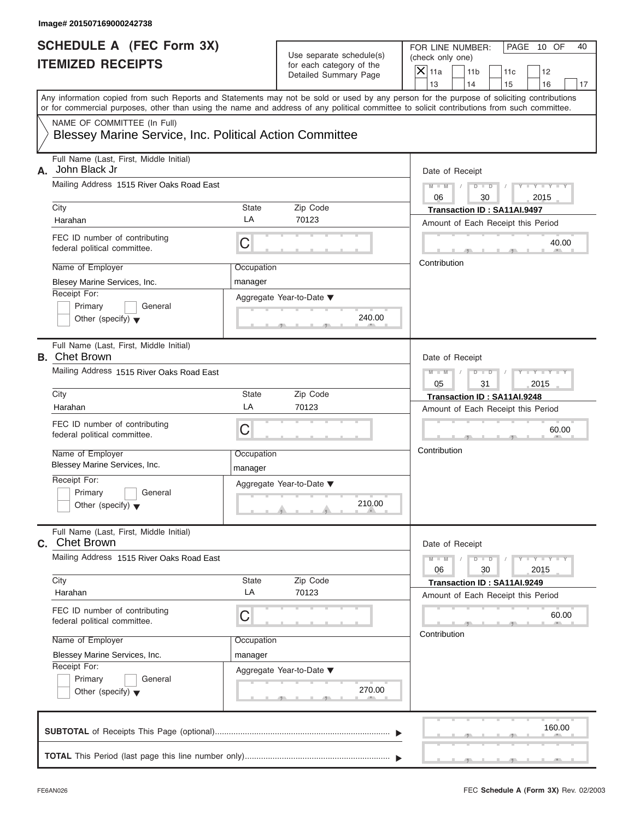| Image# 201507169000242738                                                                                                                                                                                                                                                               |                       |                                                      |                                      |                       |                                    |                             |    |
|-----------------------------------------------------------------------------------------------------------------------------------------------------------------------------------------------------------------------------------------------------------------------------------------|-----------------------|------------------------------------------------------|--------------------------------------|-----------------------|------------------------------------|-----------------------------|----|
| <b>SCHEDULE A (FEC Form 3X)</b><br><b>ITEMIZED RECEIPTS</b>                                                                                                                                                                                                                             |                       | Use separate schedule(s)<br>for each category of the | FOR LINE NUMBER:<br>(check only one) |                       |                                    | PAGE 10 OF                  | 40 |
|                                                                                                                                                                                                                                                                                         |                       | Detailed Summary Page                                | $X$ 11a<br>13                        | 11 <sub>b</sub><br>14 | 11c<br>15                          | 12<br>16                    | 17 |
| Any information copied from such Reports and Statements may not be sold or used by any person for the purpose of soliciting contributions<br>or for commercial purposes, other than using the name and address of any political committee to solicit contributions from such committee. |                       |                                                      |                                      |                       |                                    |                             |    |
| NAME OF COMMITTEE (In Full)<br>Blessey Marine Service, Inc. Political Action Committee                                                                                                                                                                                                  |                       |                                                      |                                      |                       |                                    |                             |    |
| Full Name (Last, First, Middle Initial)<br>John Black Jr<br>А.                                                                                                                                                                                                                          |                       |                                                      | Date of Receipt                      |                       |                                    |                             |    |
| Mailing Address 1515 River Oaks Road East                                                                                                                                                                                                                                               |                       |                                                      | $M - M$<br>06                        | $D$ $D$<br>30         | $\sqrt{ }$                         | $Y - Y - Y - Y - Y$<br>2015 |    |
| City                                                                                                                                                                                                                                                                                    | State                 | Zip Code                                             |                                      |                       | Transaction ID: SA11AI.9497        |                             |    |
| Harahan                                                                                                                                                                                                                                                                                 | LA                    | 70123                                                |                                      |                       | Amount of Each Receipt this Period |                             |    |
| FEC ID number of contributing<br>federal political committee.                                                                                                                                                                                                                           | C                     |                                                      |                                      |                       |                                    | 40.00                       |    |
| Name of Employer                                                                                                                                                                                                                                                                        | Occupation            |                                                      | Contribution                         |                       |                                    |                             |    |
| Blesey Marine Services, Inc.                                                                                                                                                                                                                                                            | manager               |                                                      |                                      |                       |                                    |                             |    |
| Receipt For:<br>Primary<br>General<br>Other (specify) $\blacktriangledown$                                                                                                                                                                                                              |                       | Aggregate Year-to-Date ▼<br>240.00                   |                                      |                       |                                    |                             |    |
| Full Name (Last, First, Middle Initial)<br><b>B.</b> Chet Brown                                                                                                                                                                                                                         |                       |                                                      | Date of Receipt                      |                       |                                    |                             |    |
| Mailing Address 1515 River Oaks Road East                                                                                                                                                                                                                                               |                       |                                                      | $M - M$                              | $D - I - D$           |                                    | $Y - Y - Y - Y - Y$         |    |
|                                                                                                                                                                                                                                                                                         |                       |                                                      | 05                                   | 31                    |                                    | 2015                        |    |
| City                                                                                                                                                                                                                                                                                    | State                 | Zip Code                                             |                                      |                       | Transaction ID: SA11AI.9248        |                             |    |
| Harahan                                                                                                                                                                                                                                                                                 | LA                    | 70123                                                |                                      |                       | Amount of Each Receipt this Period |                             |    |
| FEC ID number of contributing<br>federal political committee.                                                                                                                                                                                                                           | C                     |                                                      |                                      |                       |                                    | 60.00                       |    |
| Name of Employer<br>Blessey Marine Services, Inc.                                                                                                                                                                                                                                       | Occupation<br>manager |                                                      | Contribution                         |                       |                                    |                             |    |
| Receipt For:<br>Primary<br>General<br>Other (specify) $\blacktriangledown$                                                                                                                                                                                                              |                       | Aggregate Year-to-Date ▼<br>210.00                   |                                      |                       |                                    |                             |    |
| Full Name (Last, First, Middle Initial)<br><b>C.</b> Chet Brown                                                                                                                                                                                                                         |                       |                                                      | Date of Receipt                      |                       |                                    |                             |    |
| Mailing Address 1515 River Oaks Road East                                                                                                                                                                                                                                               |                       |                                                      | $M - M$<br>06                        | $D$ $\Box$ $D$<br>30  |                                    | $Y - Y - Y - Y - Y$<br>2015 |    |
| City                                                                                                                                                                                                                                                                                    | State<br>LA           | Zip Code<br>70123                                    |                                      |                       | Transaction ID: SA11AI.9249        |                             |    |
| Harahan                                                                                                                                                                                                                                                                                 |                       |                                                      |                                      |                       | Amount of Each Receipt this Period |                             |    |
| FEC ID number of contributing<br>federal political committee.                                                                                                                                                                                                                           | С                     |                                                      | Contribution                         |                       |                                    | 60.00                       |    |
| Name of Employer                                                                                                                                                                                                                                                                        | Occupation            |                                                      |                                      |                       |                                    |                             |    |
| Blessey Marine Services, Inc.                                                                                                                                                                                                                                                           | manager               |                                                      |                                      |                       |                                    |                             |    |
| Receipt For:<br>Primary<br>General<br>Other (specify) $\blacktriangledown$                                                                                                                                                                                                              |                       | Aggregate Year-to-Date ▼<br>270.00                   |                                      |                       |                                    |                             |    |
|                                                                                                                                                                                                                                                                                         |                       |                                                      |                                      |                       |                                    | 160.00                      |    |
|                                                                                                                                                                                                                                                                                         |                       |                                                      |                                      |                       |                                    |                             |    |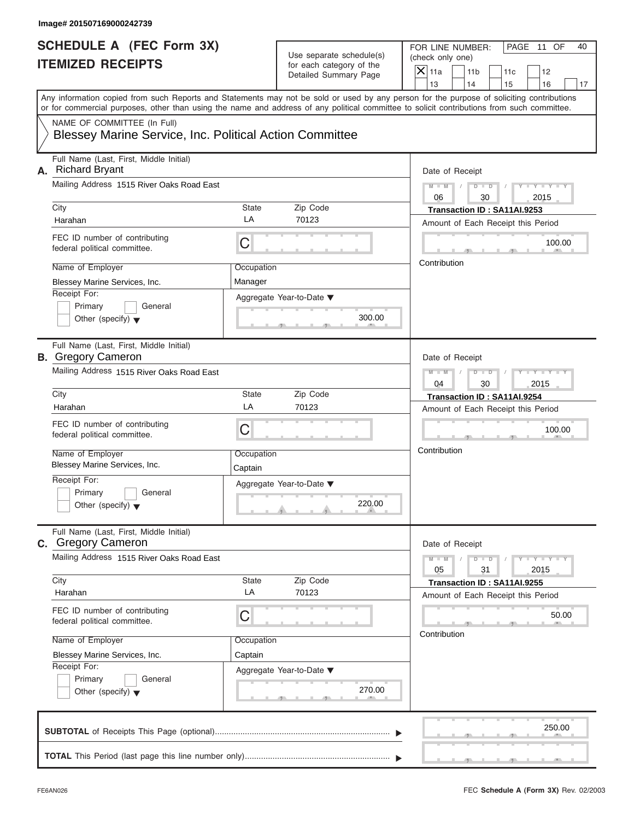| <b>SCHEDULE A (FEC Form 3X)</b>                                                        |                       | Use separate schedule(s)                          | FOR LINE NUMBER:<br>PAGE 11 OF<br>40                                                                                                                                                                                                                                                    |
|----------------------------------------------------------------------------------------|-----------------------|---------------------------------------------------|-----------------------------------------------------------------------------------------------------------------------------------------------------------------------------------------------------------------------------------------------------------------------------------------|
| <b>ITEMIZED RECEIPTS</b>                                                               |                       | for each category of the<br>Detailed Summary Page | (check only one)<br>$X$ 11a<br>11 <sub>b</sub><br>11c<br>12                                                                                                                                                                                                                             |
|                                                                                        |                       |                                                   | 13<br>14<br>15<br>16<br>17                                                                                                                                                                                                                                                              |
|                                                                                        |                       |                                                   | Any information copied from such Reports and Statements may not be sold or used by any person for the purpose of soliciting contributions<br>or for commercial purposes, other than using the name and address of any political committee to solicit contributions from such committee. |
| NAME OF COMMITTEE (In Full)<br>Blessey Marine Service, Inc. Political Action Committee |                       |                                                   |                                                                                                                                                                                                                                                                                         |
| Full Name (Last, First, Middle Initial)<br><b>Richard Bryant</b><br>А.                 |                       |                                                   | Date of Receipt                                                                                                                                                                                                                                                                         |
| Mailing Address 1515 River Oaks Road East                                              |                       |                                                   | $D$ $D$<br>$Y - Y - Y - Y - Y$<br>$M - M$<br>$\sqrt{ }$<br>$\sqrt{ }$<br>06<br>30<br>2015                                                                                                                                                                                               |
| City                                                                                   | State                 | Zip Code                                          | Transaction ID: SA11AI.9253                                                                                                                                                                                                                                                             |
| Harahan                                                                                | LA                    | 70123                                             | Amount of Each Receipt this Period                                                                                                                                                                                                                                                      |
| FEC ID number of contributing<br>federal political committee.                          | С                     |                                                   | 100.00                                                                                                                                                                                                                                                                                  |
| Name of Employer                                                                       | Occupation            |                                                   | Contribution                                                                                                                                                                                                                                                                            |
| Blessey Marine Services, Inc.                                                          | Manager               |                                                   |                                                                                                                                                                                                                                                                                         |
| Receipt For:                                                                           |                       | Aggregate Year-to-Date ▼                          |                                                                                                                                                                                                                                                                                         |
| Primary<br>General                                                                     |                       |                                                   |                                                                                                                                                                                                                                                                                         |
| Other (specify) $\blacktriangledown$                                                   |                       | 300.00                                            |                                                                                                                                                                                                                                                                                         |
| Full Name (Last, First, Middle Initial)<br><b>B.</b> Gregory Cameron                   |                       |                                                   | Date of Receipt                                                                                                                                                                                                                                                                         |
| Mailing Address 1515 River Oaks Road East                                              |                       |                                                   | $M - M$<br>$D - I$<br>$Y = Y = Y' - Y'$<br>$\sqrt{2}$                                                                                                                                                                                                                                   |
|                                                                                        |                       |                                                   | 04<br>30<br>2015                                                                                                                                                                                                                                                                        |
| City                                                                                   | State                 | Zip Code                                          | Transaction ID: SA11AI.9254                                                                                                                                                                                                                                                             |
| Harahan                                                                                | LA                    | 70123                                             | Amount of Each Receipt this Period                                                                                                                                                                                                                                                      |
| FEC ID number of contributing<br>federal political committee.                          | C                     |                                                   | 100.00                                                                                                                                                                                                                                                                                  |
| Name of Employer<br>Blessey Marine Services, Inc.                                      | Occupation<br>Captain |                                                   | Contribution                                                                                                                                                                                                                                                                            |
| Receipt For:                                                                           |                       | Aggregate Year-to-Date ▼                          |                                                                                                                                                                                                                                                                                         |
| Primary<br>General<br>Other (specify) $\blacktriangledown$                             |                       | 220.00                                            |                                                                                                                                                                                                                                                                                         |
| Full Name (Last, First, Middle Initial)<br><b>c.</b> Gregory Cameron                   |                       |                                                   | Date of Receipt                                                                                                                                                                                                                                                                         |
| Mailing Address 1515 River Oaks Road East                                              |                       |                                                   | $M - M$<br>$D$ $\Box$ $D$<br>$Y = Y = Y - Y$<br>05<br>31<br>2015                                                                                                                                                                                                                        |
| City                                                                                   | State                 | Zip Code                                          | Transaction ID: SA11AI.9255                                                                                                                                                                                                                                                             |
| Harahan                                                                                | LA                    | 70123                                             | Amount of Each Receipt this Period                                                                                                                                                                                                                                                      |
| FEC ID number of contributing<br>federal political committee.                          | С                     |                                                   | 50.00                                                                                                                                                                                                                                                                                   |
| Name of Employer                                                                       | Occupation            |                                                   | Contribution                                                                                                                                                                                                                                                                            |
| Blessey Marine Services, Inc.                                                          | Captain               |                                                   |                                                                                                                                                                                                                                                                                         |
| Receipt For:                                                                           |                       | Aggregate Year-to-Date ▼                          |                                                                                                                                                                                                                                                                                         |
| Primary<br>General                                                                     |                       | 270.00                                            |                                                                                                                                                                                                                                                                                         |
| Other (specify) $\blacktriangledown$                                                   |                       |                                                   |                                                                                                                                                                                                                                                                                         |
|                                                                                        |                       |                                                   | 250.00                                                                                                                                                                                                                                                                                  |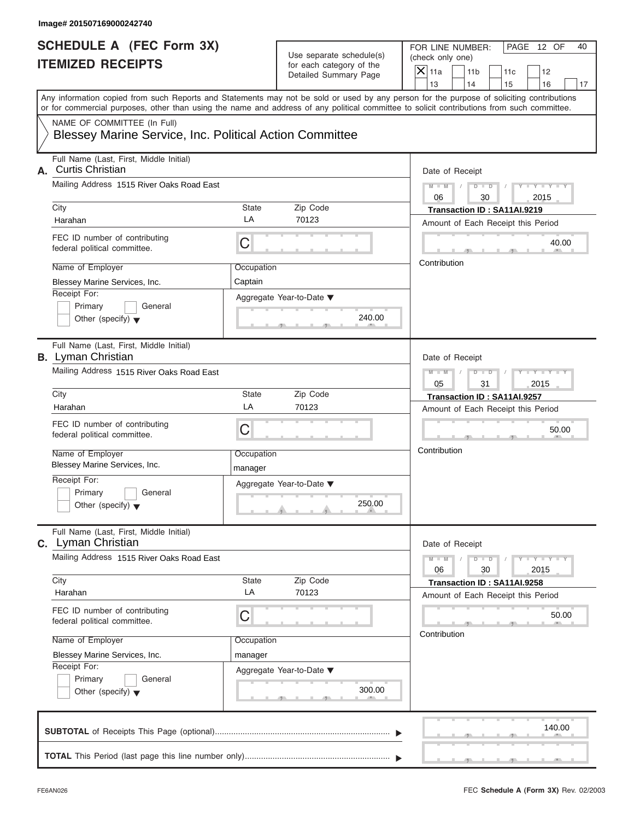| <b>SCHEDULE A (FEC Form 3X)</b>                                                        | FOR LINE NUMBER:<br>PAGE 12 OF<br>40 |                                                                               |                                                                                                                                                                                                                                                                                         |
|----------------------------------------------------------------------------------------|--------------------------------------|-------------------------------------------------------------------------------|-----------------------------------------------------------------------------------------------------------------------------------------------------------------------------------------------------------------------------------------------------------------------------------------|
| <b>ITEMIZED RECEIPTS</b>                                                               |                                      | Use separate schedule(s)<br>for each category of the<br>Detailed Summary Page | (check only one)<br>$X$ 11a<br>11 <sub>b</sub><br>11c<br>12                                                                                                                                                                                                                             |
|                                                                                        |                                      |                                                                               | 14<br>13<br>15<br>16                                                                                                                                                                                                                                                                    |
|                                                                                        |                                      |                                                                               | Any information copied from such Reports and Statements may not be sold or used by any person for the purpose of soliciting contributions<br>or for commercial purposes, other than using the name and address of any political committee to solicit contributions from such committee. |
| NAME OF COMMITTEE (In Full)<br>Blessey Marine Service, Inc. Political Action Committee |                                      |                                                                               |                                                                                                                                                                                                                                                                                         |
| Full Name (Last, First, Middle Initial)<br><b>Curtis Christian</b><br>А.               | Date of Receipt                      |                                                                               |                                                                                                                                                                                                                                                                                         |
| Mailing Address 1515 River Oaks Road East                                              |                                      |                                                                               | $D$ $\Box$ $D$<br>$Y - Y - Y - Y - Y$<br>$M - M$ /<br>$\sqrt{ }$<br>06<br>30<br>2015                                                                                                                                                                                                    |
| City                                                                                   | State                                | Zip Code                                                                      | Transaction ID: SA11AI.9219                                                                                                                                                                                                                                                             |
| Harahan                                                                                | LA                                   | 70123                                                                         | Amount of Each Receipt this Period                                                                                                                                                                                                                                                      |
| FEC ID number of contributing<br>federal political committee.                          | С                                    |                                                                               | 40.00                                                                                                                                                                                                                                                                                   |
| Name of Employer                                                                       | Occupation                           |                                                                               | Contribution                                                                                                                                                                                                                                                                            |
| Blessey Marine Services, Inc.                                                          | Captain                              |                                                                               |                                                                                                                                                                                                                                                                                         |
| Receipt For:<br>Primary<br>General                                                     |                                      | Aggregate Year-to-Date ▼                                                      |                                                                                                                                                                                                                                                                                         |
| Other (specify) $\blacktriangledown$                                                   |                                      | 240.00                                                                        |                                                                                                                                                                                                                                                                                         |
| Full Name (Last, First, Middle Initial)<br><b>B.</b> Lyman Christian                   | Date of Receipt                      |                                                                               |                                                                                                                                                                                                                                                                                         |
| Mailing Address 1515 River Oaks Road East                                              |                                      |                                                                               | $M - M$<br>$D - I - D$<br>$Y = Y = Y' - Y'$<br>$\sqrt{ }$                                                                                                                                                                                                                               |
| City                                                                                   | State                                | Zip Code                                                                      | 05<br>31<br>2015                                                                                                                                                                                                                                                                        |
| Harahan                                                                                | LA                                   | 70123                                                                         | Transaction ID: SA11AI.9257<br>Amount of Each Receipt this Period                                                                                                                                                                                                                       |
| FEC ID number of contributing                                                          |                                      |                                                                               |                                                                                                                                                                                                                                                                                         |
| federal political committee.                                                           | C                                    |                                                                               | 50.00                                                                                                                                                                                                                                                                                   |
| Name of Employer<br>Blessey Marine Services, Inc.                                      | Occupation<br>manager                |                                                                               | Contribution                                                                                                                                                                                                                                                                            |
| Receipt For:                                                                           |                                      | Aggregate Year-to-Date ▼                                                      |                                                                                                                                                                                                                                                                                         |
| Primary<br>General<br>Other (specify) $\blacktriangledown$                             |                                      | 250.00                                                                        |                                                                                                                                                                                                                                                                                         |
| Full Name (Last, First, Middle Initial)<br><b>C.</b> Lyman Christian                   |                                      |                                                                               | Date of Receipt                                                                                                                                                                                                                                                                         |
| Mailing Address 1515 River Oaks Road East                                              |                                      |                                                                               | $M - M$<br>$Y = Y = Y - Y$<br>$D$ $D$<br>06<br>30<br>2015                                                                                                                                                                                                                               |
| City                                                                                   | State                                | Zip Code                                                                      | Transaction ID: SA11AI.9258                                                                                                                                                                                                                                                             |
| Harahan                                                                                | LA                                   | 70123                                                                         | Amount of Each Receipt this Period                                                                                                                                                                                                                                                      |
| FEC ID number of contributing<br>federal political committee.                          | С                                    |                                                                               | 50.00                                                                                                                                                                                                                                                                                   |
| Name of Employer                                                                       | Occupation                           |                                                                               | Contribution                                                                                                                                                                                                                                                                            |
| Blessey Marine Services, Inc.                                                          | manager                              |                                                                               |                                                                                                                                                                                                                                                                                         |
| Receipt For:                                                                           |                                      | Aggregate Year-to-Date ▼                                                      |                                                                                                                                                                                                                                                                                         |
| Primary<br>General<br>Other (specify) $\blacktriangledown$                             |                                      | 300.00                                                                        |                                                                                                                                                                                                                                                                                         |
|                                                                                        |                                      |                                                                               | 140.00                                                                                                                                                                                                                                                                                  |
|                                                                                        |                                      |                                                                               |                                                                                                                                                                                                                                                                                         |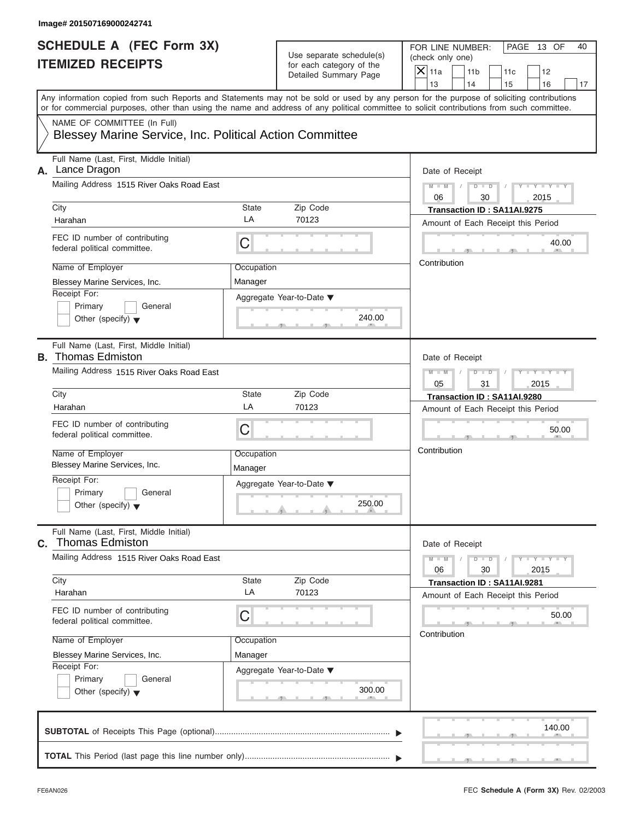| <b>SCHEDULE A (FEC Form 3X)</b>                                         |                 |                                                                               | FOR LINE NUMBER:<br>PAGE 13 OF<br>40                                                                                                                                                                                                                                                    |
|-------------------------------------------------------------------------|-----------------|-------------------------------------------------------------------------------|-----------------------------------------------------------------------------------------------------------------------------------------------------------------------------------------------------------------------------------------------------------------------------------------|
| <b>ITEMIZED RECEIPTS</b>                                                |                 | Use separate schedule(s)<br>for each category of the<br>Detailed Summary Page | (check only one)                                                                                                                                                                                                                                                                        |
|                                                                         |                 |                                                                               | $X$ 11a<br>11 <sub>b</sub><br>11c<br>12                                                                                                                                                                                                                                                 |
|                                                                         |                 |                                                                               | 13<br>14<br>15<br>16<br>17                                                                                                                                                                                                                                                              |
|                                                                         |                 |                                                                               | Any information copied from such Reports and Statements may not be sold or used by any person for the purpose of soliciting contributions<br>or for commercial purposes, other than using the name and address of any political committee to solicit contributions from such committee. |
| NAME OF COMMITTEE (In Full)                                             |                 |                                                                               |                                                                                                                                                                                                                                                                                         |
| Blessey Marine Service, Inc. Political Action Committee                 |                 |                                                                               |                                                                                                                                                                                                                                                                                         |
| Full Name (Last, First, Middle Initial)<br>Lance Dragon<br>А.           | Date of Receipt |                                                                               |                                                                                                                                                                                                                                                                                         |
| Mailing Address 1515 River Oaks Road East                               |                 |                                                                               | $D$ $\Box$ $D$<br>$Y - Y - Y - Y - Y$<br>$M$ $M$ $I$ $I$<br>$\sqrt{ }$<br>06<br>30<br>2015                                                                                                                                                                                              |
| City                                                                    | State           | Zip Code                                                                      | Transaction ID: SA11AI.9275                                                                                                                                                                                                                                                             |
| Harahan                                                                 | LA              | 70123                                                                         | Amount of Each Receipt this Period                                                                                                                                                                                                                                                      |
| FEC ID number of contributing<br>federal political committee.           | С               |                                                                               | 40.00                                                                                                                                                                                                                                                                                   |
| Name of Employer                                                        | Occupation      |                                                                               | Contribution                                                                                                                                                                                                                                                                            |
| Blessey Marine Services, Inc.                                           | Manager         |                                                                               |                                                                                                                                                                                                                                                                                         |
| Receipt For:                                                            |                 | Aggregate Year-to-Date ▼                                                      |                                                                                                                                                                                                                                                                                         |
| Primary<br>General                                                      |                 |                                                                               |                                                                                                                                                                                                                                                                                         |
| Other (specify) $\blacktriangledown$                                    |                 | 240.00                                                                        |                                                                                                                                                                                                                                                                                         |
| Full Name (Last, First, Middle Initial)<br><b>B.</b> Thomas Edmiston    | Date of Receipt |                                                                               |                                                                                                                                                                                                                                                                                         |
| Mailing Address 1515 River Oaks Road East                               |                 |                                                                               | $M - M$<br>$D - I - D$<br>$Y = Y = Y' - Y'$<br>$\sqrt{ }$                                                                                                                                                                                                                               |
|                                                                         |                 |                                                                               | 05<br>31<br>2015                                                                                                                                                                                                                                                                        |
| City                                                                    | State           | Zip Code                                                                      | Transaction ID: SA11AI.9280                                                                                                                                                                                                                                                             |
| Harahan                                                                 | LA              | 70123                                                                         | Amount of Each Receipt this Period                                                                                                                                                                                                                                                      |
| FEC ID number of contributing<br>federal political committee.           | C               |                                                                               | 50.00                                                                                                                                                                                                                                                                                   |
| Name of Employer                                                        | Occupation      |                                                                               | Contribution                                                                                                                                                                                                                                                                            |
| Blessey Marine Services, Inc.                                           | Manager         |                                                                               |                                                                                                                                                                                                                                                                                         |
| Receipt For:                                                            |                 | Aggregate Year-to-Date ▼                                                      |                                                                                                                                                                                                                                                                                         |
| Primary<br>General                                                      |                 |                                                                               |                                                                                                                                                                                                                                                                                         |
| Other (specify) $\blacktriangledown$                                    |                 | 250.00                                                                        |                                                                                                                                                                                                                                                                                         |
| Full Name (Last, First, Middle Initial)<br><b>Thomas Edmiston</b><br>С. |                 |                                                                               | Date of Receipt                                                                                                                                                                                                                                                                         |
| Mailing Address 1515 River Oaks Road East                               |                 |                                                                               | $M - M$<br>$D$ $\Box$ $D$<br>$Y = Y = Y - Y$<br>06<br>30<br>2015                                                                                                                                                                                                                        |
| City                                                                    | State           | Zip Code                                                                      | Transaction ID: SA11AI.9281                                                                                                                                                                                                                                                             |
| Harahan                                                                 | LA              | 70123                                                                         | Amount of Each Receipt this Period                                                                                                                                                                                                                                                      |
| FEC ID number of contributing<br>federal political committee.           | С               |                                                                               | 50.00                                                                                                                                                                                                                                                                                   |
| Name of Employer                                                        | Occupation      |                                                                               | Contribution                                                                                                                                                                                                                                                                            |
| Blessey Marine Services, Inc.                                           | Manager         |                                                                               |                                                                                                                                                                                                                                                                                         |
| Receipt For:                                                            |                 | Aggregate Year-to-Date ▼                                                      |                                                                                                                                                                                                                                                                                         |
| Primary<br>General<br>Other (specify) $\blacktriangledown$              |                 | 300.00                                                                        |                                                                                                                                                                                                                                                                                         |
|                                                                         |                 |                                                                               | 140.00                                                                                                                                                                                                                                                                                  |
|                                                                         |                 |                                                                               |                                                                                                                                                                                                                                                                                         |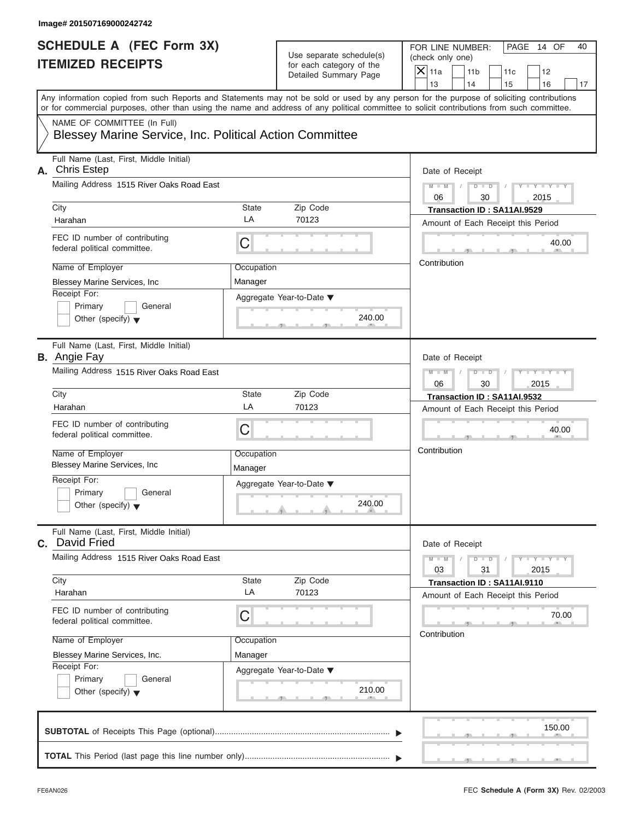| <b>SCHEDULE A (FEC Form 3X)</b>                                     | FOR LINE NUMBER:<br>PAGE 14 OF<br>40 |                                                      |                                                                                                                                                                         |
|---------------------------------------------------------------------|--------------------------------------|------------------------------------------------------|-------------------------------------------------------------------------------------------------------------------------------------------------------------------------|
| <b>ITEMIZED RECEIPTS</b>                                            |                                      | Use separate schedule(s)<br>for each category of the | (check only one)                                                                                                                                                        |
|                                                                     |                                      | Detailed Summary Page                                | $X$ 11a<br>11 <sub>b</sub><br>11c<br>12                                                                                                                                 |
|                                                                     |                                      |                                                      | 13<br>14<br>15<br>16<br>17<br>Any information copied from such Reports and Statements may not be sold or used by any person for the purpose of soliciting contributions |
|                                                                     |                                      |                                                      | or for commercial purposes, other than using the name and address of any political committee to solicit contributions from such committee.                              |
| NAME OF COMMITTEE (In Full)                                         |                                      |                                                      |                                                                                                                                                                         |
| Blessey Marine Service, Inc. Political Action Committee             |                                      |                                                      |                                                                                                                                                                         |
| Full Name (Last, First, Middle Initial)<br><b>Chris Estep</b><br>А. | Date of Receipt                      |                                                      |                                                                                                                                                                         |
| Mailing Address 1515 River Oaks Road East                           |                                      |                                                      | $D$ $\Box$ $D$<br>$Y - Y - Y - Y - Y$<br>$M$ $M$ $I$ $I$<br>$\sqrt{ }$<br>06<br>30<br>2015                                                                              |
| City                                                                | State                                | Zip Code                                             | Transaction ID: SA11AI.9529                                                                                                                                             |
| Harahan                                                             | LA                                   | 70123                                                | Amount of Each Receipt this Period                                                                                                                                      |
| FEC ID number of contributing<br>federal political committee.       | С                                    |                                                      | 40.00                                                                                                                                                                   |
| Name of Employer                                                    | Occupation                           |                                                      | Contribution                                                                                                                                                            |
| Blessey Marine Services, Inc                                        | Manager                              |                                                      |                                                                                                                                                                         |
| Receipt For:                                                        |                                      | Aggregate Year-to-Date ▼                             |                                                                                                                                                                         |
| Primary<br>General                                                  |                                      |                                                      |                                                                                                                                                                         |
| Other (specify) $\blacktriangledown$                                |                                      | 240.00                                               |                                                                                                                                                                         |
| Full Name (Last, First, Middle Initial)<br><b>B.</b> Angie Fay      | Date of Receipt                      |                                                      |                                                                                                                                                                         |
| Mailing Address 1515 River Oaks Road East                           |                                      |                                                      | $M - M$<br>$D - I - D$<br>$Y = Y = Y' - Y'$<br>$\sqrt{2}$                                                                                                               |
|                                                                     |                                      |                                                      | 06<br>30<br>2015                                                                                                                                                        |
| City                                                                | State                                | Zip Code                                             | Transaction ID: SA11AI.9532                                                                                                                                             |
| Harahan                                                             | LA                                   | 70123                                                | Amount of Each Receipt this Period                                                                                                                                      |
| FEC ID number of contributing<br>federal political committee.       | C                                    |                                                      | 40.00                                                                                                                                                                   |
| Name of Employer                                                    | Occupation                           |                                                      | Contribution                                                                                                                                                            |
| <b>Blessey Marine Services, Inc.</b>                                | Manager                              |                                                      |                                                                                                                                                                         |
| Receipt For:                                                        |                                      | Aggregate Year-to-Date ▼                             |                                                                                                                                                                         |
| Primary<br>General                                                  |                                      |                                                      |                                                                                                                                                                         |
| Other (specify) $\blacktriangledown$                                |                                      | 240.00                                               |                                                                                                                                                                         |
| Full Name (Last, First, Middle Initial)<br>C. David Fried           |                                      |                                                      | Date of Receipt                                                                                                                                                         |
| Mailing Address 1515 River Oaks Road East                           |                                      |                                                      | $M - M$<br>$D$ $\Box$ $D$<br>$Y - Y - Y - Y - Y$<br>31<br>03<br>2015                                                                                                    |
| City                                                                | State                                | Zip Code                                             | Transaction ID: SA11AI.9110                                                                                                                                             |
| Harahan                                                             | LA                                   | 70123                                                | Amount of Each Receipt this Period                                                                                                                                      |
| FEC ID number of contributing<br>federal political committee.       | С                                    |                                                      | 70.00                                                                                                                                                                   |
| Name of Employer                                                    | Occupation                           |                                                      | Contribution                                                                                                                                                            |
| Blessey Marine Services, Inc.                                       | Manager                              |                                                      |                                                                                                                                                                         |
| Receipt For:                                                        |                                      | Aggregate Year-to-Date ▼                             |                                                                                                                                                                         |
| Primary<br>General<br>Other (specify) $\blacktriangledown$          |                                      | 210.00                                               |                                                                                                                                                                         |
|                                                                     |                                      |                                                      | 150.00                                                                                                                                                                  |
|                                                                     |                                      |                                                      |                                                                                                                                                                         |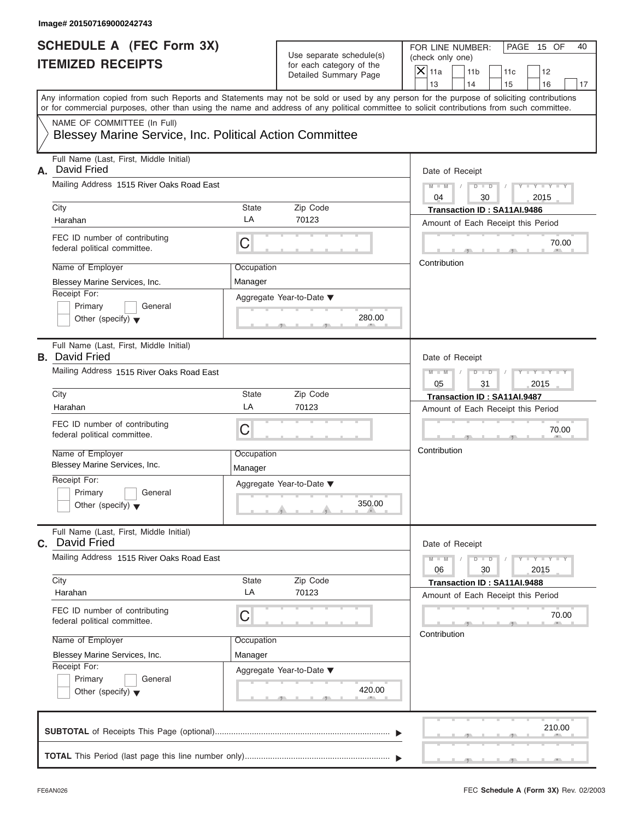| <b>SCHEDULE A (FEC Form 3X)</b><br><b>ITEMIZED RECEIPTS</b><br>Any information copied from such Reports and Statements may not be sold or used by any person for the purpose of soliciting contributions<br>or for commercial purposes, other than using the name and address of any political committee to solicit contributions from such committee.<br>NAME OF COMMITTEE (In Full)<br>Blessey Marine Service, Inc. Political Action Committee<br>Full Name (Last, First, Middle Initial)<br>David Fried<br>А.<br>Mailing Address 1515 River Oaks Road East<br>City<br>State<br>Zip Code<br>LA<br>70123<br>Harahan<br>FEC ID number of contributing<br>C<br>federal political committee.<br>Name of Employer<br>Occupation<br>Blessey Marine Services, Inc.<br>Manager<br>Receipt For:<br>Aggregate Year-to-Date ▼<br>Primary<br>General | Use separate schedule(s)<br>for each category of the<br>Detailed Summary Page<br>280.00 | FOR LINE NUMBER:<br>PAGE 15 OF<br>(check only one)<br>$X$ 11a<br>11 <sub>b</sub><br>11c<br>12<br>13<br>14<br>15<br>16<br>Date of Receipt<br>$D$ $D$<br>$Y - Y - Y - Y - Y$<br>$M - M$<br>$\sqrt{ }$<br>04<br>30<br>2015<br>Transaction ID: SA11AI.9486<br>Amount of Each Receipt this Period<br>70.00<br>Contribution |
|--------------------------------------------------------------------------------------------------------------------------------------------------------------------------------------------------------------------------------------------------------------------------------------------------------------------------------------------------------------------------------------------------------------------------------------------------------------------------------------------------------------------------------------------------------------------------------------------------------------------------------------------------------------------------------------------------------------------------------------------------------------------------------------------------------------------------------------------|-----------------------------------------------------------------------------------------|-----------------------------------------------------------------------------------------------------------------------------------------------------------------------------------------------------------------------------------------------------------------------------------------------------------------------|
|                                                                                                                                                                                                                                                                                                                                                                                                                                                                                                                                                                                                                                                                                                                                                                                                                                            |                                                                                         |                                                                                                                                                                                                                                                                                                                       |
|                                                                                                                                                                                                                                                                                                                                                                                                                                                                                                                                                                                                                                                                                                                                                                                                                                            |                                                                                         |                                                                                                                                                                                                                                                                                                                       |
|                                                                                                                                                                                                                                                                                                                                                                                                                                                                                                                                                                                                                                                                                                                                                                                                                                            |                                                                                         |                                                                                                                                                                                                                                                                                                                       |
|                                                                                                                                                                                                                                                                                                                                                                                                                                                                                                                                                                                                                                                                                                                                                                                                                                            |                                                                                         |                                                                                                                                                                                                                                                                                                                       |
|                                                                                                                                                                                                                                                                                                                                                                                                                                                                                                                                                                                                                                                                                                                                                                                                                                            |                                                                                         |                                                                                                                                                                                                                                                                                                                       |
|                                                                                                                                                                                                                                                                                                                                                                                                                                                                                                                                                                                                                                                                                                                                                                                                                                            |                                                                                         |                                                                                                                                                                                                                                                                                                                       |
|                                                                                                                                                                                                                                                                                                                                                                                                                                                                                                                                                                                                                                                                                                                                                                                                                                            |                                                                                         |                                                                                                                                                                                                                                                                                                                       |
|                                                                                                                                                                                                                                                                                                                                                                                                                                                                                                                                                                                                                                                                                                                                                                                                                                            |                                                                                         |                                                                                                                                                                                                                                                                                                                       |
|                                                                                                                                                                                                                                                                                                                                                                                                                                                                                                                                                                                                                                                                                                                                                                                                                                            |                                                                                         |                                                                                                                                                                                                                                                                                                                       |
|                                                                                                                                                                                                                                                                                                                                                                                                                                                                                                                                                                                                                                                                                                                                                                                                                                            |                                                                                         |                                                                                                                                                                                                                                                                                                                       |
|                                                                                                                                                                                                                                                                                                                                                                                                                                                                                                                                                                                                                                                                                                                                                                                                                                            |                                                                                         |                                                                                                                                                                                                                                                                                                                       |
|                                                                                                                                                                                                                                                                                                                                                                                                                                                                                                                                                                                                                                                                                                                                                                                                                                            |                                                                                         |                                                                                                                                                                                                                                                                                                                       |
|                                                                                                                                                                                                                                                                                                                                                                                                                                                                                                                                                                                                                                                                                                                                                                                                                                            |                                                                                         |                                                                                                                                                                                                                                                                                                                       |
|                                                                                                                                                                                                                                                                                                                                                                                                                                                                                                                                                                                                                                                                                                                                                                                                                                            |                                                                                         |                                                                                                                                                                                                                                                                                                                       |
|                                                                                                                                                                                                                                                                                                                                                                                                                                                                                                                                                                                                                                                                                                                                                                                                                                            |                                                                                         |                                                                                                                                                                                                                                                                                                                       |
|                                                                                                                                                                                                                                                                                                                                                                                                                                                                                                                                                                                                                                                                                                                                                                                                                                            |                                                                                         |                                                                                                                                                                                                                                                                                                                       |
| Other (specify) $\blacktriangledown$                                                                                                                                                                                                                                                                                                                                                                                                                                                                                                                                                                                                                                                                                                                                                                                                       |                                                                                         |                                                                                                                                                                                                                                                                                                                       |
|                                                                                                                                                                                                                                                                                                                                                                                                                                                                                                                                                                                                                                                                                                                                                                                                                                            |                                                                                         |                                                                                                                                                                                                                                                                                                                       |
| Full Name (Last, First, Middle Initial)<br><b>B.</b> David Fried                                                                                                                                                                                                                                                                                                                                                                                                                                                                                                                                                                                                                                                                                                                                                                           |                                                                                         | Date of Receipt                                                                                                                                                                                                                                                                                                       |
| Mailing Address 1515 River Oaks Road East                                                                                                                                                                                                                                                                                                                                                                                                                                                                                                                                                                                                                                                                                                                                                                                                  |                                                                                         | Y T Y T Y T<br>$M - M$<br>$D - I - D$                                                                                                                                                                                                                                                                                 |
|                                                                                                                                                                                                                                                                                                                                                                                                                                                                                                                                                                                                                                                                                                                                                                                                                                            |                                                                                         | 05<br>31<br>2015                                                                                                                                                                                                                                                                                                      |
| City<br>State<br>Zip Code<br>LA<br>70123<br>Harahan                                                                                                                                                                                                                                                                                                                                                                                                                                                                                                                                                                                                                                                                                                                                                                                        |                                                                                         | Transaction ID: SA11AI.9487                                                                                                                                                                                                                                                                                           |
|                                                                                                                                                                                                                                                                                                                                                                                                                                                                                                                                                                                                                                                                                                                                                                                                                                            |                                                                                         | Amount of Each Receipt this Period                                                                                                                                                                                                                                                                                    |
| FEC ID number of contributing<br>C<br>federal political committee.                                                                                                                                                                                                                                                                                                                                                                                                                                                                                                                                                                                                                                                                                                                                                                         |                                                                                         | 70.00                                                                                                                                                                                                                                                                                                                 |
| Name of Employer<br>Occupation                                                                                                                                                                                                                                                                                                                                                                                                                                                                                                                                                                                                                                                                                                                                                                                                             |                                                                                         | Contribution                                                                                                                                                                                                                                                                                                          |
| Blessey Marine Services, Inc.<br>Manager                                                                                                                                                                                                                                                                                                                                                                                                                                                                                                                                                                                                                                                                                                                                                                                                   |                                                                                         |                                                                                                                                                                                                                                                                                                                       |
| Receipt For:<br>Aggregate Year-to-Date ▼                                                                                                                                                                                                                                                                                                                                                                                                                                                                                                                                                                                                                                                                                                                                                                                                   |                                                                                         |                                                                                                                                                                                                                                                                                                                       |
| Primary<br>General                                                                                                                                                                                                                                                                                                                                                                                                                                                                                                                                                                                                                                                                                                                                                                                                                         |                                                                                         |                                                                                                                                                                                                                                                                                                                       |
| Other (specify) $\blacktriangledown$                                                                                                                                                                                                                                                                                                                                                                                                                                                                                                                                                                                                                                                                                                                                                                                                       | 350.00                                                                                  |                                                                                                                                                                                                                                                                                                                       |
| Full Name (Last, First, Middle Initial)<br>C. David Fried                                                                                                                                                                                                                                                                                                                                                                                                                                                                                                                                                                                                                                                                                                                                                                                  |                                                                                         | Date of Receipt                                                                                                                                                                                                                                                                                                       |
| Mailing Address 1515 River Oaks Road East                                                                                                                                                                                                                                                                                                                                                                                                                                                                                                                                                                                                                                                                                                                                                                                                  |                                                                                         | $Y - Y - Y - Y - Y$<br>$M - M$<br>$D$ $\Box$ $D$<br>06<br>30<br>2015                                                                                                                                                                                                                                                  |
| City<br>Zip Code<br>State                                                                                                                                                                                                                                                                                                                                                                                                                                                                                                                                                                                                                                                                                                                                                                                                                  |                                                                                         | Transaction ID: SA11AI.9488                                                                                                                                                                                                                                                                                           |
| LA<br>70123<br>Harahan                                                                                                                                                                                                                                                                                                                                                                                                                                                                                                                                                                                                                                                                                                                                                                                                                     |                                                                                         | Amount of Each Receipt this Period                                                                                                                                                                                                                                                                                    |
| FEC ID number of contributing<br>С<br>federal political committee.                                                                                                                                                                                                                                                                                                                                                                                                                                                                                                                                                                                                                                                                                                                                                                         |                                                                                         | 70.00                                                                                                                                                                                                                                                                                                                 |
| Name of Employer<br>Occupation                                                                                                                                                                                                                                                                                                                                                                                                                                                                                                                                                                                                                                                                                                                                                                                                             |                                                                                         | Contribution                                                                                                                                                                                                                                                                                                          |
| Blessey Marine Services, Inc.<br>Manager                                                                                                                                                                                                                                                                                                                                                                                                                                                                                                                                                                                                                                                                                                                                                                                                   |                                                                                         |                                                                                                                                                                                                                                                                                                                       |
| Receipt For:<br>Aggregate Year-to-Date ▼                                                                                                                                                                                                                                                                                                                                                                                                                                                                                                                                                                                                                                                                                                                                                                                                   |                                                                                         |                                                                                                                                                                                                                                                                                                                       |
| Primary<br>General                                                                                                                                                                                                                                                                                                                                                                                                                                                                                                                                                                                                                                                                                                                                                                                                                         |                                                                                         |                                                                                                                                                                                                                                                                                                                       |
| Other (specify) $\blacktriangledown$                                                                                                                                                                                                                                                                                                                                                                                                                                                                                                                                                                                                                                                                                                                                                                                                       | 420.00                                                                                  |                                                                                                                                                                                                                                                                                                                       |
|                                                                                                                                                                                                                                                                                                                                                                                                                                                                                                                                                                                                                                                                                                                                                                                                                                            |                                                                                         |                                                                                                                                                                                                                                                                                                                       |
|                                                                                                                                                                                                                                                                                                                                                                                                                                                                                                                                                                                                                                                                                                                                                                                                                                            |                                                                                         |                                                                                                                                                                                                                                                                                                                       |
|                                                                                                                                                                                                                                                                                                                                                                                                                                                                                                                                                                                                                                                                                                                                                                                                                                            |                                                                                         | 210.00                                                                                                                                                                                                                                                                                                                |
|                                                                                                                                                                                                                                                                                                                                                                                                                                                                                                                                                                                                                                                                                                                                                                                                                                            |                                                                                         |                                                                                                                                                                                                                                                                                                                       |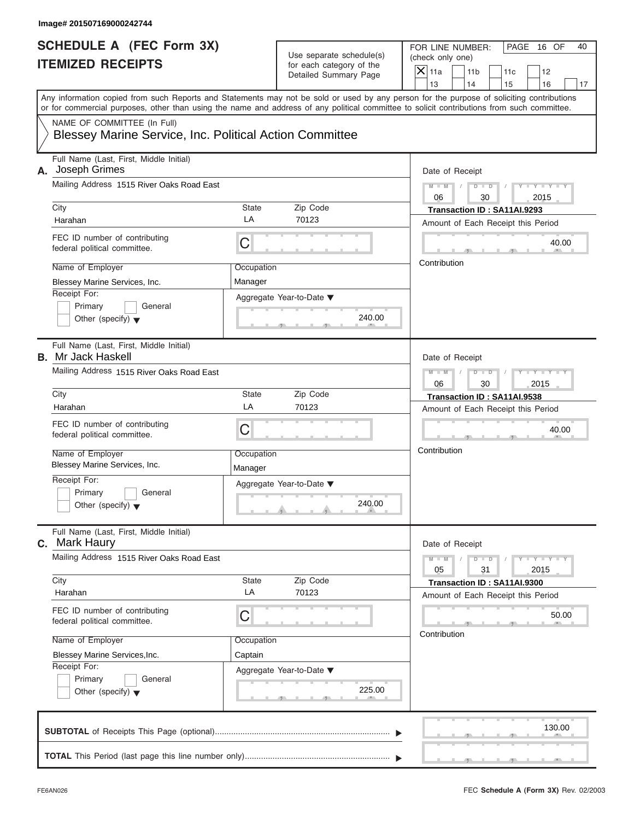| Image# 201507169000242744<br><b>SCHEDULE A (FEC Form 3X)</b>                           |                       |                                                   | FOR LINE NUMBER:<br>PAGE 16 OF<br>40                                                                                                                                                                                                                                                    |  |  |
|----------------------------------------------------------------------------------------|-----------------------|---------------------------------------------------|-----------------------------------------------------------------------------------------------------------------------------------------------------------------------------------------------------------------------------------------------------------------------------------------|--|--|
| <b>ITEMIZED RECEIPTS</b>                                                               |                       | Use separate schedule(s)                          | (check only one)                                                                                                                                                                                                                                                                        |  |  |
|                                                                                        |                       | for each category of the<br>Detailed Summary Page | $X$ 11a<br>11 <sub>b</sub><br>11c<br>12                                                                                                                                                                                                                                                 |  |  |
|                                                                                        |                       |                                                   | 14<br>13<br>15<br>16<br>17                                                                                                                                                                                                                                                              |  |  |
|                                                                                        |                       |                                                   | Any information copied from such Reports and Statements may not be sold or used by any person for the purpose of soliciting contributions<br>or for commercial purposes, other than using the name and address of any political committee to solicit contributions from such committee. |  |  |
| NAME OF COMMITTEE (In Full)<br>Blessey Marine Service, Inc. Political Action Committee |                       |                                                   |                                                                                                                                                                                                                                                                                         |  |  |
| Full Name (Last, First, Middle Initial)<br>A. Joseph Grimes                            | Date of Receipt       |                                                   |                                                                                                                                                                                                                                                                                         |  |  |
| Mailing Address 1515 River Oaks Road East                                              |                       |                                                   | $D$ $\Box$ $D$<br>$Y - Y - Y - Y - Y$<br>$M - M$ /<br>$\sqrt{ }$<br>06<br>30<br>2015                                                                                                                                                                                                    |  |  |
| City                                                                                   | State                 | Zip Code                                          | Transaction ID: SA11AI.9293                                                                                                                                                                                                                                                             |  |  |
| Harahan                                                                                | LA                    | 70123                                             | Amount of Each Receipt this Period                                                                                                                                                                                                                                                      |  |  |
| FEC ID number of contributing<br>federal political committee.                          | С                     |                                                   | 40.00                                                                                                                                                                                                                                                                                   |  |  |
| Name of Employer                                                                       | Occupation            |                                                   | Contribution                                                                                                                                                                                                                                                                            |  |  |
| Blessey Marine Services, Inc.                                                          | Manager               |                                                   |                                                                                                                                                                                                                                                                                         |  |  |
| Receipt For:                                                                           |                       | Aggregate Year-to-Date ▼                          |                                                                                                                                                                                                                                                                                         |  |  |
| Primary<br>General                                                                     |                       |                                                   |                                                                                                                                                                                                                                                                                         |  |  |
| Other (specify) $\blacktriangledown$                                                   |                       | 240.00                                            |                                                                                                                                                                                                                                                                                         |  |  |
| Full Name (Last, First, Middle Initial)<br><b>B.</b> Mr Jack Haskell                   | Date of Receipt       |                                                   |                                                                                                                                                                                                                                                                                         |  |  |
| Mailing Address 1515 River Oaks Road East                                              |                       |                                                   | $M - M$<br>$D - I$<br>$Y = Y = Y' - Y'$<br>$\sqrt{ }$<br>06<br>30<br>2015                                                                                                                                                                                                               |  |  |
| City                                                                                   | State                 | Zip Code                                          | Transaction ID: SA11AI.9538                                                                                                                                                                                                                                                             |  |  |
| Harahan                                                                                | LA                    | 70123                                             | Amount of Each Receipt this Period                                                                                                                                                                                                                                                      |  |  |
| FEC ID number of contributing<br>federal political committee.                          | C                     |                                                   | 40.00                                                                                                                                                                                                                                                                                   |  |  |
| Name of Employer<br>Blessey Marine Services, Inc.                                      | Occupation<br>Manager |                                                   | Contribution                                                                                                                                                                                                                                                                            |  |  |
| Receipt For:                                                                           |                       | Aggregate Year-to-Date ▼                          |                                                                                                                                                                                                                                                                                         |  |  |
| Primary<br>General<br>Other (specify) $\blacktriangledown$                             |                       | 240.00                                            |                                                                                                                                                                                                                                                                                         |  |  |
| Full Name (Last, First, Middle Initial)<br>C. Mark Haury                               |                       |                                                   | Date of Receipt                                                                                                                                                                                                                                                                         |  |  |
| Mailing Address 1515 River Oaks Road East                                              |                       |                                                   | $Y - Y - Y - Y - I$<br>$M - M$<br>$D$ $\Box$ $D$<br>31<br>05<br>2015                                                                                                                                                                                                                    |  |  |
| City                                                                                   | State                 | Zip Code                                          | Transaction ID: SA11AI.9300                                                                                                                                                                                                                                                             |  |  |
| Harahan                                                                                | LA                    | 70123                                             | Amount of Each Receipt this Period                                                                                                                                                                                                                                                      |  |  |
| FEC ID number of contributing<br>federal political committee.                          | С                     |                                                   | 50.00                                                                                                                                                                                                                                                                                   |  |  |
| Name of Employer                                                                       | Occupation            |                                                   | Contribution                                                                                                                                                                                                                                                                            |  |  |
| Blessey Marine Services, Inc.                                                          | Captain               |                                                   |                                                                                                                                                                                                                                                                                         |  |  |
| Receipt For:                                                                           |                       | Aggregate Year-to-Date ▼                          |                                                                                                                                                                                                                                                                                         |  |  |
| Primary<br>General<br>Other (specify) $\blacktriangledown$                             |                       | 225.00                                            |                                                                                                                                                                                                                                                                                         |  |  |
|                                                                                        |                       |                                                   | 130.00                                                                                                                                                                                                                                                                                  |  |  |
|                                                                                        |                       |                                                   |                                                                                                                                                                                                                                                                                         |  |  |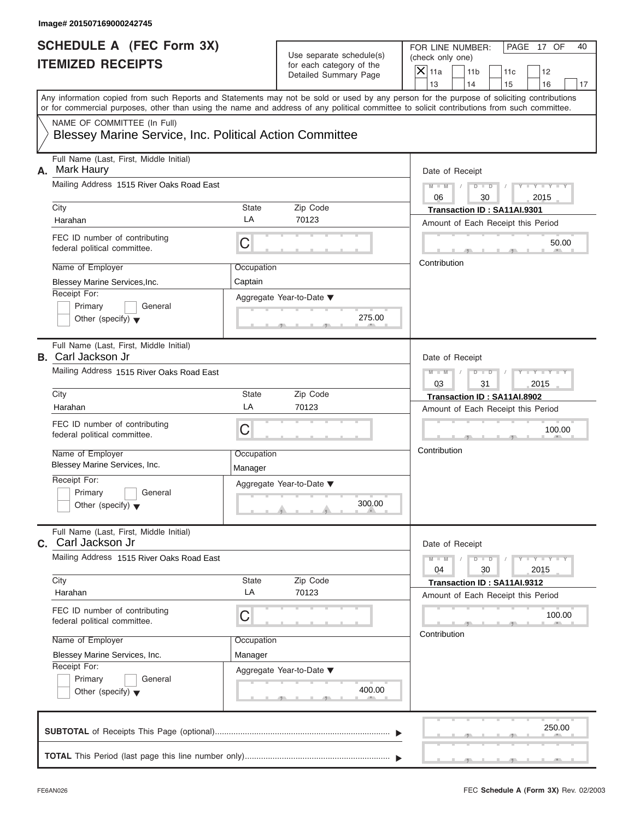| <b>SCHEDULE A (FEC Form 3X)</b><br>Use separate schedule(s)<br><b>ITEMIZED RECEIPTS</b><br>for each category of the<br>Detailed Summary Page<br>NAME OF COMMITTEE (In Full)<br>Blessey Marine Service, Inc. Political Action Committee<br>Full Name (Last, First, Middle Initial)<br>Mark Haury<br>Mailing Address 1515 River Oaks Road East<br>City<br>State<br>Zip Code<br>LA<br>70123<br>Harahan<br>FEC ID number of contributing<br>C<br>federal political committee.<br>Name of Employer<br>Occupation<br>Blessey Marine Services, Inc.<br>Captain<br>Receipt For:<br>Aggregate Year-to-Date ▼<br>Primary<br>General<br>275.00<br>Other (specify) $\blacktriangledown$<br>Full Name (Last, First, Middle Initial)<br>Mailing Address 1515 River Oaks Road East<br>City<br>State<br>Zip Code<br>LA<br>70123<br>Harahan<br>FEC ID number of contributing<br>C<br>federal political committee.<br>Name of Employer<br>Occupation<br>Blessey Marine Services, Inc.<br>Manager<br>Receipt For:<br>Aggregate Year-to-Date ▼<br>Primary<br>General<br>300.00<br>Other (specify) $\blacktriangledown$ | FOR LINE NUMBER:<br>PAGE 17 OF<br>40<br>(check only one)<br>$X$ 11a<br>11 <sub>b</sub><br>11c<br>12<br>13<br>14<br>15<br>16<br>17<br>Date of Receipt<br>$D$ $D$<br>$Y - Y - Y - Y - Y$<br>$M - M$<br>$\sqrt{ }$<br>06<br>30<br>2015<br>Transaction ID: SA11AI.9301<br>Amount of Each Receipt this Period<br>50.00<br>Contribution<br>Date of Receipt |
|----------------------------------------------------------------------------------------------------------------------------------------------------------------------------------------------------------------------------------------------------------------------------------------------------------------------------------------------------------------------------------------------------------------------------------------------------------------------------------------------------------------------------------------------------------------------------------------------------------------------------------------------------------------------------------------------------------------------------------------------------------------------------------------------------------------------------------------------------------------------------------------------------------------------------------------------------------------------------------------------------------------------------------------------------------------------------------------------------|------------------------------------------------------------------------------------------------------------------------------------------------------------------------------------------------------------------------------------------------------------------------------------------------------------------------------------------------------|
| Any information copied from such Reports and Statements may not be sold or used by any person for the purpose of soliciting contributions<br>or for commercial purposes, other than using the name and address of any political committee to solicit contributions from such committee.                                                                                                                                                                                                                                                                                                                                                                                                                                                                                                                                                                                                                                                                                                                                                                                                            |                                                                                                                                                                                                                                                                                                                                                      |
| А.<br><b>B.</b> Carl Jackson Jr                                                                                                                                                                                                                                                                                                                                                                                                                                                                                                                                                                                                                                                                                                                                                                                                                                                                                                                                                                                                                                                                    |                                                                                                                                                                                                                                                                                                                                                      |
|                                                                                                                                                                                                                                                                                                                                                                                                                                                                                                                                                                                                                                                                                                                                                                                                                                                                                                                                                                                                                                                                                                    |                                                                                                                                                                                                                                                                                                                                                      |
|                                                                                                                                                                                                                                                                                                                                                                                                                                                                                                                                                                                                                                                                                                                                                                                                                                                                                                                                                                                                                                                                                                    |                                                                                                                                                                                                                                                                                                                                                      |
|                                                                                                                                                                                                                                                                                                                                                                                                                                                                                                                                                                                                                                                                                                                                                                                                                                                                                                                                                                                                                                                                                                    |                                                                                                                                                                                                                                                                                                                                                      |
|                                                                                                                                                                                                                                                                                                                                                                                                                                                                                                                                                                                                                                                                                                                                                                                                                                                                                                                                                                                                                                                                                                    |                                                                                                                                                                                                                                                                                                                                                      |
|                                                                                                                                                                                                                                                                                                                                                                                                                                                                                                                                                                                                                                                                                                                                                                                                                                                                                                                                                                                                                                                                                                    |                                                                                                                                                                                                                                                                                                                                                      |
|                                                                                                                                                                                                                                                                                                                                                                                                                                                                                                                                                                                                                                                                                                                                                                                                                                                                                                                                                                                                                                                                                                    |                                                                                                                                                                                                                                                                                                                                                      |
|                                                                                                                                                                                                                                                                                                                                                                                                                                                                                                                                                                                                                                                                                                                                                                                                                                                                                                                                                                                                                                                                                                    |                                                                                                                                                                                                                                                                                                                                                      |
|                                                                                                                                                                                                                                                                                                                                                                                                                                                                                                                                                                                                                                                                                                                                                                                                                                                                                                                                                                                                                                                                                                    |                                                                                                                                                                                                                                                                                                                                                      |
|                                                                                                                                                                                                                                                                                                                                                                                                                                                                                                                                                                                                                                                                                                                                                                                                                                                                                                                                                                                                                                                                                                    | $M - M$<br>$D - I - D$<br>$Y - Y - Y - Y - Y$<br>03<br>31<br>2015                                                                                                                                                                                                                                                                                    |
|                                                                                                                                                                                                                                                                                                                                                                                                                                                                                                                                                                                                                                                                                                                                                                                                                                                                                                                                                                                                                                                                                                    | Transaction ID: SA11AI.8902                                                                                                                                                                                                                                                                                                                          |
|                                                                                                                                                                                                                                                                                                                                                                                                                                                                                                                                                                                                                                                                                                                                                                                                                                                                                                                                                                                                                                                                                                    | Amount of Each Receipt this Period                                                                                                                                                                                                                                                                                                                   |
|                                                                                                                                                                                                                                                                                                                                                                                                                                                                                                                                                                                                                                                                                                                                                                                                                                                                                                                                                                                                                                                                                                    | 100.00                                                                                                                                                                                                                                                                                                                                               |
|                                                                                                                                                                                                                                                                                                                                                                                                                                                                                                                                                                                                                                                                                                                                                                                                                                                                                                                                                                                                                                                                                                    | Contribution                                                                                                                                                                                                                                                                                                                                         |
|                                                                                                                                                                                                                                                                                                                                                                                                                                                                                                                                                                                                                                                                                                                                                                                                                                                                                                                                                                                                                                                                                                    |                                                                                                                                                                                                                                                                                                                                                      |
| Full Name (Last, First, Middle Initial)<br>C. Carl Jackson Jr                                                                                                                                                                                                                                                                                                                                                                                                                                                                                                                                                                                                                                                                                                                                                                                                                                                                                                                                                                                                                                      | Date of Receipt                                                                                                                                                                                                                                                                                                                                      |
| Mailing Address 1515 River Oaks Road East                                                                                                                                                                                                                                                                                                                                                                                                                                                                                                                                                                                                                                                                                                                                                                                                                                                                                                                                                                                                                                                          | $Y - Y - Y - Y - Y$<br>$M - M$<br>$D$ $\Box$ $D$<br>04<br>30<br>2015                                                                                                                                                                                                                                                                                 |
| City<br>Zip Code<br>State<br>LA<br>70123<br>Harahan                                                                                                                                                                                                                                                                                                                                                                                                                                                                                                                                                                                                                                                                                                                                                                                                                                                                                                                                                                                                                                                | Transaction ID: SA11AI.9312<br>Amount of Each Receipt this Period                                                                                                                                                                                                                                                                                    |
| FEC ID number of contributing<br>С<br>federal political committee.                                                                                                                                                                                                                                                                                                                                                                                                                                                                                                                                                                                                                                                                                                                                                                                                                                                                                                                                                                                                                                 | 100.00<br>Contribution                                                                                                                                                                                                                                                                                                                               |
| Name of Employer<br>Occupation<br>Blessey Marine Services, Inc.<br>Manager                                                                                                                                                                                                                                                                                                                                                                                                                                                                                                                                                                                                                                                                                                                                                                                                                                                                                                                                                                                                                         |                                                                                                                                                                                                                                                                                                                                                      |
| Receipt For:<br>Aggregate Year-to-Date ▼<br>Primary<br>General<br>400.00<br>Other (specify) $\blacktriangledown$                                                                                                                                                                                                                                                                                                                                                                                                                                                                                                                                                                                                                                                                                                                                                                                                                                                                                                                                                                                   |                                                                                                                                                                                                                                                                                                                                                      |
|                                                                                                                                                                                                                                                                                                                                                                                                                                                                                                                                                                                                                                                                                                                                                                                                                                                                                                                                                                                                                                                                                                    |                                                                                                                                                                                                                                                                                                                                                      |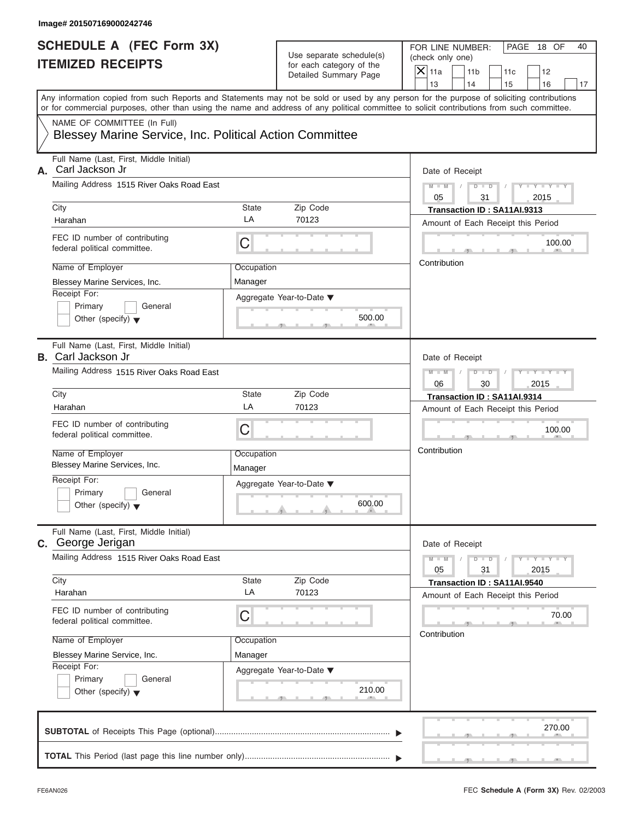|                                                                                                                                                                                                                                                                                         |                       |                                                      | FOR LINE NUMBER: |                      |                                    | PAGE 18 OF                  |    |
|-----------------------------------------------------------------------------------------------------------------------------------------------------------------------------------------------------------------------------------------------------------------------------------------|-----------------------|------------------------------------------------------|------------------|----------------------|------------------------------------|-----------------------------|----|
| <b>SCHEDULE A (FEC Form 3X)</b><br><b>ITEMIZED RECEIPTS</b>                                                                                                                                                                                                                             |                       | Use separate schedule(s)<br>for each category of the | (check only one) |                      |                                    |                             | 40 |
|                                                                                                                                                                                                                                                                                         |                       | Detailed Summary Page                                | $X$ 11a          | 11 <sub>b</sub>      | 11c                                | 12                          |    |
| Any information copied from such Reports and Statements may not be sold or used by any person for the purpose of soliciting contributions<br>or for commercial purposes, other than using the name and address of any political committee to solicit contributions from such committee. |                       |                                                      | 13               | 14                   | 15                                 | 16                          | 17 |
| NAME OF COMMITTEE (In Full)                                                                                                                                                                                                                                                             |                       |                                                      |                  |                      |                                    |                             |    |
| Blessey Marine Service, Inc. Political Action Committee                                                                                                                                                                                                                                 |                       |                                                      |                  |                      |                                    |                             |    |
| Full Name (Last, First, Middle Initial)<br>Carl Jackson Jr<br>А.                                                                                                                                                                                                                        |                       | Date of Receipt                                      |                  |                      |                                    |                             |    |
| Mailing Address 1515 River Oaks Road East                                                                                                                                                                                                                                               |                       |                                                      | $M - M$<br>05    | $D$ $D$<br>31        | $\sqrt{ }$                         | $Y - Y - Y - Y - Y$<br>2015 |    |
| City                                                                                                                                                                                                                                                                                    | State                 | Zip Code                                             |                  |                      | Transaction ID: SA11AI.9313        |                             |    |
| Harahan                                                                                                                                                                                                                                                                                 | LA                    | 70123                                                |                  |                      | Amount of Each Receipt this Period |                             |    |
| FEC ID number of contributing<br>federal political committee.                                                                                                                                                                                                                           | C                     |                                                      |                  |                      |                                    | 100.00                      |    |
| Name of Employer                                                                                                                                                                                                                                                                        | Occupation            |                                                      | Contribution     |                      |                                    |                             |    |
| Blessey Marine Services, Inc.                                                                                                                                                                                                                                                           | Manager               |                                                      |                  |                      |                                    |                             |    |
| Receipt For:                                                                                                                                                                                                                                                                            |                       | Aggregate Year-to-Date ▼                             |                  |                      |                                    |                             |    |
| Primary<br>General                                                                                                                                                                                                                                                                      |                       |                                                      |                  |                      |                                    |                             |    |
| Other (specify) $\blacktriangledown$                                                                                                                                                                                                                                                    |                       | 500.00                                               |                  |                      |                                    |                             |    |
| Full Name (Last, First, Middle Initial)<br><b>B.</b> Carl Jackson Jr                                                                                                                                                                                                                    |                       | Date of Receipt                                      |                  |                      |                                    |                             |    |
| Mailing Address 1515 River Oaks Road East                                                                                                                                                                                                                                               |                       |                                                      | $M - M$          | $D - I - D$          |                                    | Y TYTTYTTY                  |    |
| City                                                                                                                                                                                                                                                                                    | State                 | Zip Code                                             | 06               | 30                   |                                    | 2015                        |    |
| Harahan                                                                                                                                                                                                                                                                                 | LA                    | 70123                                                |                  |                      | Transaction ID: SA11AI.9314        |                             |    |
|                                                                                                                                                                                                                                                                                         |                       |                                                      |                  |                      | Amount of Each Receipt this Period |                             |    |
| FEC ID number of contributing<br>federal political committee.                                                                                                                                                                                                                           | C                     |                                                      |                  |                      |                                    | 100.00                      |    |
| Name of Employer<br>Blessey Marine Services, Inc.                                                                                                                                                                                                                                       | Occupation<br>Manager |                                                      | Contribution     |                      |                                    |                             |    |
| Receipt For:                                                                                                                                                                                                                                                                            |                       | Aggregate Year-to-Date ▼                             |                  |                      |                                    |                             |    |
| Primary<br>General                                                                                                                                                                                                                                                                      |                       |                                                      |                  |                      |                                    |                             |    |
| Other (specify) $\blacktriangledown$                                                                                                                                                                                                                                                    |                       | 600.00                                               |                  |                      |                                    |                             |    |
| Full Name (Last, First, Middle Initial)<br><b>C.</b> George Jerigan                                                                                                                                                                                                                     |                       |                                                      |                  | Date of Receipt      |                                    |                             |    |
| Mailing Address 1515 River Oaks Road East                                                                                                                                                                                                                                               |                       |                                                      | $M - M$<br>05    | $D$ $\Box$ $D$<br>31 |                                    | $Y - Y - Y - Y - I$<br>2015 |    |
| City                                                                                                                                                                                                                                                                                    | State                 | Zip Code                                             |                  |                      | Transaction ID: SA11AI.9540        |                             |    |
| Harahan                                                                                                                                                                                                                                                                                 | LA                    | 70123                                                |                  |                      | Amount of Each Receipt this Period |                             |    |
| FEC ID number of contributing<br>federal political committee.                                                                                                                                                                                                                           | С                     |                                                      |                  |                      |                                    | 70.00                       |    |
| Name of Employer                                                                                                                                                                                                                                                                        | Occupation            |                                                      | Contribution     |                      |                                    |                             |    |
| Blessey Marine Service, Inc.                                                                                                                                                                                                                                                            | Manager               |                                                      |                  |                      |                                    |                             |    |
| Receipt For:                                                                                                                                                                                                                                                                            |                       | Aggregate Year-to-Date ▼                             |                  |                      |                                    |                             |    |
| Primary<br>General<br>Other (specify) $\blacktriangledown$                                                                                                                                                                                                                              |                       | 210.00                                               |                  |                      |                                    |                             |    |
|                                                                                                                                                                                                                                                                                         |                       |                                                      |                  |                      |                                    | 270.00                      |    |
|                                                                                                                                                                                                                                                                                         |                       |                                                      |                  |                      |                                    |                             |    |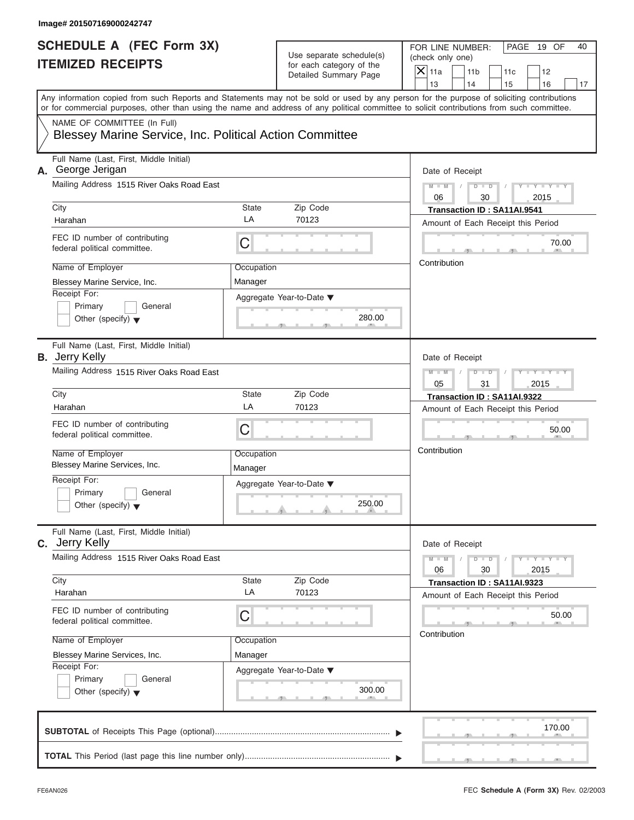| Image# 201507169000242747                                                                                                                  |                       |                                                                               |                                                                                                                                            |
|--------------------------------------------------------------------------------------------------------------------------------------------|-----------------------|-------------------------------------------------------------------------------|--------------------------------------------------------------------------------------------------------------------------------------------|
| <b>SCHEDULE A (FEC Form 3X)</b><br><b>ITEMIZED RECEIPTS</b>                                                                                |                       | Use separate schedule(s)<br>for each category of the<br>Detailed Summary Page | FOR LINE NUMBER:<br>PAGE 19 OF<br>40<br>(check only one)<br>$\mathsf{X}$ 11a<br>11 <sub>b</sub><br>12<br>11c<br>13<br>14<br>15<br>16<br>17 |
| or for commercial purposes, other than using the name and address of any political committee to solicit contributions from such committee. |                       |                                                                               | Any information copied from such Reports and Statements may not be sold or used by any person for the purpose of soliciting contributions  |
| NAME OF COMMITTEE (In Full)<br>Blessey Marine Service, Inc. Political Action Committee                                                     |                       |                                                                               |                                                                                                                                            |
| Full Name (Last, First, Middle Initial)<br>A. George Jerigan                                                                               |                       |                                                                               | Date of Receipt                                                                                                                            |
| Mailing Address 1515 River Oaks Road East                                                                                                  |                       |                                                                               | $D - D$<br>$Y - Y - Y - Y - Y$<br>$M - M$<br>06<br>30<br>2015                                                                              |
| City                                                                                                                                       | State                 | Zip Code                                                                      | Transaction ID: SA11AI.9541                                                                                                                |
| Harahan                                                                                                                                    | LA                    | 70123                                                                         | Amount of Each Receipt this Period                                                                                                         |
| FEC ID number of contributing<br>federal political committee.                                                                              | С                     |                                                                               | 70.00                                                                                                                                      |
| Name of Employer                                                                                                                           | Occupation            |                                                                               | Contribution                                                                                                                               |
| Blessey Marine Service, Inc.                                                                                                               | Manager               |                                                                               |                                                                                                                                            |
| Receipt For:<br>Primary<br>General<br>Other (specify) $\blacktriangledown$                                                                 |                       | Aggregate Year-to-Date ▼<br>280.00                                            |                                                                                                                                            |
| Full Name (Last, First, Middle Initial)<br><b>B.</b> Jerry Kelly                                                                           | Date of Receipt       |                                                                               |                                                                                                                                            |
| Mailing Address 1515 River Oaks Road East                                                                                                  |                       |                                                                               | $D - D$<br>Y T Y T Y T<br>$M - M$<br>05<br>31<br>2015                                                                                      |
| City                                                                                                                                       | State                 | Zip Code                                                                      | Transaction ID: SA11AI.9322                                                                                                                |
| Harahan                                                                                                                                    | LA                    | 70123                                                                         | Amount of Each Receipt this Period                                                                                                         |
| FEC ID number of contributing<br>federal political committee.                                                                              | С                     |                                                                               | 50.00                                                                                                                                      |
| Name of Employer<br>Blessey Marine Services, Inc.                                                                                          | Occupation<br>Manager |                                                                               | Contribution                                                                                                                               |
| Receipt For:<br>Primary<br>General<br>Other (specify) $\blacktriangledown$                                                                 |                       | Aggregate Year-to-Date ▼<br>250.00                                            |                                                                                                                                            |
| Full Name (Last, First, Middle Initial)<br><b>C.</b> Jerry Kelly                                                                           |                       |                                                                               | Date of Receipt                                                                                                                            |
| Mailing Address 1515 River Oaks Road East                                                                                                  |                       |                                                                               | $M - M$<br>$D$ $\Box$ $D$<br>$Y = Y + Y + Y$<br>06<br>30<br>2015                                                                           |
| City                                                                                                                                       | State                 | Zip Code                                                                      | Transaction ID: SA11AI.9323                                                                                                                |
| Harahan                                                                                                                                    | LA                    | 70123                                                                         | Amount of Each Receipt this Period                                                                                                         |
| FEC ID number of contributing<br>federal political committee.                                                                              | С                     |                                                                               | 50.00<br>Contribution                                                                                                                      |
| Name of Employer                                                                                                                           | Occupation            |                                                                               |                                                                                                                                            |
| Blessey Marine Services, Inc.                                                                                                              | Manager               |                                                                               |                                                                                                                                            |
| Receipt For:<br>Primary<br>General<br>Other (specify) $\blacktriangledown$                                                                 |                       | Aggregate Year-to-Date ▼<br>300.00                                            |                                                                                                                                            |
|                                                                                                                                            |                       |                                                                               | 170.00                                                                                                                                     |
|                                                                                                                                            |                       |                                                                               |                                                                                                                                            |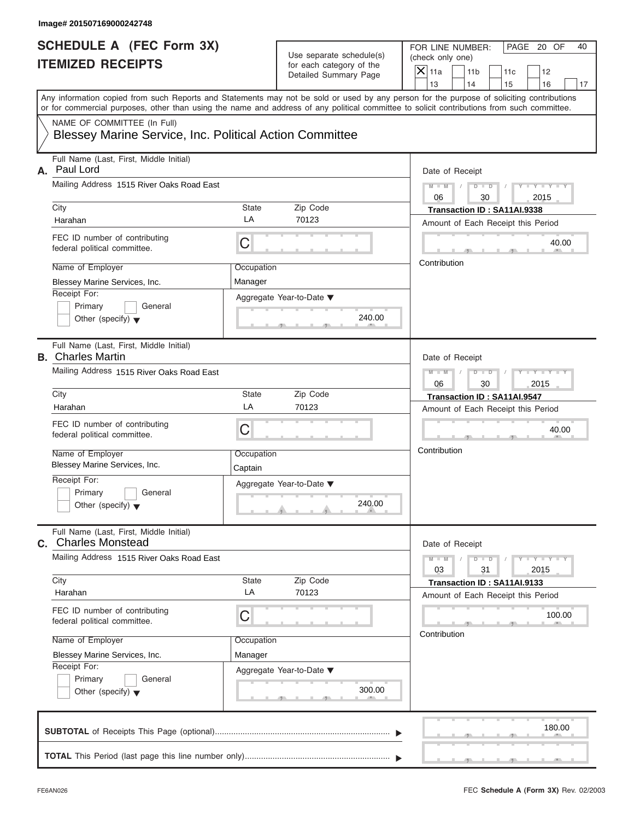| <b>SCHEDULE A (FEC Form 3X)</b><br><b>ITEMIZED RECEIPTS</b>                            |                       | Use separate schedule(s)<br>for each category of the | PAGE 20 OF<br>FOR LINE NUMBER:<br>(check only one)                                                                                                                                                                                                                                      |
|----------------------------------------------------------------------------------------|-----------------------|------------------------------------------------------|-----------------------------------------------------------------------------------------------------------------------------------------------------------------------------------------------------------------------------------------------------------------------------------------|
|                                                                                        |                       | Detailed Summary Page                                | $X$ 11a<br>11 <sub>b</sub><br>11c<br>12<br>13<br>14<br>15<br>16                                                                                                                                                                                                                         |
|                                                                                        |                       |                                                      | Any information copied from such Reports and Statements may not be sold or used by any person for the purpose of soliciting contributions<br>or for commercial purposes, other than using the name and address of any political committee to solicit contributions from such committee. |
| NAME OF COMMITTEE (In Full)<br>Blessey Marine Service, Inc. Political Action Committee |                       |                                                      |                                                                                                                                                                                                                                                                                         |
| Full Name (Last, First, Middle Initial)<br>Paul Lord<br>А.                             |                       |                                                      | Date of Receipt                                                                                                                                                                                                                                                                         |
| Mailing Address 1515 River Oaks Road East                                              |                       |                                                      | $D$ $D$<br>$Y - Y - Y - Y - Y$<br>$M - M$<br>$\sqrt{ }$<br>06<br>30<br>2015                                                                                                                                                                                                             |
| City<br>Harahan                                                                        | <b>State</b><br>LA    | Zip Code<br>70123                                    | Transaction ID: SA11AI.9338<br>Amount of Each Receipt this Period                                                                                                                                                                                                                       |
| FEC ID number of contributing<br>federal political committee.                          | С                     |                                                      | 40.00                                                                                                                                                                                                                                                                                   |
| Name of Employer<br>Blessey Marine Services, Inc.                                      | Occupation<br>Manager |                                                      | Contribution                                                                                                                                                                                                                                                                            |
| Receipt For:<br>Primary<br>General<br>Other (specify) $\blacktriangledown$             |                       | Aggregate Year-to-Date ▼<br>240.00                   |                                                                                                                                                                                                                                                                                         |
| Full Name (Last, First, Middle Initial)<br><b>B.</b> Charles Martin                    |                       |                                                      | Date of Receipt                                                                                                                                                                                                                                                                         |
| Mailing Address 1515 River Oaks Road East                                              |                       |                                                      | $D - I - D$<br>$Y = Y = Y' - Y'$<br>$M - M$<br>06<br>30<br>2015                                                                                                                                                                                                                         |
| City<br>Harahan                                                                        | <b>State</b><br>LA    | Zip Code<br>70123                                    | Transaction ID: SA11AI.9547<br>Amount of Each Receipt this Period                                                                                                                                                                                                                       |
| FEC ID number of contributing<br>federal political committee.                          | C                     |                                                      | 40.00                                                                                                                                                                                                                                                                                   |
| Name of Employer<br>Blessey Marine Services, Inc.                                      | Occupation<br>Captain |                                                      | Contribution                                                                                                                                                                                                                                                                            |
| Receipt For:<br>Primary<br>General<br>Other (specify) $\blacktriangledown$             |                       | Aggregate Year-to-Date ▼<br>240.00                   |                                                                                                                                                                                                                                                                                         |
| Full Name (Last, First, Middle Initial)<br><b>C.</b> Charles Monstead                  |                       |                                                      | Date of Receipt                                                                                                                                                                                                                                                                         |
| Mailing Address 1515 River Oaks Road East                                              |                       |                                                      | $M - M$<br>$D$ $\Box$ $D$<br>$Y - Y - Y - Y - I$<br>03<br>31<br>2015                                                                                                                                                                                                                    |
| City<br>Harahan                                                                        | State<br>LA           | Zip Code<br>70123                                    | Transaction ID: SA11AI.9133<br>Amount of Each Receipt this Period                                                                                                                                                                                                                       |
| FEC ID number of contributing<br>federal political committee.                          | С                     |                                                      | 100.00                                                                                                                                                                                                                                                                                  |
| Name of Employer<br>Blessey Marine Services, Inc.                                      | Occupation<br>Manager |                                                      | Contribution                                                                                                                                                                                                                                                                            |
| Receipt For:<br>Primary<br>General<br>Other (specify) $\blacktriangledown$             |                       | Aggregate Year-to-Date ▼<br>300.00                   |                                                                                                                                                                                                                                                                                         |
|                                                                                        |                       |                                                      | 180.00                                                                                                                                                                                                                                                                                  |
|                                                                                        |                       |                                                      |                                                                                                                                                                                                                                                                                         |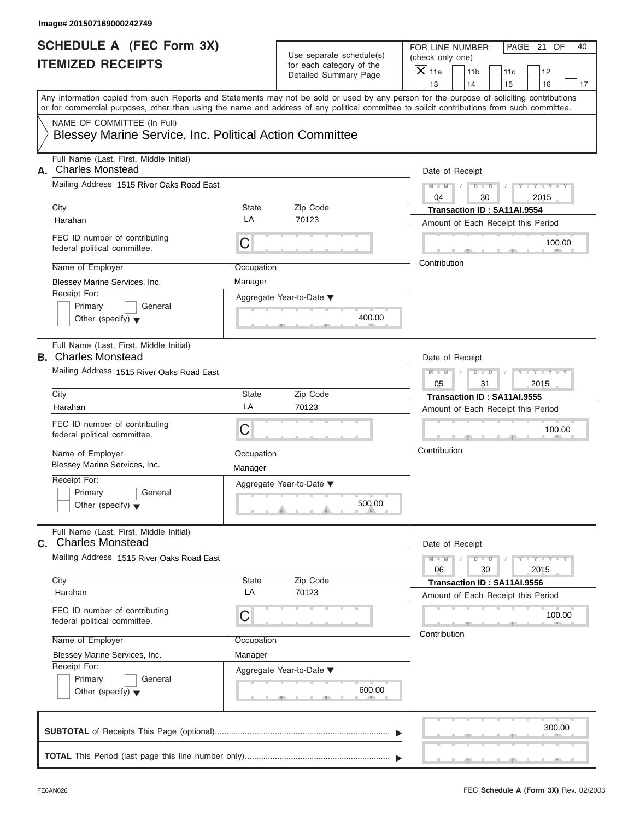| <b>SCHEDULE A (FEC Form 3X)</b><br><b>ITEMIZED RECEIPTS</b>                            |                       | Use separate schedule(s)<br>for each category of the | PAGE 21 OF<br>FOR LINE NUMBER:<br>(check only one)                                                                                                                                                                                                                                      |
|----------------------------------------------------------------------------------------|-----------------------|------------------------------------------------------|-----------------------------------------------------------------------------------------------------------------------------------------------------------------------------------------------------------------------------------------------------------------------------------------|
|                                                                                        |                       | Detailed Summary Page                                | $\mathsf{X}$ 11a<br>11 <sub>b</sub><br>11c<br>12<br>14<br>13<br>15<br>16                                                                                                                                                                                                                |
|                                                                                        |                       |                                                      | Any information copied from such Reports and Statements may not be sold or used by any person for the purpose of soliciting contributions<br>or for commercial purposes, other than using the name and address of any political committee to solicit contributions from such committee. |
| NAME OF COMMITTEE (In Full)<br>Blessey Marine Service, Inc. Political Action Committee |                       |                                                      |                                                                                                                                                                                                                                                                                         |
| Full Name (Last, First, Middle Initial)<br><b>Charles Monstead</b><br>А.               | Date of Receipt       |                                                      |                                                                                                                                                                                                                                                                                         |
| Mailing Address 1515 River Oaks Road East                                              |                       |                                                      | $D$ $D$<br>$Y - Y - Y - Y - Y$<br>$M - M$<br>$\sqrt{ }$<br>04<br>30<br>2015                                                                                                                                                                                                             |
| City                                                                                   | State                 | Zip Code                                             | Transaction ID: SA11AI.9554                                                                                                                                                                                                                                                             |
| Harahan                                                                                | LA                    | 70123                                                | Amount of Each Receipt this Period                                                                                                                                                                                                                                                      |
| FEC ID number of contributing<br>federal political committee.                          | C                     |                                                      | 100.00                                                                                                                                                                                                                                                                                  |
| Name of Employer                                                                       | Occupation            |                                                      | Contribution                                                                                                                                                                                                                                                                            |
| Blessey Marine Services, Inc.                                                          | Manager               |                                                      |                                                                                                                                                                                                                                                                                         |
| Receipt For:<br>Primary<br>General<br>Other (specify) $\blacktriangledown$             |                       | Aggregate Year-to-Date ▼<br>400.00                   |                                                                                                                                                                                                                                                                                         |
| Full Name (Last, First, Middle Initial)<br><b>B.</b> Charles Monstead                  |                       |                                                      | Date of Receipt                                                                                                                                                                                                                                                                         |
| Mailing Address 1515 River Oaks Road East                                              |                       |                                                      | $D - I - D$<br>Y TYTTYTTY<br>$M - M$                                                                                                                                                                                                                                                    |
|                                                                                        |                       |                                                      | 05<br>31<br>2015                                                                                                                                                                                                                                                                        |
| City                                                                                   | <b>State</b>          | Zip Code                                             | Transaction ID: SA11AI.9555                                                                                                                                                                                                                                                             |
| Harahan                                                                                | LA                    | 70123                                                | Amount of Each Receipt this Period                                                                                                                                                                                                                                                      |
| FEC ID number of contributing<br>federal political committee.                          | C                     |                                                      | 100.00                                                                                                                                                                                                                                                                                  |
| Name of Employer<br>Blessey Marine Services, Inc.                                      | Occupation<br>Manager |                                                      | Contribution                                                                                                                                                                                                                                                                            |
| Receipt For:<br>Primary<br>General<br>Other (specify) $\blacktriangledown$             |                       | Aggregate Year-to-Date ▼<br>500.00                   |                                                                                                                                                                                                                                                                                         |
| Full Name (Last, First, Middle Initial)<br><b>C.</b> Charles Monstead                  |                       |                                                      | Date of Receipt                                                                                                                                                                                                                                                                         |
| Mailing Address 1515 River Oaks Road East                                              |                       |                                                      | $M - M$<br>$D - D$<br>$Y - I - Y - I - Y - I$<br>06<br>30<br>2015                                                                                                                                                                                                                       |
| City<br>Harahan                                                                        | State<br>LA           | Zip Code<br>70123                                    | Transaction ID: SA11AI.9556                                                                                                                                                                                                                                                             |
|                                                                                        |                       |                                                      | Amount of Each Receipt this Period                                                                                                                                                                                                                                                      |
| FEC ID number of contributing<br>federal political committee.                          | С                     |                                                      | 100.00<br>Contribution                                                                                                                                                                                                                                                                  |
| Name of Employer                                                                       | Occupation            |                                                      |                                                                                                                                                                                                                                                                                         |
| Blessey Marine Services, Inc.                                                          | Manager               |                                                      |                                                                                                                                                                                                                                                                                         |
| Receipt For:<br>Primary<br>General<br>Other (specify) $\blacktriangledown$             |                       | Aggregate Year-to-Date ▼<br>600.00                   |                                                                                                                                                                                                                                                                                         |
|                                                                                        |                       |                                                      | 300.00                                                                                                                                                                                                                                                                                  |
|                                                                                        |                       |                                                      |                                                                                                                                                                                                                                                                                         |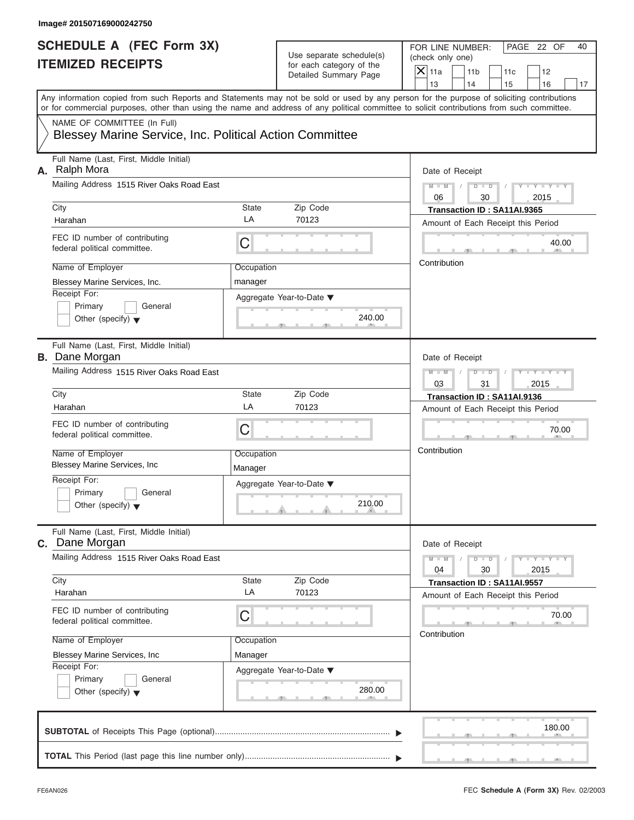| <b>SCHEDULE A (FEC Form 3X)</b>                                                        |                       |                                                   | PAGE 22 OF<br>FOR LINE NUMBER:<br>40                                                                                                                                                                                                                                                    |  |  |
|----------------------------------------------------------------------------------------|-----------------------|---------------------------------------------------|-----------------------------------------------------------------------------------------------------------------------------------------------------------------------------------------------------------------------------------------------------------------------------------------|--|--|
| <b>ITEMIZED RECEIPTS</b>                                                               |                       | Use separate schedule(s)                          | (check only one)                                                                                                                                                                                                                                                                        |  |  |
|                                                                                        |                       | for each category of the<br>Detailed Summary Page | $X$ 11a<br>11 <sub>b</sub><br>11c<br>12                                                                                                                                                                                                                                                 |  |  |
|                                                                                        |                       |                                                   | 13<br>14<br>15<br>16<br>17                                                                                                                                                                                                                                                              |  |  |
|                                                                                        |                       |                                                   | Any information copied from such Reports and Statements may not be sold or used by any person for the purpose of soliciting contributions<br>or for commercial purposes, other than using the name and address of any political committee to solicit contributions from such committee. |  |  |
| NAME OF COMMITTEE (In Full)<br>Blessey Marine Service, Inc. Political Action Committee |                       |                                                   |                                                                                                                                                                                                                                                                                         |  |  |
| Full Name (Last, First, Middle Initial)                                                |                       |                                                   |                                                                                                                                                                                                                                                                                         |  |  |
| A. Ralph Mora                                                                          | Date of Receipt       |                                                   |                                                                                                                                                                                                                                                                                         |  |  |
| Mailing Address 1515 River Oaks Road East                                              |                       |                                                   | $D$ $\Box$ $D$<br>$Y - Y - Y - Y - Y$<br>$M$ $M$ $I$ $I$<br>$\sqrt{ }$<br>06<br>30<br>2015                                                                                                                                                                                              |  |  |
| City                                                                                   | State                 | Zip Code                                          | Transaction ID: SA11AI.9365                                                                                                                                                                                                                                                             |  |  |
| Harahan                                                                                | LA                    | 70123                                             | Amount of Each Receipt this Period                                                                                                                                                                                                                                                      |  |  |
| FEC ID number of contributing<br>federal political committee.                          | С                     |                                                   | 40.00                                                                                                                                                                                                                                                                                   |  |  |
| Name of Employer                                                                       | Occupation            |                                                   | Contribution                                                                                                                                                                                                                                                                            |  |  |
| Blessey Marine Services, Inc.                                                          | manager               |                                                   |                                                                                                                                                                                                                                                                                         |  |  |
| Receipt For:                                                                           |                       | Aggregate Year-to-Date ▼                          |                                                                                                                                                                                                                                                                                         |  |  |
| Primary<br>General                                                                     |                       |                                                   |                                                                                                                                                                                                                                                                                         |  |  |
| Other (specify) $\blacktriangledown$                                                   |                       | 240.00                                            |                                                                                                                                                                                                                                                                                         |  |  |
| Full Name (Last, First, Middle Initial)<br><b>B.</b> Dane Morgan                       | Date of Receipt       |                                                   |                                                                                                                                                                                                                                                                                         |  |  |
| Mailing Address 1515 River Oaks Road East                                              |                       |                                                   | Y T Y T Y T<br>$M - M$<br>$D - I - D$<br>$\sqrt{ }$                                                                                                                                                                                                                                     |  |  |
|                                                                                        |                       |                                                   | 2015<br>03<br>31                                                                                                                                                                                                                                                                        |  |  |
| City                                                                                   | State                 | Zip Code                                          | Transaction ID: SA11AI.9136                                                                                                                                                                                                                                                             |  |  |
| Harahan                                                                                | LA                    | 70123                                             | Amount of Each Receipt this Period                                                                                                                                                                                                                                                      |  |  |
| FEC ID number of contributing<br>federal political committee.                          | C                     |                                                   | 70.00                                                                                                                                                                                                                                                                                   |  |  |
| Name of Employer<br><b>Blessey Marine Services, Inc.</b>                               | Occupation<br>Manager |                                                   | Contribution                                                                                                                                                                                                                                                                            |  |  |
| Receipt For:                                                                           |                       | Aggregate Year-to-Date ▼                          |                                                                                                                                                                                                                                                                                         |  |  |
| Primary<br>General<br>Other (specify) $\blacktriangledown$                             |                       | 210.00                                            |                                                                                                                                                                                                                                                                                         |  |  |
| Full Name (Last, First, Middle Initial)<br><b>C.</b> Dane Morgan                       |                       |                                                   | Date of Receipt                                                                                                                                                                                                                                                                         |  |  |
| Mailing Address 1515 River Oaks Road East                                              |                       |                                                   | $M - M$<br>$Y = Y = Y - Y$<br>$D$ $D$<br>04<br>30<br>2015                                                                                                                                                                                                                               |  |  |
| City                                                                                   | State                 | Zip Code                                          | Transaction ID: SA11AI.9557                                                                                                                                                                                                                                                             |  |  |
| Harahan                                                                                | LA                    | 70123                                             | Amount of Each Receipt this Period                                                                                                                                                                                                                                                      |  |  |
| FEC ID number of contributing<br>federal political committee.                          | С                     |                                                   | 70.00                                                                                                                                                                                                                                                                                   |  |  |
| Name of Employer                                                                       | Occupation            |                                                   | Contribution                                                                                                                                                                                                                                                                            |  |  |
| Blessey Marine Services, Inc                                                           | Manager               |                                                   |                                                                                                                                                                                                                                                                                         |  |  |
| Receipt For:                                                                           |                       | Aggregate Year-to-Date ▼                          |                                                                                                                                                                                                                                                                                         |  |  |
| Primary<br>General<br>Other (specify) $\blacktriangledown$                             |                       | 280.00                                            |                                                                                                                                                                                                                                                                                         |  |  |
|                                                                                        |                       |                                                   | 180.00                                                                                                                                                                                                                                                                                  |  |  |
|                                                                                        |                       |                                                   |                                                                                                                                                                                                                                                                                         |  |  |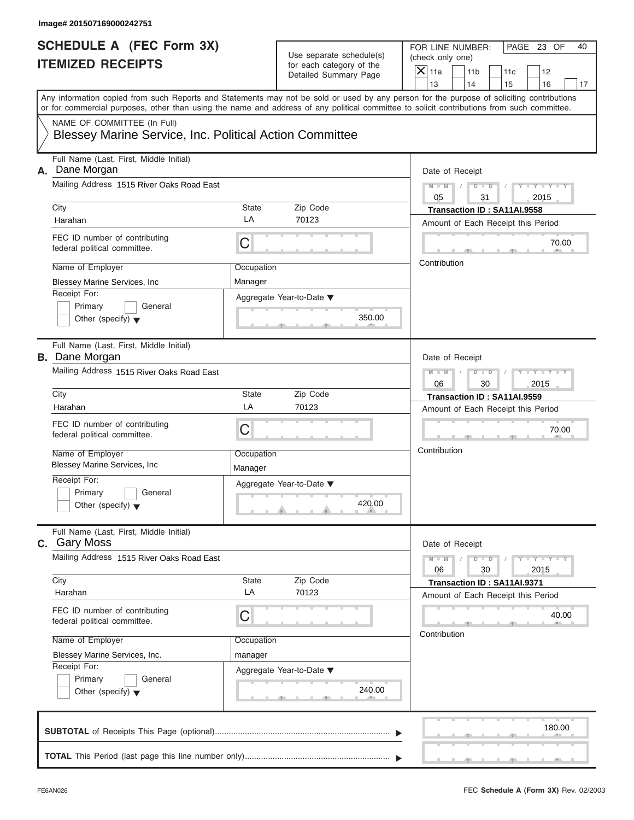| <b>SCHEDULE A (FEC Form 3X)</b>                                                        |                 |                                                   | PAGE 23 OF<br>FOR LINE NUMBER:<br>40                                                                                                                                                                                                                                                    |  |  |
|----------------------------------------------------------------------------------------|-----------------|---------------------------------------------------|-----------------------------------------------------------------------------------------------------------------------------------------------------------------------------------------------------------------------------------------------------------------------------------------|--|--|
| <b>ITEMIZED RECEIPTS</b>                                                               |                 | Use separate schedule(s)                          | (check only one)                                                                                                                                                                                                                                                                        |  |  |
|                                                                                        |                 | for each category of the<br>Detailed Summary Page | $X$ 11a<br>11 <sub>b</sub><br>11c<br>12                                                                                                                                                                                                                                                 |  |  |
|                                                                                        |                 |                                                   | 13<br>14<br>15<br>16<br>17                                                                                                                                                                                                                                                              |  |  |
|                                                                                        |                 |                                                   | Any information copied from such Reports and Statements may not be sold or used by any person for the purpose of soliciting contributions<br>or for commercial purposes, other than using the name and address of any political committee to solicit contributions from such committee. |  |  |
| NAME OF COMMITTEE (In Full)<br>Blessey Marine Service, Inc. Political Action Committee |                 |                                                   |                                                                                                                                                                                                                                                                                         |  |  |
|                                                                                        |                 |                                                   |                                                                                                                                                                                                                                                                                         |  |  |
| Full Name (Last, First, Middle Initial)<br>Dane Morgan<br>А.                           | Date of Receipt |                                                   |                                                                                                                                                                                                                                                                                         |  |  |
| Mailing Address 1515 River Oaks Road East                                              |                 |                                                   | $D$ $D$<br>$Y - Y - Y - Y - Y$<br>$M - M$<br>$\sqrt{ }$<br>05<br>31<br>2015                                                                                                                                                                                                             |  |  |
| City                                                                                   | State           | Zip Code                                          | Transaction ID: SA11AI.9558                                                                                                                                                                                                                                                             |  |  |
| Harahan                                                                                | LA              | 70123                                             | Amount of Each Receipt this Period                                                                                                                                                                                                                                                      |  |  |
| FEC ID number of contributing<br>federal political committee.                          | С               |                                                   | 70.00                                                                                                                                                                                                                                                                                   |  |  |
| Name of Employer                                                                       | Occupation      |                                                   | Contribution                                                                                                                                                                                                                                                                            |  |  |
| Blessey Marine Services, Inc                                                           | Manager         |                                                   |                                                                                                                                                                                                                                                                                         |  |  |
| Receipt For:                                                                           |                 |                                                   |                                                                                                                                                                                                                                                                                         |  |  |
| Primary<br>General                                                                     |                 | Aggregate Year-to-Date ▼                          |                                                                                                                                                                                                                                                                                         |  |  |
| Other (specify) $\blacktriangledown$                                                   |                 | 350.00                                            |                                                                                                                                                                                                                                                                                         |  |  |
| Full Name (Last, First, Middle Initial)                                                |                 |                                                   |                                                                                                                                                                                                                                                                                         |  |  |
| <b>B.</b> Dane Morgan                                                                  |                 |                                                   | Date of Receipt                                                                                                                                                                                                                                                                         |  |  |
| Mailing Address 1515 River Oaks Road East                                              |                 |                                                   | $M - M$<br>$D - I - D$<br>$Y = Y = Y' - Y'$<br>$\sqrt{2}$                                                                                                                                                                                                                               |  |  |
|                                                                                        |                 |                                                   | 06<br>30<br>2015                                                                                                                                                                                                                                                                        |  |  |
| City                                                                                   | State           | Zip Code                                          | Transaction ID: SA11AI.9559                                                                                                                                                                                                                                                             |  |  |
| Harahan                                                                                | LA              | 70123                                             | Amount of Each Receipt this Period                                                                                                                                                                                                                                                      |  |  |
| FEC ID number of contributing<br>federal political committee.                          | C               |                                                   | 70.00                                                                                                                                                                                                                                                                                   |  |  |
| Name of Employer                                                                       | Occupation      |                                                   | Contribution                                                                                                                                                                                                                                                                            |  |  |
| <b>Blessey Marine Services, Inc.</b>                                                   | Manager         |                                                   |                                                                                                                                                                                                                                                                                         |  |  |
| Receipt For:                                                                           |                 | Aggregate Year-to-Date ▼                          |                                                                                                                                                                                                                                                                                         |  |  |
| Primary<br>General                                                                     |                 |                                                   |                                                                                                                                                                                                                                                                                         |  |  |
| Other (specify) $\blacktriangledown$                                                   |                 | 420.00                                            |                                                                                                                                                                                                                                                                                         |  |  |
| Full Name (Last, First, Middle Initial)<br><b>C.</b> Gary Moss                         |                 |                                                   | Date of Receipt                                                                                                                                                                                                                                                                         |  |  |
| Mailing Address 1515 River Oaks Road East                                              |                 |                                                   | $M - M$<br>$D$ $\Box$ $D$<br>$Y - Y - Y - Y - I$<br>06<br>30<br>2015                                                                                                                                                                                                                    |  |  |
| City                                                                                   | State           | Zip Code                                          | Transaction ID: SA11AI.9371                                                                                                                                                                                                                                                             |  |  |
| Harahan                                                                                | LA              | 70123                                             | Amount of Each Receipt this Period                                                                                                                                                                                                                                                      |  |  |
| FEC ID number of contributing<br>federal political committee.                          | С               |                                                   | 40.00                                                                                                                                                                                                                                                                                   |  |  |
| Name of Employer                                                                       | Occupation      |                                                   | Contribution                                                                                                                                                                                                                                                                            |  |  |
| Blessey Marine Services, Inc.                                                          | manager         |                                                   |                                                                                                                                                                                                                                                                                         |  |  |
| Receipt For:                                                                           |                 | Aggregate Year-to-Date ▼                          |                                                                                                                                                                                                                                                                                         |  |  |
| Primary<br>General                                                                     |                 |                                                   |                                                                                                                                                                                                                                                                                         |  |  |
| Other (specify) $\blacktriangledown$                                                   |                 | 240.00                                            |                                                                                                                                                                                                                                                                                         |  |  |
|                                                                                        |                 |                                                   |                                                                                                                                                                                                                                                                                         |  |  |
|                                                                                        |                 |                                                   | 180.00                                                                                                                                                                                                                                                                                  |  |  |
|                                                                                        |                 |                                                   |                                                                                                                                                                                                                                                                                         |  |  |
|                                                                                        |                 |                                                   |                                                                                                                                                                                                                                                                                         |  |  |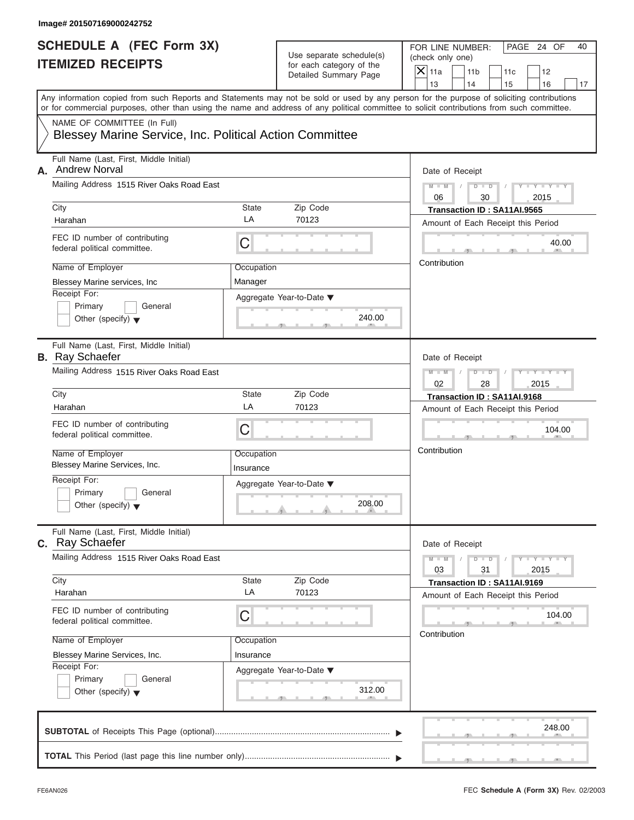| <b>SCHEDULE A (FEC Form 3X)</b><br><b>ITEMIZED RECEIPTS</b>                                                            |                         | Use separate schedule(s)<br>for each category of the | PAGE 24 OF<br>FOR LINE NUMBER:<br>(check only one)                                                                                                                                                                                                                                      |
|------------------------------------------------------------------------------------------------------------------------|-------------------------|------------------------------------------------------|-----------------------------------------------------------------------------------------------------------------------------------------------------------------------------------------------------------------------------------------------------------------------------------------|
|                                                                                                                        |                         | Detailed Summary Page                                | $X$ 11a<br>11 <sub>b</sub><br>11c<br>12<br>13<br>14<br>15<br>16                                                                                                                                                                                                                         |
|                                                                                                                        |                         |                                                      | Any information copied from such Reports and Statements may not be sold or used by any person for the purpose of soliciting contributions<br>or for commercial purposes, other than using the name and address of any political committee to solicit contributions from such committee. |
| NAME OF COMMITTEE (In Full)<br>Blessey Marine Service, Inc. Political Action Committee                                 |                         |                                                      |                                                                                                                                                                                                                                                                                         |
| Full Name (Last, First, Middle Initial)<br><b>Andrew Norval</b><br>А.                                                  |                         |                                                      | Date of Receipt                                                                                                                                                                                                                                                                         |
| Mailing Address 1515 River Oaks Road East                                                                              |                         |                                                      | $D$ $\Box$ $D$<br>$Y - Y - Y - Y - Y$<br>$M - M$<br>$\sqrt{2}$<br>$\sqrt{ }$<br>06<br>30<br>2015                                                                                                                                                                                        |
| City<br>Harahan                                                                                                        | <b>State</b><br>LA      | Zip Code<br>70123                                    | Transaction ID: SA11AI.9565<br>Amount of Each Receipt this Period                                                                                                                                                                                                                       |
| FEC ID number of contributing<br>federal political committee.                                                          | С                       |                                                      | 40.00                                                                                                                                                                                                                                                                                   |
| Name of Employer<br>Occupation<br>Manager<br>Blessey Marine services, Inc.<br>Receipt For:<br>Aggregate Year-to-Date ▼ |                         |                                                      | Contribution                                                                                                                                                                                                                                                                            |
| Primary<br>General<br>Other (specify) $\blacktriangledown$                                                             |                         | 240.00                                               |                                                                                                                                                                                                                                                                                         |
| Full Name (Last, First, Middle Initial)<br><b>B.</b> Ray Schaefer                                                      |                         |                                                      | Date of Receipt                                                                                                                                                                                                                                                                         |
| Mailing Address 1515 River Oaks Road East                                                                              |                         |                                                      | $D - D$<br>$Y = Y = Y' - Y'$<br>$M - M$<br>02<br>28<br>2015                                                                                                                                                                                                                             |
| City                                                                                                                   | <b>State</b>            | Zip Code                                             | Transaction ID: SA11AI.9168                                                                                                                                                                                                                                                             |
| Harahan                                                                                                                | LA                      | 70123                                                | Amount of Each Receipt this Period                                                                                                                                                                                                                                                      |
| FEC ID number of contributing<br>federal political committee.                                                          | C                       |                                                      | 104.00                                                                                                                                                                                                                                                                                  |
| Name of Employer<br>Blessey Marine Services, Inc.                                                                      | Occupation<br>Insurance |                                                      | Contribution                                                                                                                                                                                                                                                                            |
| Receipt For:<br>Primary<br>General<br>Other (specify) $\blacktriangledown$                                             |                         | Aggregate Year-to-Date ▼<br>208.00                   |                                                                                                                                                                                                                                                                                         |
| Full Name (Last, First, Middle Initial)<br>c. Ray Schaefer                                                             |                         |                                                      | Date of Receipt                                                                                                                                                                                                                                                                         |
| Mailing Address 1515 River Oaks Road East                                                                              |                         |                                                      | $M - M$<br>$D$ $\Box$ $D$<br>$Y - Y - Y - Y - I$<br>03<br>2015<br>31                                                                                                                                                                                                                    |
| City<br>Harahan                                                                                                        | State<br>LA             | Zip Code<br>70123                                    | Transaction ID: SA11AI.9169<br>Amount of Each Receipt this Period                                                                                                                                                                                                                       |
| FEC ID number of contributing<br>federal political committee.                                                          | С                       |                                                      | 104.00<br>Contribution                                                                                                                                                                                                                                                                  |
| Name of Employer<br>Blessey Marine Services, Inc.                                                                      | Occupation<br>Insurance |                                                      |                                                                                                                                                                                                                                                                                         |
| Receipt For:<br>Primary<br>General<br>Other (specify) $\blacktriangledown$                                             |                         | Aggregate Year-to-Date ▼<br>312.00                   |                                                                                                                                                                                                                                                                                         |
|                                                                                                                        |                         |                                                      | 248.00                                                                                                                                                                                                                                                                                  |
|                                                                                                                        |                         |                                                      |                                                                                                                                                                                                                                                                                         |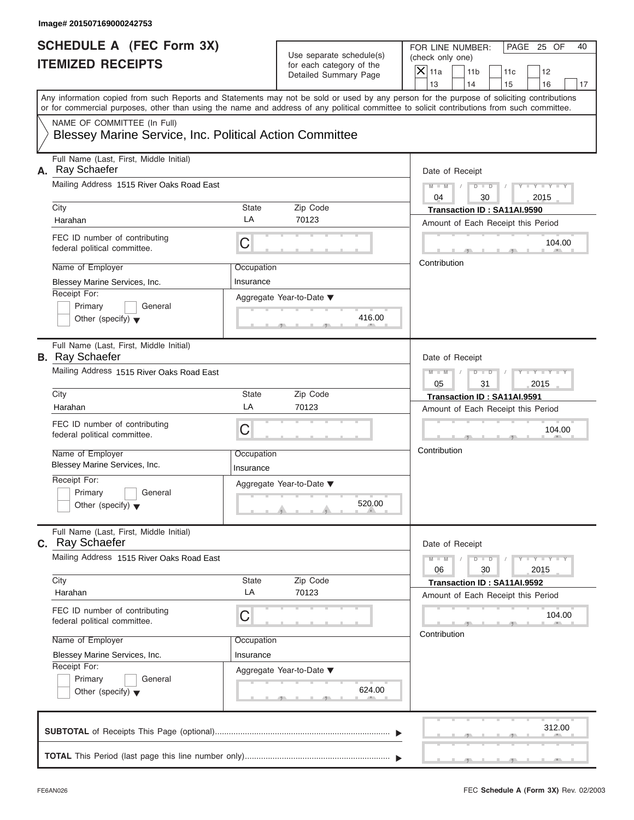| <b>SCHEDULE A (FEC Form 3X)</b>                                   |                         |                                                   | PAGE 25 OF<br>FOR LINE NUMBER:<br>40                                                                                                                                                                                                                                                    |
|-------------------------------------------------------------------|-------------------------|---------------------------------------------------|-----------------------------------------------------------------------------------------------------------------------------------------------------------------------------------------------------------------------------------------------------------------------------------------|
| <b>ITEMIZED RECEIPTS</b>                                          |                         | Use separate schedule(s)                          | (check only one)                                                                                                                                                                                                                                                                        |
|                                                                   |                         | for each category of the<br>Detailed Summary Page | $X$ 11a<br>11 <sub>b</sub><br>11c<br>12                                                                                                                                                                                                                                                 |
|                                                                   |                         |                                                   | 14<br>13<br>15<br>16<br>17                                                                                                                                                                                                                                                              |
|                                                                   |                         |                                                   | Any information copied from such Reports and Statements may not be sold or used by any person for the purpose of soliciting contributions<br>or for commercial purposes, other than using the name and address of any political committee to solicit contributions from such committee. |
| NAME OF COMMITTEE (In Full)                                       |                         |                                                   |                                                                                                                                                                                                                                                                                         |
| Blessey Marine Service, Inc. Political Action Committee           |                         |                                                   |                                                                                                                                                                                                                                                                                         |
| Full Name (Last, First, Middle Initial)<br>A. Ray Schaefer        |                         |                                                   | Date of Receipt                                                                                                                                                                                                                                                                         |
| Mailing Address 1515 River Oaks Road East                         |                         |                                                   | $D$ $D$<br>$Y - Y - Y - Y - Y$<br>$M - M$ /<br>$\sqrt{ }$<br>04<br>30<br>2015                                                                                                                                                                                                           |
| City                                                              | State                   | Zip Code                                          | Transaction ID: SA11AI.9590                                                                                                                                                                                                                                                             |
| Harahan                                                           | LA                      | 70123                                             | Amount of Each Receipt this Period                                                                                                                                                                                                                                                      |
| FEC ID number of contributing<br>federal political committee.     | С                       |                                                   | 104.00                                                                                                                                                                                                                                                                                  |
| Name of Employer                                                  | Occupation              |                                                   | Contribution                                                                                                                                                                                                                                                                            |
| Blessey Marine Services, Inc.                                     | Insurance               |                                                   |                                                                                                                                                                                                                                                                                         |
| Receipt For:                                                      |                         | Aggregate Year-to-Date ▼                          |                                                                                                                                                                                                                                                                                         |
| Primary<br>General                                                |                         |                                                   |                                                                                                                                                                                                                                                                                         |
| Other (specify) $\blacktriangledown$                              |                         | 416.00                                            |                                                                                                                                                                                                                                                                                         |
| Full Name (Last, First, Middle Initial)<br><b>B.</b> Ray Schaefer |                         |                                                   | Date of Receipt                                                                                                                                                                                                                                                                         |
| Mailing Address 1515 River Oaks Road East                         |                         |                                                   | $M - M$<br>$D - I - D$<br>$Y = Y = Y' - Y'$<br>$\sqrt{ }$                                                                                                                                                                                                                               |
|                                                                   |                         |                                                   | 05<br>31<br>2015                                                                                                                                                                                                                                                                        |
| City                                                              | State                   | Zip Code                                          | Transaction ID: SA11AI.9591                                                                                                                                                                                                                                                             |
| Harahan                                                           | LA                      | 70123                                             | Amount of Each Receipt this Period                                                                                                                                                                                                                                                      |
| FEC ID number of contributing<br>federal political committee.     | C                       |                                                   | 104.00                                                                                                                                                                                                                                                                                  |
| Name of Employer<br>Blessey Marine Services, Inc.                 | Occupation<br>Insurance |                                                   | Contribution                                                                                                                                                                                                                                                                            |
| Receipt For:                                                      |                         |                                                   |                                                                                                                                                                                                                                                                                         |
| Primary<br>General                                                |                         | Aggregate Year-to-Date ▼                          |                                                                                                                                                                                                                                                                                         |
| Other (specify) $\blacktriangledown$                              |                         | 520.00                                            |                                                                                                                                                                                                                                                                                         |
| Full Name (Last, First, Middle Initial)<br>c. Ray Schaefer        |                         |                                                   | Date of Receipt                                                                                                                                                                                                                                                                         |
| Mailing Address 1515 River Oaks Road East                         |                         |                                                   | $M - M$<br>$D$ $\Box$ $D$<br>$Y = Y = Y - Y$<br>06<br>30<br>2015                                                                                                                                                                                                                        |
| City                                                              | State                   | Zip Code                                          | Transaction ID: SA11AI.9592                                                                                                                                                                                                                                                             |
| Harahan                                                           | LA                      | 70123                                             | Amount of Each Receipt this Period                                                                                                                                                                                                                                                      |
| FEC ID number of contributing<br>federal political committee.     | С                       |                                                   | 104.00                                                                                                                                                                                                                                                                                  |
| Name of Employer                                                  | Occupation              |                                                   | Contribution                                                                                                                                                                                                                                                                            |
| Blessey Marine Services, Inc.                                     | Insurance               |                                                   |                                                                                                                                                                                                                                                                                         |
| Receipt For:                                                      |                         | Aggregate Year-to-Date ▼                          |                                                                                                                                                                                                                                                                                         |
| Primary<br>General                                                |                         |                                                   |                                                                                                                                                                                                                                                                                         |
| Other (specify) $\blacktriangledown$                              |                         | 624.00                                            |                                                                                                                                                                                                                                                                                         |
|                                                                   |                         |                                                   | 312.00                                                                                                                                                                                                                                                                                  |
|                                                                   |                         |                                                   |                                                                                                                                                                                                                                                                                         |
|                                                                   |                         |                                                   |                                                                                                                                                                                                                                                                                         |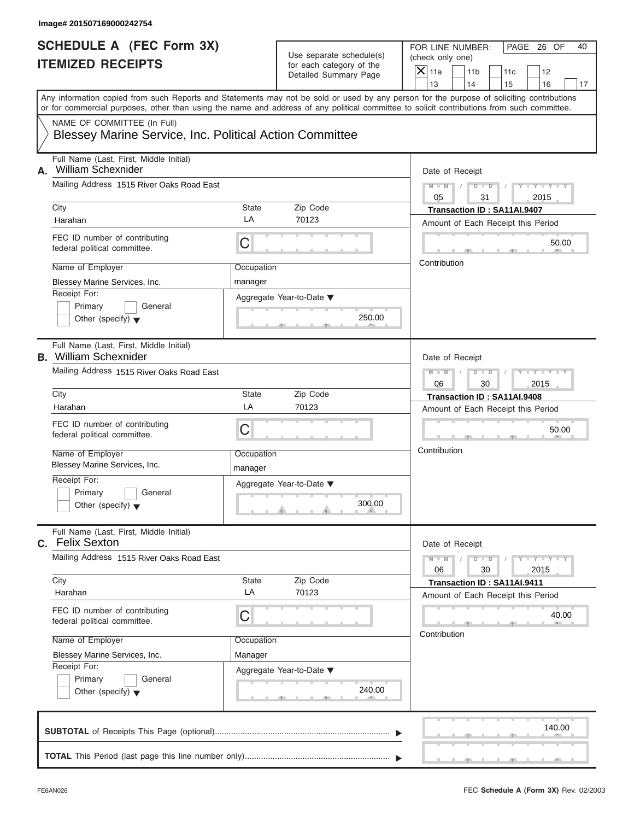| Image# 201507169000242754                                                              |                       |                                                                               |                                                                                                                                                                                                                                                                                         |
|----------------------------------------------------------------------------------------|-----------------------|-------------------------------------------------------------------------------|-----------------------------------------------------------------------------------------------------------------------------------------------------------------------------------------------------------------------------------------------------------------------------------------|
| <b>SCHEDULE A (FEC Form 3X)</b><br><b>ITEMIZED RECEIPTS</b>                            |                       | Use separate schedule(s)<br>for each category of the<br>Detailed Summary Page | FOR LINE NUMBER:<br>PAGE 26 OF<br>40<br>(check only one)<br>$\mathsf{X}$ 11a<br>11 <sub>b</sub><br>12<br>11c<br>13<br>14<br>15<br>16<br>17                                                                                                                                              |
|                                                                                        |                       |                                                                               | Any information copied from such Reports and Statements may not be sold or used by any person for the purpose of soliciting contributions<br>or for commercial purposes, other than using the name and address of any political committee to solicit contributions from such committee. |
| NAME OF COMMITTEE (In Full)<br>Blessey Marine Service, Inc. Political Action Committee |                       |                                                                               |                                                                                                                                                                                                                                                                                         |
| Full Name (Last, First, Middle Initial)<br><b>William Schexnider</b><br>А.             |                       |                                                                               | Date of Receipt                                                                                                                                                                                                                                                                         |
| Mailing Address 1515 River Oaks Road East                                              |                       |                                                                               | $D - D$<br>$Y - Y - Y - Y - Y$<br>$M - M$<br>05<br>31<br>2015                                                                                                                                                                                                                           |
| City                                                                                   | State                 | Zip Code                                                                      | Transaction ID: SA11AI.9407                                                                                                                                                                                                                                                             |
| Harahan                                                                                | LA                    | 70123                                                                         | Amount of Each Receipt this Period                                                                                                                                                                                                                                                      |
| FEC ID number of contributing<br>federal political committee.                          | С                     |                                                                               | 50.00                                                                                                                                                                                                                                                                                   |
| Name of Employer                                                                       | Occupation            |                                                                               | Contribution                                                                                                                                                                                                                                                                            |
| Blessey Marine Services, Inc.                                                          | manager               |                                                                               |                                                                                                                                                                                                                                                                                         |
| Receipt For:<br>Primary<br>General<br>Other (specify) $\blacktriangledown$             |                       | Aggregate Year-to-Date ▼<br>250.00                                            |                                                                                                                                                                                                                                                                                         |
| Full Name (Last, First, Middle Initial)<br><b>B.</b> William Schexnider                |                       |                                                                               | Date of Receipt                                                                                                                                                                                                                                                                         |
| Mailing Address 1515 River Oaks Road East                                              |                       |                                                                               | $D - I - D$<br>Y T Y T Y T<br>$M - M$<br>06<br>30<br>2015                                                                                                                                                                                                                               |
| City                                                                                   | State                 | Zip Code                                                                      | Transaction ID: SA11AI.9408                                                                                                                                                                                                                                                             |
| Harahan                                                                                | LA                    | 70123                                                                         | Amount of Each Receipt this Period                                                                                                                                                                                                                                                      |
| FEC ID number of contributing<br>federal political committee.                          | С                     |                                                                               | 50.00                                                                                                                                                                                                                                                                                   |
| Name of Employer<br>Blessey Marine Services, Inc.                                      | Occupation<br>manager |                                                                               | Contribution                                                                                                                                                                                                                                                                            |
| Receipt For:<br>Primary<br>General<br>Other (specify) $\blacktriangledown$             |                       | Aggregate Year-to-Date ▼<br>300.00                                            |                                                                                                                                                                                                                                                                                         |
| Full Name (Last, First, Middle Initial)<br>C. Felix Sexton                             |                       |                                                                               | Date of Receipt                                                                                                                                                                                                                                                                         |
| Mailing Address 1515 River Oaks Road East                                              |                       |                                                                               | $M - M$<br>$D$ $\Box$ $D$<br>$Y = Y + Y + Y$<br>06<br>30<br>2015                                                                                                                                                                                                                        |
| City                                                                                   | State                 | Zip Code                                                                      | Transaction ID: SA11AI.9411                                                                                                                                                                                                                                                             |
| Harahan                                                                                | LA                    | 70123                                                                         | Amount of Each Receipt this Period                                                                                                                                                                                                                                                      |
| FEC ID number of contributing<br>federal political committee.                          | С                     |                                                                               | 40.00<br>Contribution                                                                                                                                                                                                                                                                   |
| Name of Employer                                                                       | Occupation            |                                                                               |                                                                                                                                                                                                                                                                                         |
| Blessey Marine Services, Inc.                                                          | Manager               |                                                                               |                                                                                                                                                                                                                                                                                         |
| Receipt For:<br>Primary<br>General<br>Other (specify) $\blacktriangledown$             |                       | Aggregate Year-to-Date ▼<br>240.00                                            |                                                                                                                                                                                                                                                                                         |
|                                                                                        |                       |                                                                               | 140.00                                                                                                                                                                                                                                                                                  |
|                                                                                        |                       |                                                                               |                                                                                                                                                                                                                                                                                         |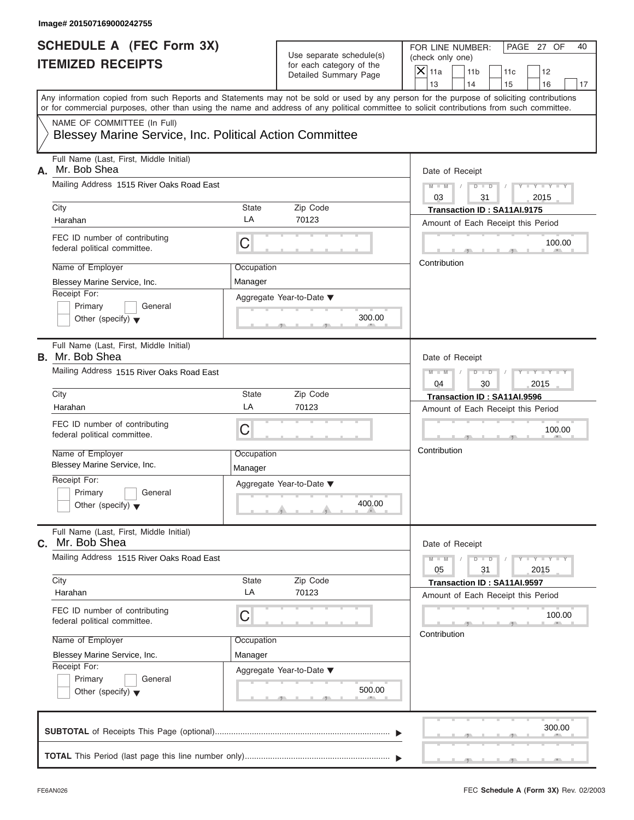| Use separate schedule(s)<br><b>ITEMIZED RECEIPTS</b><br>for each category of the<br>$X$ 11a<br>Detailed Summary Page<br>13<br>NAME OF COMMITTEE (In Full)<br>Blessey Marine Service, Inc. Political Action Committee<br>Full Name (Last, First, Middle Initial)<br>Mr. Bob Shea<br>Mailing Address 1515 River Oaks Road East<br>$M - M$<br>03<br>City<br>State<br>Zip Code<br>LA<br>70123<br>Harahan<br>FEC ID number of contributing<br>С<br>federal political committee.<br>Contribution<br>Name of Employer<br>Occupation<br>Blessey Marine Service, Inc.<br>Manager<br>Receipt For:<br>Aggregate Year-to-Date ▼<br>Primary<br>General<br>300.00<br>Other (specify) $\blacktriangledown$<br>Full Name (Last, First, Middle Initial)<br>Mailing Address 1515 River Oaks Road East<br>$M - M$<br>04<br>City<br>State<br>Zip Code<br>LA<br>70123<br>Harahan<br>FEC ID number of contributing<br>C<br>federal political committee.<br>Contribution<br>Name of Employer<br>Occupation<br>Blessey Marine Service, Inc.<br>Manager<br>Receipt For:<br>Aggregate Year-to-Date ▼<br>Primary<br>General<br>400.00<br>Other (specify) $\blacktriangledown$<br>Full Name (Last, First, Middle Initial)<br>Mr. Bob Shea<br>Mailing Address 1515 River Oaks Road East<br>$M - M$<br>05<br>Zip Code<br>City<br>State<br>LA<br>70123<br>Harahan<br>FEC ID number of contributing<br>С<br>federal political committee.<br>Contribution<br>Name of Employer<br>Occupation<br>Blessey Marine Service, Inc.<br>Manager<br>Receipt For:<br>Aggregate Year-to-Date ▼ | PAGE 27 OF<br>FOR LINE NUMBER:<br>40<br>(check only one)          |
|---------------------------------------------------------------------------------------------------------------------------------------------------------------------------------------------------------------------------------------------------------------------------------------------------------------------------------------------------------------------------------------------------------------------------------------------------------------------------------------------------------------------------------------------------------------------------------------------------------------------------------------------------------------------------------------------------------------------------------------------------------------------------------------------------------------------------------------------------------------------------------------------------------------------------------------------------------------------------------------------------------------------------------------------------------------------------------------------------------------------------------------------------------------------------------------------------------------------------------------------------------------------------------------------------------------------------------------------------------------------------------------------------------------------------------------------------------------------------------------------------------------------------------------------------|-------------------------------------------------------------------|
| Any information copied from such Reports and Statements may not be sold or used by any person for the purpose of soliciting contributions<br>or for commercial purposes, other than using the name and address of any political committee to solicit contributions from such committee.<br>А.<br>B. Mr. Bob Shea<br>С.                                                                                                                                                                                                                                                                                                                                                                                                                                                                                                                                                                                                                                                                                                                                                                                                                                                                                                                                                                                                                                                                                                                                                                                                                            | 11 <sub>b</sub><br>11c<br>12<br>14<br>15<br>16<br>17              |
|                                                                                                                                                                                                                                                                                                                                                                                                                                                                                                                                                                                                                                                                                                                                                                                                                                                                                                                                                                                                                                                                                                                                                                                                                                                                                                                                                                                                                                                                                                                                                   |                                                                   |
|                                                                                                                                                                                                                                                                                                                                                                                                                                                                                                                                                                                                                                                                                                                                                                                                                                                                                                                                                                                                                                                                                                                                                                                                                                                                                                                                                                                                                                                                                                                                                   |                                                                   |
|                                                                                                                                                                                                                                                                                                                                                                                                                                                                                                                                                                                                                                                                                                                                                                                                                                                                                                                                                                                                                                                                                                                                                                                                                                                                                                                                                                                                                                                                                                                                                   | Date of Receipt                                                   |
|                                                                                                                                                                                                                                                                                                                                                                                                                                                                                                                                                                                                                                                                                                                                                                                                                                                                                                                                                                                                                                                                                                                                                                                                                                                                                                                                                                                                                                                                                                                                                   | $D$ $D$<br>$Y - Y - Y - Y - Y$<br>$\sqrt{ }$<br>31<br>2015        |
|                                                                                                                                                                                                                                                                                                                                                                                                                                                                                                                                                                                                                                                                                                                                                                                                                                                                                                                                                                                                                                                                                                                                                                                                                                                                                                                                                                                                                                                                                                                                                   | Transaction ID: SA11AI.9175<br>Amount of Each Receipt this Period |
|                                                                                                                                                                                                                                                                                                                                                                                                                                                                                                                                                                                                                                                                                                                                                                                                                                                                                                                                                                                                                                                                                                                                                                                                                                                                                                                                                                                                                                                                                                                                                   | 100.00                                                            |
|                                                                                                                                                                                                                                                                                                                                                                                                                                                                                                                                                                                                                                                                                                                                                                                                                                                                                                                                                                                                                                                                                                                                                                                                                                                                                                                                                                                                                                                                                                                                                   |                                                                   |
|                                                                                                                                                                                                                                                                                                                                                                                                                                                                                                                                                                                                                                                                                                                                                                                                                                                                                                                                                                                                                                                                                                                                                                                                                                                                                                                                                                                                                                                                                                                                                   |                                                                   |
|                                                                                                                                                                                                                                                                                                                                                                                                                                                                                                                                                                                                                                                                                                                                                                                                                                                                                                                                                                                                                                                                                                                                                                                                                                                                                                                                                                                                                                                                                                                                                   | Date of Receipt                                                   |
|                                                                                                                                                                                                                                                                                                                                                                                                                                                                                                                                                                                                                                                                                                                                                                                                                                                                                                                                                                                                                                                                                                                                                                                                                                                                                                                                                                                                                                                                                                                                                   | $D - I$<br>$Y = Y = Y' - Y'$<br>$\sqrt{2}$<br>2015<br>30          |
|                                                                                                                                                                                                                                                                                                                                                                                                                                                                                                                                                                                                                                                                                                                                                                                                                                                                                                                                                                                                                                                                                                                                                                                                                                                                                                                                                                                                                                                                                                                                                   | Transaction ID: SA11AI.9596                                       |
|                                                                                                                                                                                                                                                                                                                                                                                                                                                                                                                                                                                                                                                                                                                                                                                                                                                                                                                                                                                                                                                                                                                                                                                                                                                                                                                                                                                                                                                                                                                                                   | Amount of Each Receipt this Period                                |
|                                                                                                                                                                                                                                                                                                                                                                                                                                                                                                                                                                                                                                                                                                                                                                                                                                                                                                                                                                                                                                                                                                                                                                                                                                                                                                                                                                                                                                                                                                                                                   | 100.00                                                            |
|                                                                                                                                                                                                                                                                                                                                                                                                                                                                                                                                                                                                                                                                                                                                                                                                                                                                                                                                                                                                                                                                                                                                                                                                                                                                                                                                                                                                                                                                                                                                                   |                                                                   |
|                                                                                                                                                                                                                                                                                                                                                                                                                                                                                                                                                                                                                                                                                                                                                                                                                                                                                                                                                                                                                                                                                                                                                                                                                                                                                                                                                                                                                                                                                                                                                   |                                                                   |
|                                                                                                                                                                                                                                                                                                                                                                                                                                                                                                                                                                                                                                                                                                                                                                                                                                                                                                                                                                                                                                                                                                                                                                                                                                                                                                                                                                                                                                                                                                                                                   | Date of Receipt                                                   |
|                                                                                                                                                                                                                                                                                                                                                                                                                                                                                                                                                                                                                                                                                                                                                                                                                                                                                                                                                                                                                                                                                                                                                                                                                                                                                                                                                                                                                                                                                                                                                   | $D$ $\Box$ $D$<br>$Y = Y = Y - Y$<br>31<br>2015                   |
|                                                                                                                                                                                                                                                                                                                                                                                                                                                                                                                                                                                                                                                                                                                                                                                                                                                                                                                                                                                                                                                                                                                                                                                                                                                                                                                                                                                                                                                                                                                                                   | Transaction ID: SA11AI.9597<br>Amount of Each Receipt this Period |
|                                                                                                                                                                                                                                                                                                                                                                                                                                                                                                                                                                                                                                                                                                                                                                                                                                                                                                                                                                                                                                                                                                                                                                                                                                                                                                                                                                                                                                                                                                                                                   | 100.00                                                            |
|                                                                                                                                                                                                                                                                                                                                                                                                                                                                                                                                                                                                                                                                                                                                                                                                                                                                                                                                                                                                                                                                                                                                                                                                                                                                                                                                                                                                                                                                                                                                                   |                                                                   |
| Primary<br>General<br>500.00<br>Other (specify) $\blacktriangledown$                                                                                                                                                                                                                                                                                                                                                                                                                                                                                                                                                                                                                                                                                                                                                                                                                                                                                                                                                                                                                                                                                                                                                                                                                                                                                                                                                                                                                                                                              |                                                                   |
|                                                                                                                                                                                                                                                                                                                                                                                                                                                                                                                                                                                                                                                                                                                                                                                                                                                                                                                                                                                                                                                                                                                                                                                                                                                                                                                                                                                                                                                                                                                                                   | 300.00                                                            |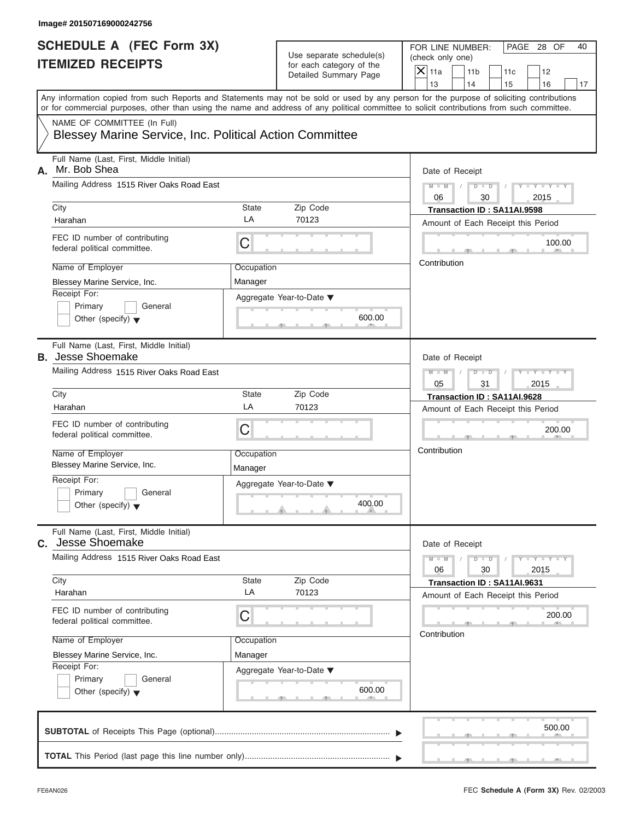| <b>SCHEDULE A (FEC Form 3X)</b>                                     |             | Use separate schedule(s) | PAGE 28 OF<br>FOR LINE NUMBER:<br>40                                                                                                       |  |  |  |
|---------------------------------------------------------------------|-------------|--------------------------|--------------------------------------------------------------------------------------------------------------------------------------------|--|--|--|
| <b>ITEMIZED RECEIPTS</b>                                            |             | for each category of the | (check only one)<br>$X$ 11a                                                                                                                |  |  |  |
|                                                                     |             | Detailed Summary Page    | 11 <sub>b</sub><br>11c<br>12<br>13<br>14<br>15<br>16                                                                                       |  |  |  |
|                                                                     |             |                          | Any information copied from such Reports and Statements may not be sold or used by any person for the purpose of soliciting contributions  |  |  |  |
|                                                                     |             |                          | or for commercial purposes, other than using the name and address of any political committee to solicit contributions from such committee. |  |  |  |
| NAME OF COMMITTEE (In Full)                                         |             |                          |                                                                                                                                            |  |  |  |
| Blessey Marine Service, Inc. Political Action Committee             |             |                          |                                                                                                                                            |  |  |  |
| Full Name (Last, First, Middle Initial)<br>Mr. Bob Shea<br>А.       |             |                          | Date of Receipt                                                                                                                            |  |  |  |
| Mailing Address 1515 River Oaks Road East                           |             |                          | $D$ $D$<br>$Y - Y - Y - Y - Y$<br>$M - M$<br>$\sqrt{ }$<br>06<br>30<br>2015                                                                |  |  |  |
| City                                                                | State       | Zip Code                 | Transaction ID: SA11AI.9598                                                                                                                |  |  |  |
| Harahan                                                             | LA          | 70123                    | Amount of Each Receipt this Period                                                                                                         |  |  |  |
| FEC ID number of contributing<br>federal political committee.       | C           |                          | 100.00                                                                                                                                     |  |  |  |
| Name of Employer                                                    | Occupation  |                          | Contribution                                                                                                                               |  |  |  |
| Blessey Marine Service, Inc.                                        | Manager     |                          |                                                                                                                                            |  |  |  |
| Receipt For:                                                        |             | Aggregate Year-to-Date ▼ |                                                                                                                                            |  |  |  |
| Primary<br>General                                                  |             |                          |                                                                                                                                            |  |  |  |
| Other (specify) $\blacktriangledown$                                |             | 600.00                   |                                                                                                                                            |  |  |  |
|                                                                     |             |                          |                                                                                                                                            |  |  |  |
| Full Name (Last, First, Middle Initial)<br><b>B.</b> Jesse Shoemake |             |                          | Date of Receipt                                                                                                                            |  |  |  |
| Mailing Address 1515 River Oaks Road East                           |             |                          | $M - M$<br>$D - I - D$<br>Y T Y T Y T                                                                                                      |  |  |  |
|                                                                     |             |                          | 05<br>31<br>2015                                                                                                                           |  |  |  |
| City                                                                | State<br>LA | Zip Code<br>70123        | Transaction ID: SA11AI.9628                                                                                                                |  |  |  |
| Harahan                                                             |             |                          | Amount of Each Receipt this Period                                                                                                         |  |  |  |
| FEC ID number of contributing<br>federal political committee.       | C           |                          | 200.00                                                                                                                                     |  |  |  |
| Name of Employer                                                    | Occupation  |                          | Contribution                                                                                                                               |  |  |  |
| Blessey Marine Service, Inc.                                        | Manager     |                          |                                                                                                                                            |  |  |  |
| Receipt For:                                                        |             | Aggregate Year-to-Date ▼ |                                                                                                                                            |  |  |  |
| Primary<br>General                                                  |             |                          |                                                                                                                                            |  |  |  |
| Other (specify) $\blacktriangledown$                                |             | 400.00                   |                                                                                                                                            |  |  |  |
| Full Name (Last, First, Middle Initial)<br>Jesse Shoemake<br>C.     |             |                          | Date of Receipt                                                                                                                            |  |  |  |
| Mailing Address 1515 River Oaks Road East                           |             |                          | $Y - Y - Y - Y - I$<br>$M - M$<br>$D$ $\Box$ $D$<br>06<br>30<br>2015                                                                       |  |  |  |
| City                                                                | State       | Zip Code                 | Transaction ID: SA11AI.9631                                                                                                                |  |  |  |
| Harahan                                                             | LA          | 70123                    | Amount of Each Receipt this Period                                                                                                         |  |  |  |
| FEC ID number of contributing<br>federal political committee.       | С           |                          | 200.00                                                                                                                                     |  |  |  |
| Name of Employer                                                    | Occupation  |                          | Contribution                                                                                                                               |  |  |  |
| Blessey Marine Service, Inc.                                        | Manager     |                          |                                                                                                                                            |  |  |  |
| Receipt For:                                                        |             | Aggregate Year-to-Date ▼ |                                                                                                                                            |  |  |  |
| Primary<br>General                                                  |             |                          |                                                                                                                                            |  |  |  |
| Other (specify) $\blacktriangledown$                                |             | 600.00                   |                                                                                                                                            |  |  |  |
|                                                                     |             |                          |                                                                                                                                            |  |  |  |
|                                                                     |             |                          | 500.00                                                                                                                                     |  |  |  |
|                                                                     |             |                          |                                                                                                                                            |  |  |  |
|                                                                     |             |                          |                                                                                                                                            |  |  |  |
|                                                                     |             |                          |                                                                                                                                            |  |  |  |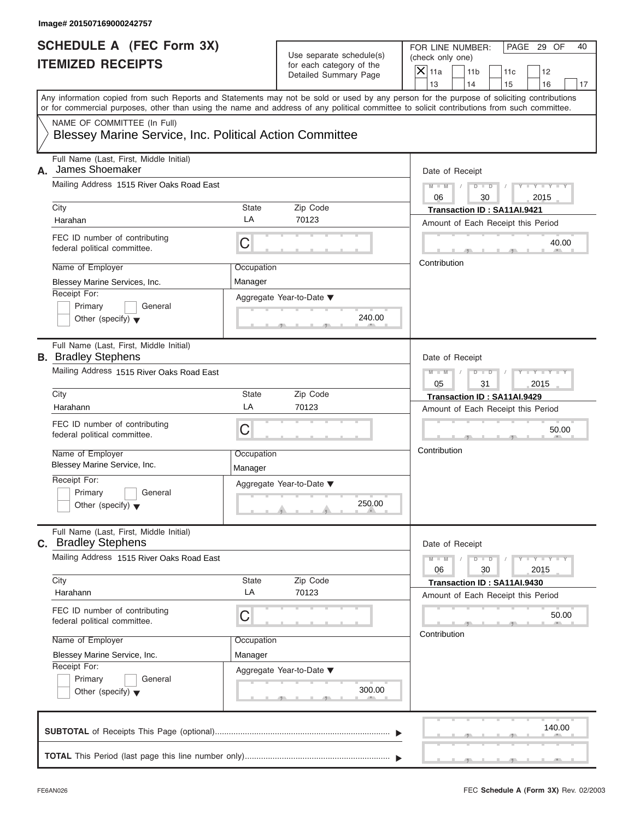| Image# 201507169000242757                                             |                       |                          |                                                                                                                                                                                                                                                                                         |
|-----------------------------------------------------------------------|-----------------------|--------------------------|-----------------------------------------------------------------------------------------------------------------------------------------------------------------------------------------------------------------------------------------------------------------------------------------|
| <b>SCHEDULE A (FEC Form 3X)</b>                                       |                       | Use separate schedule(s) | PAGE 29 OF<br>FOR LINE NUMBER:<br>40<br>(check only one)                                                                                                                                                                                                                                |
| <b>ITEMIZED RECEIPTS</b>                                              |                       | for each category of the | $X$ 11a<br>11 <sub>b</sub><br>11c<br>12                                                                                                                                                                                                                                                 |
|                                                                       |                       | Detailed Summary Page    | 13<br>14<br>15<br>16<br>17                                                                                                                                                                                                                                                              |
|                                                                       |                       |                          | Any information copied from such Reports and Statements may not be sold or used by any person for the purpose of soliciting contributions<br>or for commercial purposes, other than using the name and address of any political committee to solicit contributions from such committee. |
| NAME OF COMMITTEE (In Full)                                           |                       |                          |                                                                                                                                                                                                                                                                                         |
| Blessey Marine Service, Inc. Political Action Committee               |                       |                          |                                                                                                                                                                                                                                                                                         |
| Full Name (Last, First, Middle Initial)<br>James Shoemaker<br>А.      |                       |                          | Date of Receipt                                                                                                                                                                                                                                                                         |
| Mailing Address 1515 River Oaks Road East                             |                       |                          | $D$ $D$<br>$Y - Y - Y - Y - Y$<br>$M - M$<br>$\sqrt{ }$<br>06<br>30<br>2015                                                                                                                                                                                                             |
| City                                                                  | State                 | Zip Code                 | Transaction ID: SA11AI.9421                                                                                                                                                                                                                                                             |
| Harahan                                                               | LA                    | 70123                    | Amount of Each Receipt this Period                                                                                                                                                                                                                                                      |
| FEC ID number of contributing<br>federal political committee.         | C                     |                          | 40.00                                                                                                                                                                                                                                                                                   |
| Name of Employer                                                      | Occupation            |                          | Contribution                                                                                                                                                                                                                                                                            |
| Blessey Marine Services, Inc.                                         | Manager               |                          |                                                                                                                                                                                                                                                                                         |
| Receipt For:                                                          |                       | Aggregate Year-to-Date ▼ |                                                                                                                                                                                                                                                                                         |
| Primary<br>General                                                    |                       |                          |                                                                                                                                                                                                                                                                                         |
| Other (specify) $\blacktriangledown$                                  |                       | 240.00                   |                                                                                                                                                                                                                                                                                         |
| Full Name (Last, First, Middle Initial)<br><b>B.</b> Bradley Stephens |                       |                          | Date of Receipt                                                                                                                                                                                                                                                                         |
| Mailing Address 1515 River Oaks Road East                             |                       |                          | $M - M$<br>$D - I - D$<br>Y T Y T Y T                                                                                                                                                                                                                                                   |
|                                                                       |                       |                          | 05<br>31<br>2015                                                                                                                                                                                                                                                                        |
| City                                                                  | State                 | Zip Code                 | Transaction ID: SA11AI.9429                                                                                                                                                                                                                                                             |
| Harahann                                                              | LA                    | 70123                    | Amount of Each Receipt this Period                                                                                                                                                                                                                                                      |
| FEC ID number of contributing<br>federal political committee.         | C                     |                          | 50.00                                                                                                                                                                                                                                                                                   |
| Name of Employer<br>Blessey Marine Service, Inc.                      | Occupation<br>Manager |                          | Contribution                                                                                                                                                                                                                                                                            |
| Receipt For:                                                          |                       |                          |                                                                                                                                                                                                                                                                                         |
| Primary<br>General                                                    |                       | Aggregate Year-to-Date ▼ |                                                                                                                                                                                                                                                                                         |
| Other (specify) $\blacktriangledown$                                  |                       | 250.00                   |                                                                                                                                                                                                                                                                                         |
| Full Name (Last, First, Middle Initial)<br><b>c.</b> Bradley Stephens |                       |                          | Date of Receipt                                                                                                                                                                                                                                                                         |
| Mailing Address 1515 River Oaks Road East                             |                       |                          | $Y - Y - Y - Y - I$<br>$M - M$<br>$D$ $\Box$ $D$<br>06<br>30<br>2015                                                                                                                                                                                                                    |
| City                                                                  | State                 | Zip Code                 | Transaction ID: SA11AI.9430                                                                                                                                                                                                                                                             |
| Harahann                                                              | LA                    | 70123                    | Amount of Each Receipt this Period                                                                                                                                                                                                                                                      |
| FEC ID number of contributing<br>federal political committee.         | С                     |                          | 50.00                                                                                                                                                                                                                                                                                   |
| Name of Employer                                                      | Occupation            |                          | Contribution                                                                                                                                                                                                                                                                            |
| Blessey Marine Service, Inc.                                          | Manager               |                          |                                                                                                                                                                                                                                                                                         |
| Receipt For:                                                          |                       | Aggregate Year-to-Date ▼ |                                                                                                                                                                                                                                                                                         |
| Primary<br>General<br>Other (specify) $\blacktriangledown$            |                       | 300.00                   |                                                                                                                                                                                                                                                                                         |
|                                                                       |                       |                          | 140.00                                                                                                                                                                                                                                                                                  |
|                                                                       |                       |                          |                                                                                                                                                                                                                                                                                         |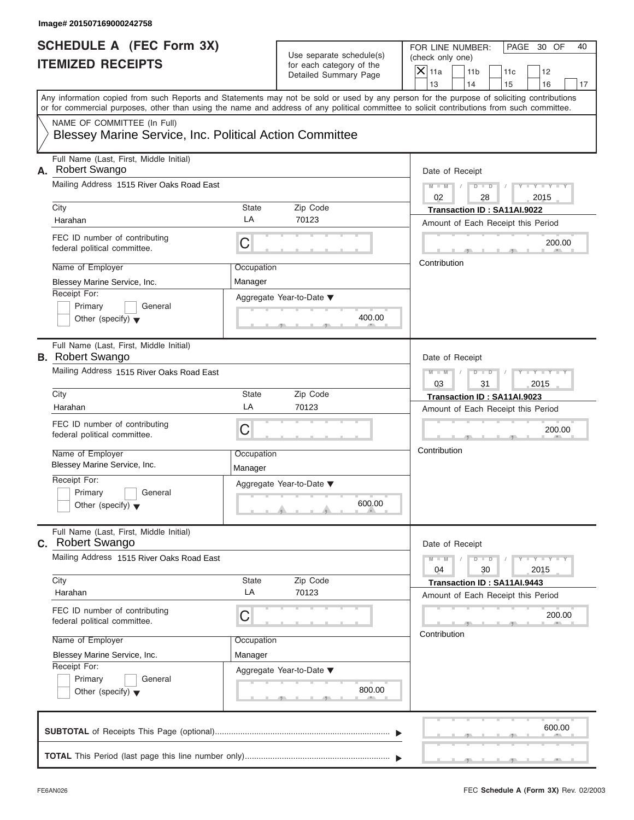| <b>SCHEDULE A (FEC Form 3X)</b>                                       |            |                                                   | PAGE 30 OF<br>FOR LINE NUMBER:<br>40                                                                                                                                                                                                                                                    |
|-----------------------------------------------------------------------|------------|---------------------------------------------------|-----------------------------------------------------------------------------------------------------------------------------------------------------------------------------------------------------------------------------------------------------------------------------------------|
| <b>ITEMIZED RECEIPTS</b>                                              |            | Use separate schedule(s)                          | (check only one)                                                                                                                                                                                                                                                                        |
|                                                                       |            | for each category of the<br>Detailed Summary Page | $X$ 11a<br>11 <sub>b</sub><br>11c<br>12                                                                                                                                                                                                                                                 |
|                                                                       |            |                                                   | 13<br>14<br>15<br>16<br>17                                                                                                                                                                                                                                                              |
|                                                                       |            |                                                   | Any information copied from such Reports and Statements may not be sold or used by any person for the purpose of soliciting contributions<br>or for commercial purposes, other than using the name and address of any political committee to solicit contributions from such committee. |
| NAME OF COMMITTEE (In Full)                                           |            |                                                   |                                                                                                                                                                                                                                                                                         |
| Blessey Marine Service, Inc. Political Action Committee               |            |                                                   |                                                                                                                                                                                                                                                                                         |
| Full Name (Last, First, Middle Initial)<br><b>Robert Swango</b><br>Α. |            |                                                   | Date of Receipt                                                                                                                                                                                                                                                                         |
| Mailing Address 1515 River Oaks Road East                             |            |                                                   | $D$ $D$<br>$Y - Y - Y - Y - Y$<br>$M - M$<br>$\sqrt{ }$<br>$\sqrt{ }$<br>02<br>2015<br>28                                                                                                                                                                                               |
| City                                                                  | State      | Zip Code                                          | Transaction ID: SA11AI.9022                                                                                                                                                                                                                                                             |
| Harahan                                                               | LA         | 70123                                             | Amount of Each Receipt this Period                                                                                                                                                                                                                                                      |
| FEC ID number of contributing<br>federal political committee.         | С          |                                                   | 200.00                                                                                                                                                                                                                                                                                  |
| Name of Employer                                                      | Occupation |                                                   | Contribution                                                                                                                                                                                                                                                                            |
| Blessey Marine Service, Inc.                                          | Manager    |                                                   |                                                                                                                                                                                                                                                                                         |
| Receipt For:                                                          |            | Aggregate Year-to-Date ▼                          |                                                                                                                                                                                                                                                                                         |
| Primary<br>General                                                    |            |                                                   |                                                                                                                                                                                                                                                                                         |
| Other (specify) $\blacktriangledown$                                  |            | 400.00                                            |                                                                                                                                                                                                                                                                                         |
| Full Name (Last, First, Middle Initial)<br><b>B.</b> Robert Swango    |            |                                                   | Date of Receipt                                                                                                                                                                                                                                                                         |
| Mailing Address 1515 River Oaks Road East                             |            |                                                   | $M - M$<br>$D - I$<br>$Y = Y = Y' - Y'$<br>$\sqrt{2}$                                                                                                                                                                                                                                   |
|                                                                       |            |                                                   | 2015<br>03<br>31                                                                                                                                                                                                                                                                        |
| City                                                                  | State      | Zip Code                                          | Transaction ID: SA11AI.9023                                                                                                                                                                                                                                                             |
| Harahan                                                               | LA         | 70123                                             | Amount of Each Receipt this Period                                                                                                                                                                                                                                                      |
| FEC ID number of contributing<br>federal political committee.         | C          |                                                   | 200.00                                                                                                                                                                                                                                                                                  |
| Name of Employer                                                      | Occupation |                                                   | Contribution                                                                                                                                                                                                                                                                            |
| Blessey Marine Service, Inc.                                          | Manager    |                                                   |                                                                                                                                                                                                                                                                                         |
| Receipt For:                                                          |            | Aggregate Year-to-Date ▼                          |                                                                                                                                                                                                                                                                                         |
| Primary<br>General                                                    |            |                                                   |                                                                                                                                                                                                                                                                                         |
| Other (specify) $\blacktriangledown$                                  |            | 600.00                                            |                                                                                                                                                                                                                                                                                         |
| Full Name (Last, First, Middle Initial)<br><b>c.</b> Robert Swango    |            |                                                   | Date of Receipt                                                                                                                                                                                                                                                                         |
| Mailing Address 1515 River Oaks Road East                             |            |                                                   | $M - M$<br>$Y = Y = Y - Y$<br>$D$ $D$<br>04<br>30<br>2015                                                                                                                                                                                                                               |
| City                                                                  | State      | Zip Code                                          | Transaction ID: SA11AI.9443                                                                                                                                                                                                                                                             |
| Harahan                                                               | LA         | 70123                                             | Amount of Each Receipt this Period                                                                                                                                                                                                                                                      |
| FEC ID number of contributing<br>federal political committee.         | С          |                                                   | 200.00                                                                                                                                                                                                                                                                                  |
| Name of Employer                                                      | Occupation |                                                   | Contribution                                                                                                                                                                                                                                                                            |
| Blessey Marine Service, Inc.                                          | Manager    |                                                   |                                                                                                                                                                                                                                                                                         |
| Receipt For:                                                          |            | Aggregate Year-to-Date ▼                          |                                                                                                                                                                                                                                                                                         |
| Primary<br>General                                                    |            |                                                   |                                                                                                                                                                                                                                                                                         |
| Other (specify) $\blacktriangledown$                                  |            | 800.00                                            |                                                                                                                                                                                                                                                                                         |
|                                                                       |            |                                                   | 600.00                                                                                                                                                                                                                                                                                  |
|                                                                       |            |                                                   |                                                                                                                                                                                                                                                                                         |
|                                                                       |            |                                                   |                                                                                                                                                                                                                                                                                         |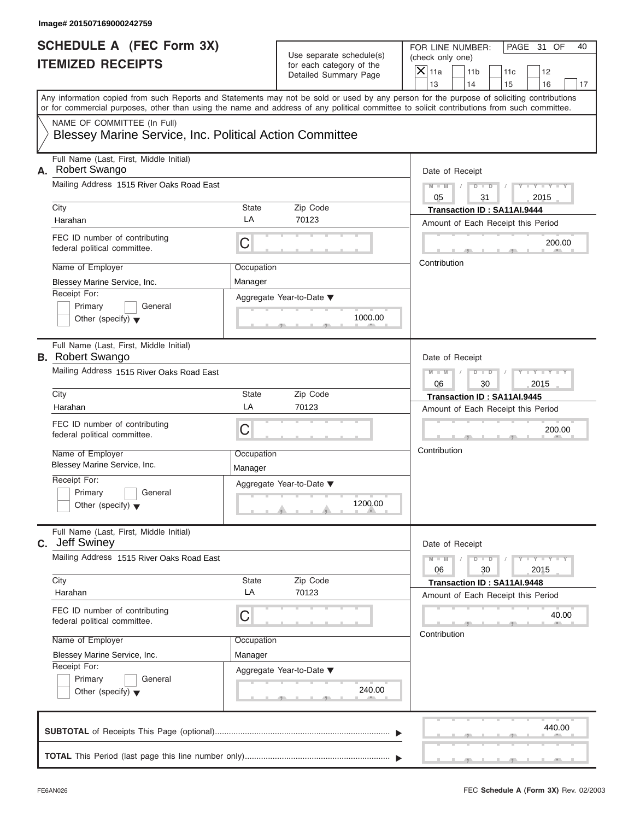| <b>SCHEDULE A (FEC Form 3X)</b><br><b>ITEMIZED RECEIPTS</b>                            |                       | Use separate schedule(s)<br>for each category of the | PAGE 31 OF<br>FOR LINE NUMBER:<br>40<br>(check only one)                                                                                                                                                                                                                                |  |
|----------------------------------------------------------------------------------------|-----------------------|------------------------------------------------------|-----------------------------------------------------------------------------------------------------------------------------------------------------------------------------------------------------------------------------------------------------------------------------------------|--|
|                                                                                        |                       | Detailed Summary Page                                | $X$ 11a<br>11 <sub>b</sub><br>11c<br>12<br>13<br>14<br>15<br>16<br>17                                                                                                                                                                                                                   |  |
|                                                                                        |                       |                                                      | Any information copied from such Reports and Statements may not be sold or used by any person for the purpose of soliciting contributions<br>or for commercial purposes, other than using the name and address of any political committee to solicit contributions from such committee. |  |
| NAME OF COMMITTEE (In Full)<br>Blessey Marine Service, Inc. Political Action Committee |                       |                                                      |                                                                                                                                                                                                                                                                                         |  |
| Full Name (Last, First, Middle Initial)<br><b>Robert Swango</b><br>А.                  |                       |                                                      | Date of Receipt                                                                                                                                                                                                                                                                         |  |
| Mailing Address 1515 River Oaks Road East                                              |                       |                                                      | $D$ $\Box$ $D$<br>$Y - Y - Y - Y - Y$<br>$M - M$<br>$\sqrt{2}$<br>$\sqrt{2}$<br>05<br>31<br>2015                                                                                                                                                                                        |  |
| City<br>Harahan                                                                        | State<br>LA           | Zip Code<br>70123                                    | Transaction ID: SA11AI.9444<br>Amount of Each Receipt this Period                                                                                                                                                                                                                       |  |
| FEC ID number of contributing<br>federal political committee.                          | С                     |                                                      | 200.00<br>Contribution                                                                                                                                                                                                                                                                  |  |
| Name of Employer<br>Blessey Marine Service, Inc.                                       | Occupation<br>Manager |                                                      |                                                                                                                                                                                                                                                                                         |  |
| Receipt For:<br>Primary<br>General<br>Other (specify) $\blacktriangledown$             |                       | Aggregate Year-to-Date ▼<br>1000.00                  |                                                                                                                                                                                                                                                                                         |  |
| Full Name (Last, First, Middle Initial)<br><b>B.</b> Robert Swango                     |                       |                                                      | Date of Receipt                                                                                                                                                                                                                                                                         |  |
| Mailing Address 1515 River Oaks Road East                                              |                       |                                                      | $D - I$<br>$Y - Y - Y - Y - Y$<br>$M - M$<br>$\sqrt{2}$<br>2015<br>06<br>30                                                                                                                                                                                                             |  |
| City                                                                                   | State<br>LA           | Zip Code                                             | Transaction ID: SA11AI.9445                                                                                                                                                                                                                                                             |  |
| Harahan                                                                                |                       | 70123                                                | Amount of Each Receipt this Period                                                                                                                                                                                                                                                      |  |
| FEC ID number of contributing<br>federal political committee.                          | С                     |                                                      | 200.00                                                                                                                                                                                                                                                                                  |  |
| Name of Employer<br>Blessey Marine Service, Inc.                                       | Occupation<br>Manager |                                                      | Contribution                                                                                                                                                                                                                                                                            |  |
| Receipt For:<br>Primary<br>General<br>Other (specify) $\blacktriangledown$             |                       | Aggregate Year-to-Date ▼<br>1200.00                  |                                                                                                                                                                                                                                                                                         |  |
| Full Name (Last, First, Middle Initial)<br><b>Jeff Swiney</b><br>C.                    |                       |                                                      | Date of Receipt                                                                                                                                                                                                                                                                         |  |
| Mailing Address 1515 River Oaks Road East                                              |                       |                                                      | $M - M$<br>$D$ $\Box$ $D$<br>$Y - Y - Y - Y - T$<br>2015<br>06<br>30                                                                                                                                                                                                                    |  |
| City<br>Harahan                                                                        | State<br>LA           | Zip Code<br>70123                                    | Transaction ID: SA11AI.9448<br>Amount of Each Receipt this Period                                                                                                                                                                                                                       |  |
| FEC ID number of contributing<br>federal political committee.                          | С                     |                                                      | 40.00<br>Contribution                                                                                                                                                                                                                                                                   |  |
| Name of Employer                                                                       | Occupation            |                                                      |                                                                                                                                                                                                                                                                                         |  |
| Blessey Marine Service, Inc.<br>Receipt For:                                           | Manager               |                                                      |                                                                                                                                                                                                                                                                                         |  |
| Primary<br>General<br>Other (specify) $\blacktriangledown$                             |                       | Aggregate Year-to-Date ▼<br>240.00                   |                                                                                                                                                                                                                                                                                         |  |
|                                                                                        |                       |                                                      | 440.00                                                                                                                                                                                                                                                                                  |  |
|                                                                                        |                       |                                                      |                                                                                                                                                                                                                                                                                         |  |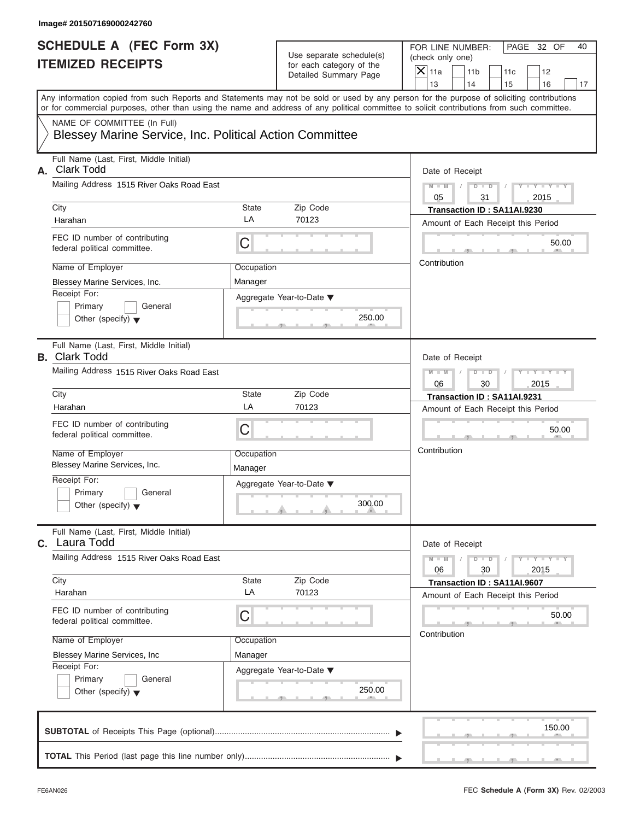| <b>SCHEDULE A (FEC Form 3X)</b><br><b>ITEMIZED RECEIPTS</b>                            |                          | Use separate schedule(s)                          | PAGE 32 OF<br>FOR LINE NUMBER:<br>40<br>(check only one)                                                                                                                                                                                                                                |
|----------------------------------------------------------------------------------------|--------------------------|---------------------------------------------------|-----------------------------------------------------------------------------------------------------------------------------------------------------------------------------------------------------------------------------------------------------------------------------------------|
|                                                                                        |                          | for each category of the<br>Detailed Summary Page | $X$ 11a<br>11 <sub>b</sub><br>11c<br>12<br>14<br>13<br>15<br>16<br>17                                                                                                                                                                                                                   |
|                                                                                        |                          |                                                   | Any information copied from such Reports and Statements may not be sold or used by any person for the purpose of soliciting contributions<br>or for commercial purposes, other than using the name and address of any political committee to solicit contributions from such committee. |
| NAME OF COMMITTEE (In Full)<br>Blessey Marine Service, Inc. Political Action Committee |                          |                                                   |                                                                                                                                                                                                                                                                                         |
| Full Name (Last, First, Middle Initial)<br><b>Clark Todd</b><br>А.                     |                          |                                                   | Date of Receipt                                                                                                                                                                                                                                                                         |
| Mailing Address 1515 River Oaks Road East                                              |                          |                                                   | $D$ $\Box$ $D$<br>$Y - Y - Y - Y - Y$<br>$M - M$<br>$\sqrt{ }$<br>05<br>31<br>2015                                                                                                                                                                                                      |
| City<br>Harahan                                                                        | State<br>LA              | Zip Code<br>70123                                 | Transaction ID: SA11AI.9230<br>Amount of Each Receipt this Period                                                                                                                                                                                                                       |
| FEC ID number of contributing<br>federal political committee.                          | С                        |                                                   | 50.00                                                                                                                                                                                                                                                                                   |
| Name of Employer<br>Blessey Marine Services, Inc.                                      | Occupation<br>Manager    |                                                   | Contribution                                                                                                                                                                                                                                                                            |
| Receipt For:<br>Primary<br>General<br>Other (specify) $\blacktriangledown$             | Aggregate Year-to-Date ▼ | 250.00                                            |                                                                                                                                                                                                                                                                                         |
| Full Name (Last, First, Middle Initial)<br><b>B.</b> Clark Todd                        |                          |                                                   | Date of Receipt                                                                                                                                                                                                                                                                         |
| Mailing Address 1515 River Oaks Road East                                              |                          |                                                   | $M - M$<br>$D - I - D$<br>$Y = Y = Y' - Y'$<br>$\sqrt{ }$<br>06<br>30<br>2015                                                                                                                                                                                                           |
| City<br>Harahan                                                                        | State<br>LA              | Zip Code<br>70123                                 | Transaction ID: SA11AI.9231<br>Amount of Each Receipt this Period                                                                                                                                                                                                                       |
| FEC ID number of contributing<br>federal political committee.                          | C                        |                                                   | 50.00                                                                                                                                                                                                                                                                                   |
| Name of Employer<br>Blessey Marine Services, Inc.                                      | Occupation<br>Manager    |                                                   | Contribution                                                                                                                                                                                                                                                                            |
| Receipt For:<br>Primary<br>General<br>Other (specify) $\blacktriangledown$             | Aggregate Year-to-Date ▼ | 300.00                                            |                                                                                                                                                                                                                                                                                         |
| Full Name (Last, First, Middle Initial)<br>C. Laura Todd                               |                          |                                                   | Date of Receipt                                                                                                                                                                                                                                                                         |
| Mailing Address 1515 River Oaks Road East                                              |                          |                                                   | $M - M$<br>$D$ $\Box$ $D$<br>$Y - Y - Y - Y - I$<br>06<br>30<br>2015                                                                                                                                                                                                                    |
| City<br>Harahan                                                                        | State<br>LA              | Zip Code<br>70123                                 | Transaction ID: SA11AI.9607<br>Amount of Each Receipt this Period                                                                                                                                                                                                                       |
| FEC ID number of contributing<br>federal political committee.                          | С                        |                                                   | 50.00                                                                                                                                                                                                                                                                                   |
| Name of Employer<br>Blessey Marine Services, Inc                                       | Occupation<br>Manager    |                                                   | Contribution                                                                                                                                                                                                                                                                            |
| Receipt For:<br>Primary<br>General<br>Other (specify) $\blacktriangledown$             | Aggregate Year-to-Date ▼ | 250.00                                            |                                                                                                                                                                                                                                                                                         |
|                                                                                        |                          |                                                   | 150.00                                                                                                                                                                                                                                                                                  |
|                                                                                        |                          |                                                   |                                                                                                                                                                                                                                                                                         |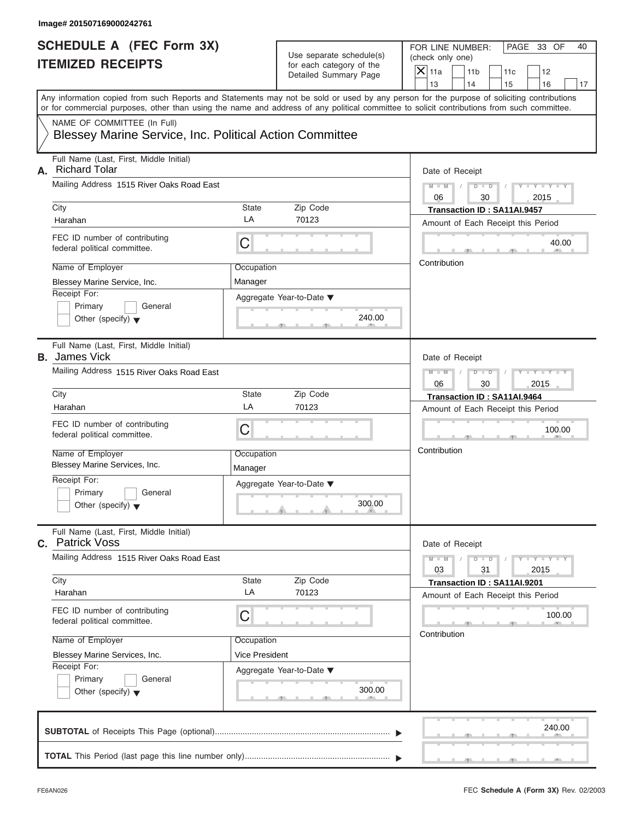| Image# 201507169000242761                                                                                                                                                                                                                                                               |                       |                                                      |                                      |                       |            |                             |    |
|-----------------------------------------------------------------------------------------------------------------------------------------------------------------------------------------------------------------------------------------------------------------------------------------|-----------------------|------------------------------------------------------|--------------------------------------|-----------------------|------------|-----------------------------|----|
| <b>SCHEDULE A (FEC Form 3X)</b><br><b>ITEMIZED RECEIPTS</b>                                                                                                                                                                                                                             |                       | Use separate schedule(s)<br>for each category of the | FOR LINE NUMBER:<br>(check only one) |                       |            | PAGE 33 OF                  | 40 |
|                                                                                                                                                                                                                                                                                         |                       | Detailed Summary Page                                | $X$ 11a<br>13                        | 11 <sub>b</sub><br>14 | 11c<br>15  | 12<br>16                    | 17 |
| Any information copied from such Reports and Statements may not be sold or used by any person for the purpose of soliciting contributions<br>or for commercial purposes, other than using the name and address of any political committee to solicit contributions from such committee. |                       |                                                      |                                      |                       |            |                             |    |
| NAME OF COMMITTEE (In Full)<br>Blessey Marine Service, Inc. Political Action Committee                                                                                                                                                                                                  |                       |                                                      |                                      |                       |            |                             |    |
| Full Name (Last, First, Middle Initial)<br><b>Richard Tolar</b><br>А.                                                                                                                                                                                                                   |                       |                                                      | Date of Receipt                      |                       |            |                             |    |
| Mailing Address 1515 River Oaks Road East                                                                                                                                                                                                                                               |                       |                                                      | $M - M$<br>06                        | $D$ $D$<br>30         | $\sqrt{ }$ | $Y - Y - Y - Y - Y$<br>2015 |    |
| City                                                                                                                                                                                                                                                                                    | State                 | Zip Code                                             | Transaction ID: SA11AI.9457          |                       |            |                             |    |
| Harahan                                                                                                                                                                                                                                                                                 | LA                    | 70123                                                | Amount of Each Receipt this Period   |                       |            |                             |    |
| FEC ID number of contributing<br>federal political committee.                                                                                                                                                                                                                           | C                     |                                                      |                                      |                       |            | 40.00                       |    |
| Name of Employer                                                                                                                                                                                                                                                                        | Occupation            |                                                      | Contribution                         |                       |            |                             |    |
| Blessey Marine Service, Inc.                                                                                                                                                                                                                                                            | Manager               |                                                      |                                      |                       |            |                             |    |
| Receipt For:<br>Primary<br>General                                                                                                                                                                                                                                                      |                       | Aggregate Year-to-Date ▼<br>240.00                   |                                      |                       |            |                             |    |
| Other (specify) $\blacktriangledown$                                                                                                                                                                                                                                                    |                       |                                                      |                                      |                       |            |                             |    |
| Full Name (Last, First, Middle Initial)<br><b>B.</b> James Vick                                                                                                                                                                                                                         |                       |                                                      | Date of Receipt                      |                       |            |                             |    |
| Mailing Address 1515 River Oaks Road East                                                                                                                                                                                                                                               |                       |                                                      | $M - M$<br>06                        | $D - I - D$<br>30     |            | Y TYTTYTTY<br>2015          |    |
| City                                                                                                                                                                                                                                                                                    | State                 | Zip Code                                             | Transaction ID: SA11AI.9464          |                       |            |                             |    |
| Harahan                                                                                                                                                                                                                                                                                 | LA                    | 70123                                                | Amount of Each Receipt this Period   |                       |            |                             |    |
| FEC ID number of contributing<br>federal political committee.                                                                                                                                                                                                                           | C                     |                                                      |                                      |                       |            | 100.00                      |    |
| Name of Employer<br>Blessey Marine Services, Inc.                                                                                                                                                                                                                                       | Occupation<br>Manager |                                                      | Contribution                         |                       |            |                             |    |
| Receipt For:<br>Primary<br>General<br>Other (specify) $\blacktriangledown$                                                                                                                                                                                                              |                       | Aggregate Year-to-Date ▼<br>300.00                   |                                      |                       |            |                             |    |
| Full Name (Last, First, Middle Initial)<br><b>C.</b> Patrick Voss                                                                                                                                                                                                                       |                       |                                                      | Date of Receipt                      |                       |            |                             |    |
| Mailing Address 1515 River Oaks Road East                                                                                                                                                                                                                                               |                       |                                                      | $M - M$<br>03                        | $D$ $\Box$ $D$<br>31  |            | $Y = Y = Y + Y$<br>2015     |    |
| City                                                                                                                                                                                                                                                                                    | State                 | Zip Code                                             | Transaction ID: SA11AI.9201          |                       |            |                             |    |
| Harahan                                                                                                                                                                                                                                                                                 | LA                    | 70123                                                | Amount of Each Receipt this Period   |                       |            |                             |    |
| FEC ID number of contributing<br>federal political committee.                                                                                                                                                                                                                           | С                     |                                                      |                                      |                       |            | 100.00                      |    |
| Name of Employer                                                                                                                                                                                                                                                                        | Occupation            |                                                      | Contribution                         |                       |            |                             |    |
| Blessey Marine Services, Inc.                                                                                                                                                                                                                                                           | <b>Vice President</b> |                                                      |                                      |                       |            |                             |    |
| Receipt For:<br>Primary<br>General<br>Other (specify) $\blacktriangledown$                                                                                                                                                                                                              |                       | Aggregate Year-to-Date ▼<br>300.00                   |                                      |                       |            |                             |    |
|                                                                                                                                                                                                                                                                                         |                       |                                                      |                                      |                       |            | 240.00                      |    |
|                                                                                                                                                                                                                                                                                         |                       |                                                      |                                      |                       |            |                             |    |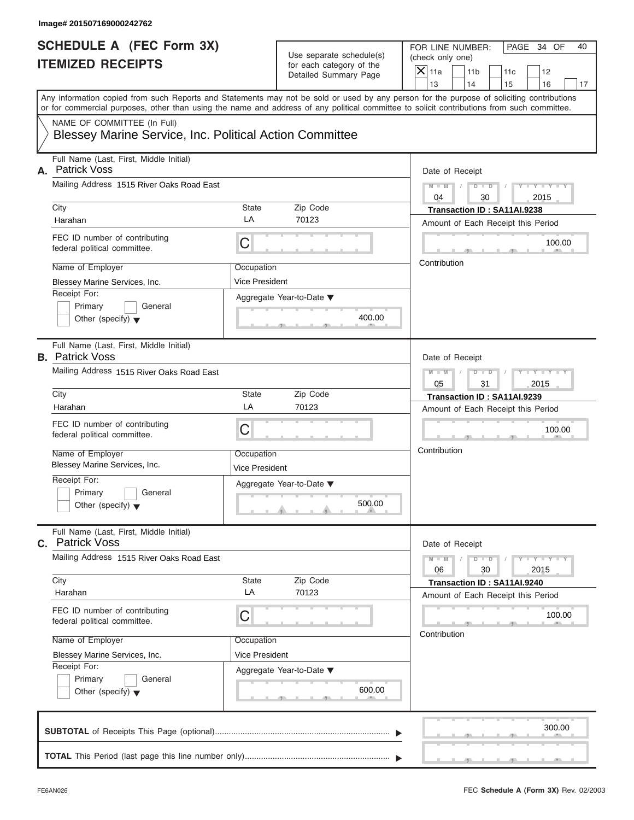| <b>SCHEDULE A (FEC Form 3X)</b>                                                        |                                     |                                                      | PAGE 34 OF<br>FOR LINE NUMBER:                                                                                                                                                                                                                                                          |
|----------------------------------------------------------------------------------------|-------------------------------------|------------------------------------------------------|-----------------------------------------------------------------------------------------------------------------------------------------------------------------------------------------------------------------------------------------------------------------------------------------|
| <b>ITEMIZED RECEIPTS</b>                                                               |                                     | Use separate schedule(s)<br>for each category of the | (check only one)                                                                                                                                                                                                                                                                        |
|                                                                                        |                                     | Detailed Summary Page                                | $X$ 11a<br>11 <sub>b</sub><br>11c<br>12                                                                                                                                                                                                                                                 |
|                                                                                        |                                     |                                                      | 13<br>14<br>15<br>16                                                                                                                                                                                                                                                                    |
|                                                                                        |                                     |                                                      | Any information copied from such Reports and Statements may not be sold or used by any person for the purpose of soliciting contributions<br>or for commercial purposes, other than using the name and address of any political committee to solicit contributions from such committee. |
| NAME OF COMMITTEE (In Full)<br>Blessey Marine Service, Inc. Political Action Committee |                                     |                                                      |                                                                                                                                                                                                                                                                                         |
| Full Name (Last, First, Middle Initial)<br><b>Patrick Voss</b><br>А.                   |                                     |                                                      | Date of Receipt                                                                                                                                                                                                                                                                         |
| Mailing Address 1515 River Oaks Road East                                              |                                     |                                                      | $D$ $\Box$ $D$<br>$Y - Y - Y - Y - Y$<br>$M$ $M$ $I$ $I$<br>$\sqrt{ }$<br>04<br>30<br>2015                                                                                                                                                                                              |
| City                                                                                   | State                               | Zip Code                                             | Transaction ID: SA11AI.9238                                                                                                                                                                                                                                                             |
| Harahan                                                                                | LA                                  | 70123                                                | Amount of Each Receipt this Period                                                                                                                                                                                                                                                      |
| FEC ID number of contributing<br>federal political committee.                          | C                                   |                                                      | 100.00                                                                                                                                                                                                                                                                                  |
| Name of Employer                                                                       | Occupation                          |                                                      | Contribution                                                                                                                                                                                                                                                                            |
| Blessey Marine Services, Inc.                                                          | Vice President                      |                                                      |                                                                                                                                                                                                                                                                                         |
| Receipt For:                                                                           |                                     | Aggregate Year-to-Date ▼                             |                                                                                                                                                                                                                                                                                         |
| Primary<br>General                                                                     |                                     |                                                      |                                                                                                                                                                                                                                                                                         |
| Other (specify) $\blacktriangledown$                                                   |                                     | 400.00                                               |                                                                                                                                                                                                                                                                                         |
| Full Name (Last, First, Middle Initial)<br><b>B.</b> Patrick Voss                      |                                     |                                                      | Date of Receipt                                                                                                                                                                                                                                                                         |
| Mailing Address 1515 River Oaks Road East                                              |                                     |                                                      | Y TY TY TY<br>$M - M$<br>$D - I - D$<br>$\sqrt{ }$                                                                                                                                                                                                                                      |
|                                                                                        |                                     |                                                      | 2015<br>05<br>31                                                                                                                                                                                                                                                                        |
| City                                                                                   | State                               | Zip Code                                             | Transaction ID: SA11AI.9239                                                                                                                                                                                                                                                             |
| Harahan                                                                                | LA                                  | 70123                                                | Amount of Each Receipt this Period                                                                                                                                                                                                                                                      |
| FEC ID number of contributing<br>federal political committee.                          | C                                   |                                                      | 100.00                                                                                                                                                                                                                                                                                  |
| Name of Employer<br>Blessey Marine Services, Inc.                                      | Occupation<br><b>Vice President</b> |                                                      | Contribution                                                                                                                                                                                                                                                                            |
| Receipt For:                                                                           |                                     | Aggregate Year-to-Date ▼                             |                                                                                                                                                                                                                                                                                         |
| Primary<br>General<br>Other (specify) $\blacktriangledown$                             |                                     | 500.00                                               |                                                                                                                                                                                                                                                                                         |
| Full Name (Last, First, Middle Initial)<br><b>C.</b> Patrick Voss                      |                                     |                                                      | Date of Receipt                                                                                                                                                                                                                                                                         |
| Mailing Address 1515 River Oaks Road East                                              |                                     |                                                      | $M - M$<br>$D$ $\Box$ $D$<br>$Y = Y = Y - Y$<br>06<br>30<br>2015                                                                                                                                                                                                                        |
| City                                                                                   | State                               | Zip Code                                             | Transaction ID: SA11AI.9240                                                                                                                                                                                                                                                             |
| Harahan                                                                                | LA                                  | 70123                                                | Amount of Each Receipt this Period                                                                                                                                                                                                                                                      |
| FEC ID number of contributing<br>federal political committee.                          | С                                   |                                                      | 100.00                                                                                                                                                                                                                                                                                  |
| Name of Employer                                                                       | Occupation                          |                                                      | Contribution                                                                                                                                                                                                                                                                            |
| Blessey Marine Services, Inc.                                                          | Vice President                      |                                                      |                                                                                                                                                                                                                                                                                         |
| Receipt For:                                                                           |                                     | Aggregate Year-to-Date ▼                             |                                                                                                                                                                                                                                                                                         |
| Primary<br>General<br>Other (specify) $\blacktriangledown$                             |                                     | 600.00                                               |                                                                                                                                                                                                                                                                                         |
|                                                                                        |                                     |                                                      | 300.00                                                                                                                                                                                                                                                                                  |
|                                                                                        |                                     |                                                      |                                                                                                                                                                                                                                                                                         |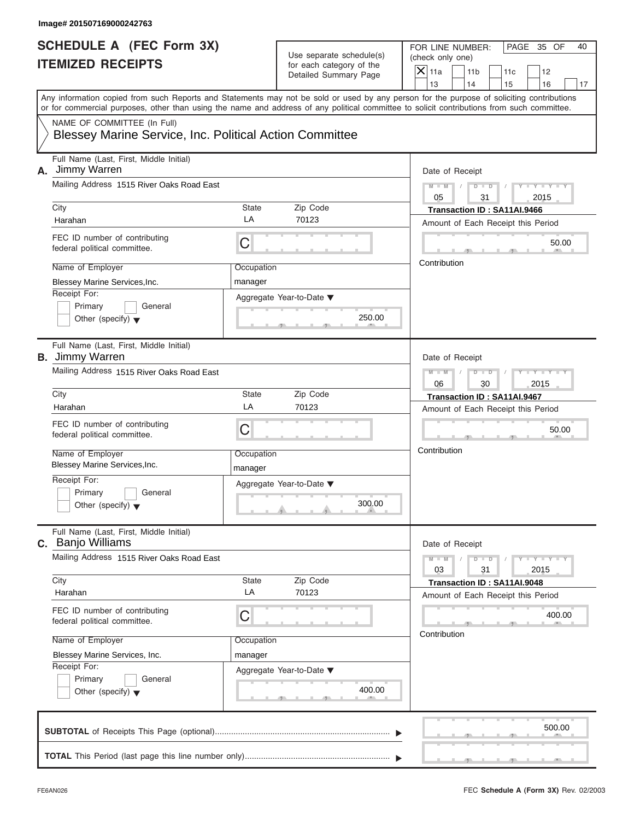| Image# 201507169000242763                                                              |                       |                                                                               |                                                                                                                                                                         |
|----------------------------------------------------------------------------------------|-----------------------|-------------------------------------------------------------------------------|-------------------------------------------------------------------------------------------------------------------------------------------------------------------------|
| <b>SCHEDULE A (FEC Form 3X)</b><br><b>ITEMIZED RECEIPTS</b>                            |                       | Use separate schedule(s)<br>for each category of the<br>Detailed Summary Page | FOR LINE NUMBER:<br>PAGE 35 OF<br>40<br>(check only one)<br>$\mathsf{X}$ 11a<br>11 <sub>b</sub><br>11c<br>12                                                            |
|                                                                                        |                       |                                                                               | 13<br>14<br>15<br>16<br>17<br>Any information copied from such Reports and Statements may not be sold or used by any person for the purpose of soliciting contributions |
|                                                                                        |                       |                                                                               | or for commercial purposes, other than using the name and address of any political committee to solicit contributions from such committee.                              |
| NAME OF COMMITTEE (In Full)<br>Blessey Marine Service, Inc. Political Action Committee |                       |                                                                               |                                                                                                                                                                         |
| Full Name (Last, First, Middle Initial)<br>A. Jimmy Warren                             |                       |                                                                               | Date of Receipt                                                                                                                                                         |
| Mailing Address 1515 River Oaks Road East                                              |                       |                                                                               | $M - M$<br>$D$ $D$<br>$Y - Y - Y - Y$<br>31<br>2015<br>05                                                                                                               |
| City                                                                                   | State                 | Zip Code                                                                      | Transaction ID: SA11AI.9466                                                                                                                                             |
| Harahan                                                                                | LA                    | 70123                                                                         | Amount of Each Receipt this Period                                                                                                                                      |
| FEC ID number of contributing<br>federal political committee.                          | С                     |                                                                               | 50.00                                                                                                                                                                   |
| Name of Employer                                                                       | Occupation            |                                                                               | Contribution                                                                                                                                                            |
| Blessey Marine Services, Inc.                                                          | manager               |                                                                               |                                                                                                                                                                         |
| Receipt For:<br>Primary<br>General<br>Other (specify) $\blacktriangledown$             |                       | Aggregate Year-to-Date ▼<br>250.00                                            |                                                                                                                                                                         |
| Full Name (Last, First, Middle Initial)<br><b>B.</b> Jimmy Warren                      |                       |                                                                               | Date of Receipt                                                                                                                                                         |
| Mailing Address 1515 River Oaks Road East                                              |                       |                                                                               | Y T Y T Y T<br>$M - M$<br>$D$ $D$                                                                                                                                       |
|                                                                                        |                       |                                                                               | 2015<br>06<br>30                                                                                                                                                        |
| City                                                                                   | State                 | Zip Code                                                                      | Transaction ID: SA11AI.9467                                                                                                                                             |
| Harahan                                                                                | LA                    | 70123                                                                         | Amount of Each Receipt this Period                                                                                                                                      |
| FEC ID number of contributing<br>federal political committee.                          | С                     |                                                                               | 50.00                                                                                                                                                                   |
| Name of Employer<br><b>Blessey Marine Services, Inc.</b>                               | Occupation<br>manager |                                                                               | Contribution                                                                                                                                                            |
| Receipt For:<br>Primary<br>General<br>Other (specify) $\blacktriangledown$             |                       | Aggregate Year-to-Date ▼<br>300.00                                            |                                                                                                                                                                         |
| Full Name (Last, First, Middle Initial)<br><b>c.</b> Banjo Williams                    |                       |                                                                               | Date of Receipt                                                                                                                                                         |
| Mailing Address 1515 River Oaks Road East                                              |                       |                                                                               | $M - M$<br>$\mathbf{I}$ $\mathbf{Y}$ $\mathbf{I}$ $\mathbf{Y}$ $\mathbf{I}$<br>$D - D$<br>03<br>31<br>2015                                                              |
| City                                                                                   | State                 | Zip Code                                                                      | Transaction ID: SA11AI.9048                                                                                                                                             |
| Harahan                                                                                | LA                    | 70123                                                                         | Amount of Each Receipt this Period                                                                                                                                      |
| FEC ID number of contributing<br>federal political committee.                          | С                     |                                                                               | 400.00                                                                                                                                                                  |
| Name of Employer                                                                       | Occupation            |                                                                               | Contribution                                                                                                                                                            |
| Blessey Marine Services, Inc.                                                          | manager               |                                                                               |                                                                                                                                                                         |
| Receipt For:<br>Primary<br>General<br>Other (specify) $\blacktriangledown$             |                       | Aggregate Year-to-Date ▼<br>400.00                                            |                                                                                                                                                                         |
|                                                                                        |                       |                                                                               | 500.00                                                                                                                                                                  |
|                                                                                        |                       |                                                                               |                                                                                                                                                                         |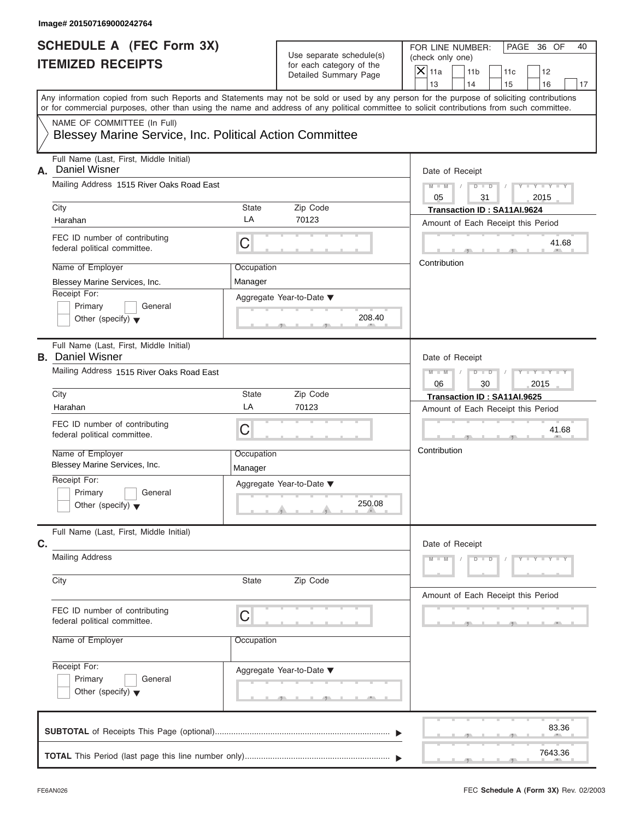| Image# 201507169000242764                                                              |                       |                                                      |                                                                                                                                                                         |  |  |
|----------------------------------------------------------------------------------------|-----------------------|------------------------------------------------------|-------------------------------------------------------------------------------------------------------------------------------------------------------------------------|--|--|
| <b>SCHEDULE A (FEC Form 3X)</b><br><b>ITEMIZED RECEIPTS</b>                            |                       | Use separate schedule(s)<br>for each category of the | PAGE 36 OF<br>FOR LINE NUMBER:<br>(check only one)                                                                                                                      |  |  |
|                                                                                        |                       | Detailed Summary Page                                | $X$ 11a<br>11 <sub>b</sub><br>11c<br>12                                                                                                                                 |  |  |
|                                                                                        |                       |                                                      | 13<br>14<br>15<br>16<br>17<br>Any information copied from such Reports and Statements may not be sold or used by any person for the purpose of soliciting contributions |  |  |
|                                                                                        |                       |                                                      | or for commercial purposes, other than using the name and address of any political committee to solicit contributions from such committee.                              |  |  |
| NAME OF COMMITTEE (In Full)<br>Blessey Marine Service, Inc. Political Action Committee |                       |                                                      |                                                                                                                                                                         |  |  |
| Full Name (Last, First, Middle Initial)<br>Daniel Wisner<br>А.                         |                       |                                                      | Date of Receipt                                                                                                                                                         |  |  |
| Mailing Address 1515 River Oaks Road East                                              |                       |                                                      | $D$ $\Box$ $D$<br>$Y - Y - Y - Y - Y$<br>$M - M$<br>$\sqrt{ }$<br>05<br>31<br>2015                                                                                      |  |  |
| City                                                                                   | State                 | Zip Code                                             | Transaction ID: SA11AI.9624                                                                                                                                             |  |  |
| Harahan                                                                                | LA                    | 70123                                                | Amount of Each Receipt this Period                                                                                                                                      |  |  |
| FEC ID number of contributing<br>federal political committee.                          | C                     |                                                      | 41.68                                                                                                                                                                   |  |  |
| Name of Employer                                                                       | Occupation            |                                                      | Contribution                                                                                                                                                            |  |  |
| Blessey Marine Services, Inc.                                                          | Manager               |                                                      |                                                                                                                                                                         |  |  |
| Receipt For:                                                                           |                       | Aggregate Year-to-Date ▼                             |                                                                                                                                                                         |  |  |
| Primary<br>General                                                                     |                       |                                                      |                                                                                                                                                                         |  |  |
| Other (specify) $\blacktriangledown$                                                   |                       | 208.40                                               |                                                                                                                                                                         |  |  |
| Full Name (Last, First, Middle Initial)<br><b>B.</b> Daniel Wisner                     |                       |                                                      | Date of Receipt                                                                                                                                                         |  |  |
| Mailing Address 1515 River Oaks Road East                                              |                       |                                                      | Y TY TY TY<br>$M - M$<br>$D - I - D$<br>$\sqrt{2}$                                                                                                                      |  |  |
|                                                                                        |                       |                                                      | 2015<br>06<br>30                                                                                                                                                        |  |  |
| City                                                                                   | State                 | Zip Code                                             | Transaction ID: SA11AI.9625                                                                                                                                             |  |  |
| Harahan                                                                                | LA                    | 70123                                                | Amount of Each Receipt this Period                                                                                                                                      |  |  |
| FEC ID number of contributing<br>federal political committee.                          | C                     |                                                      | 41.68                                                                                                                                                                   |  |  |
| Name of Employer<br>Blessey Marine Services, Inc.                                      | Occupation<br>Manager |                                                      | Contribution                                                                                                                                                            |  |  |
| Receipt For:                                                                           |                       | Aggregate Year-to-Date ▼                             |                                                                                                                                                                         |  |  |
| Primary<br>General<br>Other (specify) $\blacktriangledown$                             |                       | 250.08                                               |                                                                                                                                                                         |  |  |
| Full Name (Last, First, Middle Initial)<br>C.                                          |                       |                                                      | Date of Receipt                                                                                                                                                         |  |  |
| <b>Mailing Address</b>                                                                 |                       |                                                      | $M - M$<br>$D$ $D$<br>$Y - Y - Y - Y - Y$                                                                                                                               |  |  |
| City                                                                                   | State                 | Zip Code                                             | Amount of Each Receipt this Period                                                                                                                                      |  |  |
| FEC ID number of contributing<br>federal political committee.                          | С                     |                                                      |                                                                                                                                                                         |  |  |
| Name of Employer                                                                       | Occupation            |                                                      |                                                                                                                                                                         |  |  |
| Receipt For:                                                                           |                       | Aggregate Year-to-Date ▼                             |                                                                                                                                                                         |  |  |
| Primary<br>General                                                                     |                       |                                                      |                                                                                                                                                                         |  |  |
| Other (specify) $\blacktriangledown$                                                   |                       |                                                      |                                                                                                                                                                         |  |  |
|                                                                                        |                       |                                                      | 83.36                                                                                                                                                                   |  |  |
|                                                                                        |                       |                                                      |                                                                                                                                                                         |  |  |
|                                                                                        |                       |                                                      | 7643.36                                                                                                                                                                 |  |  |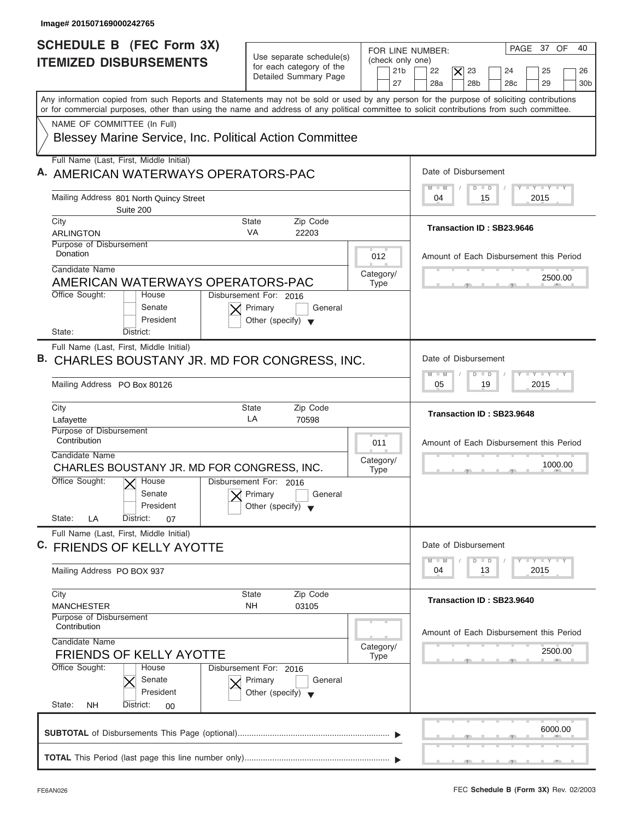| Image# 201507169000242765                                                                                                                                                                                                                                                               |                                                                                      |                                                               |                                                                                                                                                 |
|-----------------------------------------------------------------------------------------------------------------------------------------------------------------------------------------------------------------------------------------------------------------------------------------|--------------------------------------------------------------------------------------|---------------------------------------------------------------|-------------------------------------------------------------------------------------------------------------------------------------------------|
| <b>SCHEDULE B (FEC Form 3X)</b><br><b>ITEMIZED DISBURSEMENTS</b>                                                                                                                                                                                                                        | Use separate schedule(s)<br>for each category of the<br>Detailed Summary Page        | FOR LINE NUMBER:<br>(check only one)<br>21 <sub>b</sub><br>27 | PAGE 37 OF<br>40<br>22<br>23<br>25<br>$ \boldsymbol{\times} $<br>24<br>26<br>28a<br>28 <sub>b</sub><br>28 <sub>c</sub><br>29<br>30 <sub>b</sub> |
| Any information copied from such Reports and Statements may not be sold or used by any person for the purpose of soliciting contributions<br>or for commercial purposes, other than using the name and address of any political committee to solicit contributions from such committee. |                                                                                      |                                                               |                                                                                                                                                 |
| NAME OF COMMITTEE (In Full)<br>Blessey Marine Service, Inc. Political Action Committee                                                                                                                                                                                                  |                                                                                      |                                                               |                                                                                                                                                 |
| Full Name (Last, First, Middle Initial)<br>A. AMERICAN WATERWAYS OPERATORS-PAC                                                                                                                                                                                                          |                                                                                      |                                                               | Date of Disbursement                                                                                                                            |
| Mailing Address 801 North Quincy Street<br>Suite 200                                                                                                                                                                                                                                    |                                                                                      |                                                               | Y L Y L Y L Y<br>$M - M$<br>$D$ $D$<br>15<br>2015<br>04                                                                                         |
| City<br>ARLINGTON                                                                                                                                                                                                                                                                       | Zip Code<br>State<br><b>VA</b><br>22203                                              |                                                               | Transaction ID: SB23.9646                                                                                                                       |
| Purpose of Disbursement<br>Donation                                                                                                                                                                                                                                                     |                                                                                      | 012                                                           | Amount of Each Disbursement this Period                                                                                                         |
| Candidate Name<br>AMERICAN WATERWAYS OPERATORS-PAC                                                                                                                                                                                                                                      |                                                                                      | Category/<br><b>Type</b>                                      | 2500.00                                                                                                                                         |
| Office Sought:<br>House<br>Senate<br>President<br>State:<br>District:                                                                                                                                                                                                                   | Disbursement For: 2016<br>Primary<br>General<br>Other (specify) $\blacktriangledown$ |                                                               |                                                                                                                                                 |
| Full Name (Last, First, Middle Initial)<br>CHARLES BOUSTANY JR. MD FOR CONGRESS, INC.<br>в.                                                                                                                                                                                             |                                                                                      |                                                               | Date of Disbursement                                                                                                                            |
| Mailing Address PO Box 80126                                                                                                                                                                                                                                                            |                                                                                      |                                                               | $-Y - Y - Y - Y$<br>$M - M$<br>$\Box$<br>D<br>19<br>2015<br>05                                                                                  |
| City<br>Lafayette                                                                                                                                                                                                                                                                       | <b>State</b><br>Zip Code<br>LA<br>70598                                              |                                                               | Transaction ID: SB23.9648                                                                                                                       |
| Purpose of Disbursement<br>Contribution                                                                                                                                                                                                                                                 |                                                                                      | 011                                                           | Amount of Each Disbursement this Period                                                                                                         |
| Candidate Name<br>CHARLES BOUSTANY JR. MD FOR CONGRESS, INC.                                                                                                                                                                                                                            |                                                                                      | Category/<br><b>Type</b>                                      | 1000.00                                                                                                                                         |
| Office Sought:<br>$\overline{X}$ House<br>Senate<br>President                                                                                                                                                                                                                           | Disbursement For: 2016<br>Primary<br>General<br>Other (specify)                      |                                                               |                                                                                                                                                 |
| State:<br>District:<br>LA<br>07<br>Full Name (Last, First, Middle Initial)                                                                                                                                                                                                              |                                                                                      |                                                               |                                                                                                                                                 |
| C. FRIENDS OF KELLY AYOTTE                                                                                                                                                                                                                                                              |                                                                                      |                                                               | Date of Disbursement<br><b>LY LY LY</b><br>$M - M$<br>$\Box$<br>$\overline{D}$                                                                  |
| Mailing Address PO BOX 937                                                                                                                                                                                                                                                              |                                                                                      |                                                               | 2015<br>04<br>13                                                                                                                                |
| City<br><b>MANCHESTER</b>                                                                                                                                                                                                                                                               | <b>State</b><br>Zip Code<br>NΗ<br>03105                                              |                                                               | Transaction ID: SB23.9640                                                                                                                       |
| Purpose of Disbursement<br>Contribution<br>Candidate Name                                                                                                                                                                                                                               |                                                                                      |                                                               | Amount of Each Disbursement this Period                                                                                                         |
| <b>FRIENDS OF KELLY AYOTTE</b>                                                                                                                                                                                                                                                          |                                                                                      | Category/<br><b>Type</b>                                      | 2500.00                                                                                                                                         |
| Office Sought:<br>House<br>Senate<br>President                                                                                                                                                                                                                                          | Disbursement For: 2016<br>Primary<br>General<br>Other (specify) $\blacktriangledown$ |                                                               |                                                                                                                                                 |
| State:<br><b>NH</b><br>District:<br>$00\,$                                                                                                                                                                                                                                              |                                                                                      |                                                               |                                                                                                                                                 |
|                                                                                                                                                                                                                                                                                         |                                                                                      |                                                               | 6000.00                                                                                                                                         |
|                                                                                                                                                                                                                                                                                         |                                                                                      |                                                               |                                                                                                                                                 |
|                                                                                                                                                                                                                                                                                         |                                                                                      |                                                               | $\sim$ $\sim$ $\sim$ $\sim$                                                                                                                     |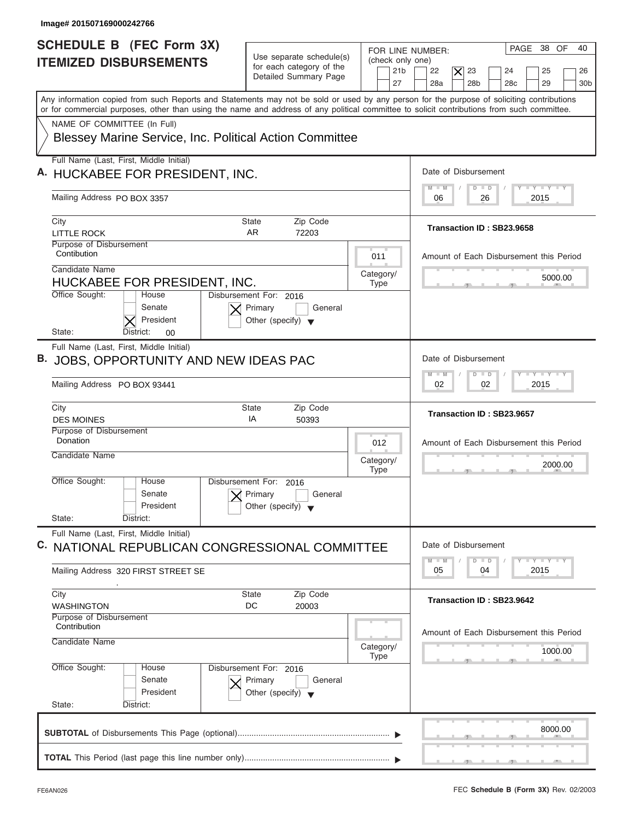| Image# 201507169000242766                                                                                                                                                                                                                                                               |                                                                                      |                                                               |                                                                                                                                                 |
|-----------------------------------------------------------------------------------------------------------------------------------------------------------------------------------------------------------------------------------------------------------------------------------------|--------------------------------------------------------------------------------------|---------------------------------------------------------------|-------------------------------------------------------------------------------------------------------------------------------------------------|
| <b>SCHEDULE B (FEC Form 3X)</b><br><b>ITEMIZED DISBURSEMENTS</b>                                                                                                                                                                                                                        | Use separate schedule(s)<br>for each category of the<br>Detailed Summary Page        | FOR LINE NUMBER:<br>(check only one)<br>21 <sub>b</sub><br>27 | PAGE 38 OF<br>40<br>22<br>23<br>25<br>$ \boldsymbol{\times} $<br>24<br>26<br>28a<br>28 <sub>b</sub><br>29<br>28 <sub>c</sub><br>30 <sub>b</sub> |
| Any information copied from such Reports and Statements may not be sold or used by any person for the purpose of soliciting contributions<br>or for commercial purposes, other than using the name and address of any political committee to solicit contributions from such committee. |                                                                                      |                                                               |                                                                                                                                                 |
| NAME OF COMMITTEE (In Full)<br>Blessey Marine Service, Inc. Political Action Committee                                                                                                                                                                                                  |                                                                                      |                                                               |                                                                                                                                                 |
| Full Name (Last, First, Middle Initial)<br>A. HUCKABEE FOR PRESIDENT, INC.                                                                                                                                                                                                              |                                                                                      |                                                               | Date of Disbursement                                                                                                                            |
| Mailing Address PO BOX 3357                                                                                                                                                                                                                                                             |                                                                                      |                                                               | <b>TY TY TY</b><br>$D$ $D$<br>$M$ $M$<br>2015<br>06<br>26                                                                                       |
| City<br><b>LITTLE ROCK</b><br>Purpose of Disbursement<br>Contibution                                                                                                                                                                                                                    | Zip Code<br>State<br>AR.<br>72203                                                    |                                                               | Transaction ID: SB23.9658                                                                                                                       |
| Candidate Name<br>HUCKABEE FOR PRESIDENT, INC.<br>Office Sought:<br>House                                                                                                                                                                                                               | Disbursement For: 2016                                                               | 011<br>Category/<br><b>Type</b>                               | Amount of Each Disbursement this Period<br>5000.00                                                                                              |
| Senate<br>President<br>State:<br>District:<br>00                                                                                                                                                                                                                                        | Primary<br>General<br>Other (specify) $\blacktriangledown$                           |                                                               |                                                                                                                                                 |
| Full Name (Last, First, Middle Initial)<br>B. JOBS, OPPORTUNITY AND NEW IDEAS PAC<br>Mailing Address PO BOX 93441                                                                                                                                                                       |                                                                                      |                                                               | Date of Disbursement<br>$-Y - Y - Y - Y$<br>$\Box$<br>$M - M$<br>D<br>02<br>2015<br>02                                                          |
| City<br><b>DES MOINES</b>                                                                                                                                                                                                                                                               | <b>State</b><br>Zip Code<br>IA<br>50393                                              |                                                               | Transaction ID: SB23.9657                                                                                                                       |
| Purpose of Disbursement<br>Donation<br>Candidate Name                                                                                                                                                                                                                                   |                                                                                      | 012<br>Category/<br><b>Type</b>                               | Amount of Each Disbursement this Period<br>2000.00                                                                                              |
| Office Sought:<br>House<br>Senate<br>President<br>State:<br>District:                                                                                                                                                                                                                   | Disbursement For:<br>2016<br>Primary<br>General<br>Other (specify)                   |                                                               |                                                                                                                                                 |
| Full Name (Last, First, Middle Initial)<br>C. NATIONAL REPUBLICAN CONGRESSIONAL COMMITTEE                                                                                                                                                                                               |                                                                                      |                                                               | Date of Disbursement                                                                                                                            |
| Mailing Address 320 FIRST STREET SE                                                                                                                                                                                                                                                     |                                                                                      |                                                               | <b>LY LY LY</b><br>$M - M$<br>$\Box$<br>D<br>2015<br>05<br>04                                                                                   |
| City<br><b>WASHINGTON</b><br>Purpose of Disbursement                                                                                                                                                                                                                                    | Zip Code<br><b>State</b><br>DC<br>20003                                              |                                                               | Transaction ID: SB23.9642                                                                                                                       |
| Contribution<br>Candidate Name                                                                                                                                                                                                                                                          |                                                                                      | Category/<br><b>Type</b>                                      | Amount of Each Disbursement this Period<br>1000.00                                                                                              |
| Office Sought:<br>House<br>Senate<br>President<br>State:<br>District:                                                                                                                                                                                                                   | Disbursement For: 2016<br>Primary<br>General<br>Other (specify) $\blacktriangledown$ |                                                               |                                                                                                                                                 |
|                                                                                                                                                                                                                                                                                         |                                                                                      |                                                               | 8000.00                                                                                                                                         |
|                                                                                                                                                                                                                                                                                         |                                                                                      |                                                               |                                                                                                                                                 |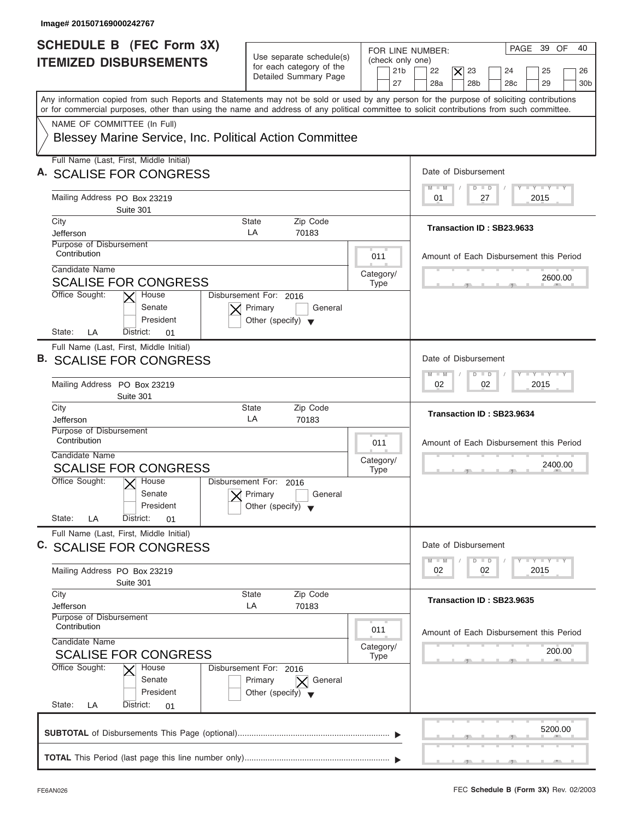| Image# 201507169000242767                                                                                                                                                                                                                                                               |                                                                                         |                                                               |                                                                                                                                  |
|-----------------------------------------------------------------------------------------------------------------------------------------------------------------------------------------------------------------------------------------------------------------------------------------|-----------------------------------------------------------------------------------------|---------------------------------------------------------------|----------------------------------------------------------------------------------------------------------------------------------|
| <b>SCHEDULE B</b> (FEC Form 3X)<br><b>ITEMIZED DISBURSEMENTS</b>                                                                                                                                                                                                                        | Use separate schedule(s)<br>for each category of the<br>Detailed Summary Page           | FOR LINE NUMBER:<br>(check only one)<br>21 <sub>b</sub><br>27 | PAGE 39 OF<br>40<br>22<br>$\times$<br>23<br>25<br>24<br>26<br>28a<br>28 <sub>b</sub><br>28 <sub>c</sub><br>29<br>30 <sub>b</sub> |
| Any information copied from such Reports and Statements may not be sold or used by any person for the purpose of soliciting contributions<br>or for commercial purposes, other than using the name and address of any political committee to solicit contributions from such committee. |                                                                                         |                                                               |                                                                                                                                  |
| NAME OF COMMITTEE (In Full)<br>Blessey Marine Service, Inc. Political Action Committee                                                                                                                                                                                                  |                                                                                         |                                                               |                                                                                                                                  |
| Full Name (Last, First, Middle Initial)<br>A. SCALISE FOR CONGRESS                                                                                                                                                                                                                      |                                                                                         |                                                               | Date of Disbursement                                                                                                             |
| Mailing Address PO Box 23219<br>Suite 301                                                                                                                                                                                                                                               |                                                                                         |                                                               | $T - Y = T - Y = T - Y$<br>$M - M$<br>$D$ $D$<br>2015<br>01<br>27                                                                |
| City<br>Jefferson<br>Purpose of Disbursement                                                                                                                                                                                                                                            | Zip Code<br>State<br>LA<br>70183                                                        |                                                               | Transaction ID: SB23.9633                                                                                                        |
| Contribution<br>Candidate Name                                                                                                                                                                                                                                                          |                                                                                         | 011<br>Category/                                              | Amount of Each Disbursement this Period                                                                                          |
| <b>SCALISE FOR CONGRESS</b><br>Office Sought:<br>House<br>Senate<br>President                                                                                                                                                                                                           | Disbursement For: 2016<br>Primary<br>General<br>Other (specify) $\blacktriangledown$    | <b>Type</b>                                                   | 2600.00                                                                                                                          |
| State:<br>LA<br>District:<br>01<br>Full Name (Last, First, Middle Initial)<br><b>B. SCALISE FOR CONGRESS</b><br>Mailing Address PO Box 23219                                                                                                                                            |                                                                                         |                                                               | Date of Disbursement<br>$-Y - Y - Y - Y$<br>$M - M$<br>$\Box$<br>$\overline{D}$<br>02<br>2015<br>02                              |
| Suite 301<br>City<br>Jefferson                                                                                                                                                                                                                                                          | Zip Code<br><b>State</b><br>LA<br>70183                                                 |                                                               | Transaction ID: SB23.9634                                                                                                        |
| Purpose of Disbursement<br>Contribution<br>Candidate Name<br><b>SCALISE FOR CONGRESS</b>                                                                                                                                                                                                |                                                                                         | 011<br>Category/<br><b>Type</b>                               | Amount of Each Disbursement this Period<br>2400.00<br>__                                                                         |
| Office Sought:<br>$\overline{X}$ House<br>Senate<br>President<br>State:<br>LA<br>District:<br>01                                                                                                                                                                                        | Disbursement For:<br>2016<br>Primary<br>General<br>Other (specify) $\blacktriangledown$ |                                                               |                                                                                                                                  |
| Full Name (Last, First, Middle Initial)<br>C. SCALISE FOR CONGRESS                                                                                                                                                                                                                      |                                                                                         |                                                               | Date of Disbursement<br>$T - Y$ $T - Y$<br>$M - M$<br>$\Box$<br>D                                                                |
| Mailing Address PO Box 23219<br>Suite 301                                                                                                                                                                                                                                               |                                                                                         |                                                               | 2015<br>02<br>02                                                                                                                 |
| City<br>Jefferson<br>Purpose of Disbursement                                                                                                                                                                                                                                            | Zip Code<br>State<br>LA<br>70183                                                        |                                                               | Transaction ID: SB23.9635                                                                                                        |
| Contribution<br>Candidate Name<br><b>SCALISE FOR CONGRESS</b>                                                                                                                                                                                                                           |                                                                                         | 011<br>Category/<br><b>Type</b>                               | Amount of Each Disbursement this Period<br>200.00                                                                                |
| Office Sought:<br>House<br>Senate<br>President<br>State:<br>LA<br>District:<br>01                                                                                                                                                                                                       | Disbursement For: 2016<br>Primary<br>General<br>Other (specify) $\blacktriangledown$    |                                                               |                                                                                                                                  |
|                                                                                                                                                                                                                                                                                         |                                                                                         |                                                               | 5200.00                                                                                                                          |
|                                                                                                                                                                                                                                                                                         |                                                                                         |                                                               | $\overline{1}$                                                                                                                   |